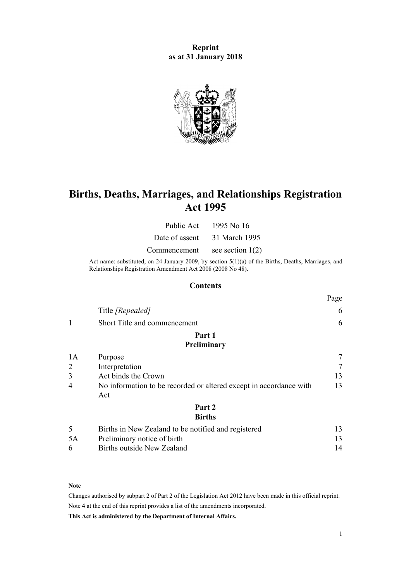**Reprint as at 31 January 2018**



# **Births, Deaths, Marriages, and Relationships Registration Act 1995**

| Public Act     | 1995 No 16         |
|----------------|--------------------|
| Date of assent | 31 March 1995      |
| Commencement   | see section $1(2)$ |

Act name: substituted, on 24 January 2009, by [section 5\(1\)\(a\)](http://prd-lgnz-nlb.prd.pco.net.nz/pdflink.aspx?id=DLM1048811) of the Births, Deaths, Marriages, and Relationships Registration Amendment Act 2008 (2008 No 48).

## **Contents**

|    | Title [Repealed]                                                          | 6  |
|----|---------------------------------------------------------------------------|----|
|    | Short Title and commencement                                              | 6  |
|    | Part 1                                                                    |    |
|    | Preliminary                                                               |    |
| 1A | Purpose                                                                   |    |
| 2  | Interpretation                                                            |    |
| 3  | Act binds the Crown                                                       | 13 |
| 4  | No information to be recorded or altered except in accordance with<br>Act | 13 |
|    | Part 2                                                                    |    |
|    | <b>Births</b>                                                             |    |

|    | Births in New Zealand to be notified and registered |    |
|----|-----------------------------------------------------|----|
| 5A | Preliminary notice of birth                         |    |
| 6. | Births outside New Zealand                          | 14 |

#### **Note**

Changes authorised by [subpart 2](http://prd-lgnz-nlb.prd.pco.net.nz/pdflink.aspx?id=DLM2998524) of Part 2 of the Legislation Act 2012 have been made in this official reprint. Note 4 at the end of this reprint provides a list of the amendments incorporated.

**This Act is administered by the Department of Internal Affairs.**

Page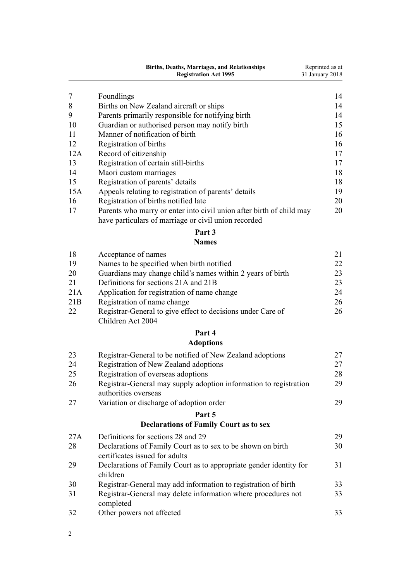|     | <b>Births, Deaths, Marriages, and Relationships</b><br><b>Registration Act 1995</b>                                          | Reprinted as at<br>31 January 2018 |
|-----|------------------------------------------------------------------------------------------------------------------------------|------------------------------------|
| 7   | Foundlings                                                                                                                   | 14                                 |
| 8   | Births on New Zealand aircraft or ships                                                                                      | 14                                 |
| 9   | Parents primarily responsible for notifying birth                                                                            | 14                                 |
| 10  | Guardian or authorised person may notify birth                                                                               | 15                                 |
| 11  | Manner of notification of birth                                                                                              | 16                                 |
| 12  | Registration of births                                                                                                       | 16                                 |
| 12A | Record of citizenship                                                                                                        | 17                                 |
| 13  | Registration of certain still-births                                                                                         | 17                                 |
| 14  | Maori custom marriages                                                                                                       | 18                                 |
| 15  | Registration of parents' details                                                                                             | 18                                 |
| 15A | Appeals relating to registration of parents' details                                                                         | 19                                 |
| 16  | Registration of births notified late                                                                                         | 20                                 |
| 17  | Parents who marry or enter into civil union after birth of child may<br>have particulars of marriage or civil union recorded | 20                                 |
|     | Part 3<br><b>Names</b>                                                                                                       |                                    |
| 18  | Acceptance of names                                                                                                          | 21                                 |
| 19  | Names to be specified when birth notified                                                                                    | 22                                 |
| 20  | Guardians may change child's names within 2 years of birth                                                                   | 23                                 |
| 21  | Definitions for sections 21A and 21B                                                                                         | 23                                 |
| 21A | Application for registration of name change                                                                                  | 24                                 |
| 21B | Registration of name change                                                                                                  | 26                                 |
| 22  | Registrar-General to give effect to decisions under Care of<br>Children Act 2004                                             | 26                                 |
|     | Part 4                                                                                                                       |                                    |
|     | <b>Adoptions</b>                                                                                                             |                                    |
| 23  | Registrar-General to be notified of New Zealand adoptions                                                                    | 27                                 |
| 24  | Registration of New Zealand adoptions                                                                                        | 27                                 |
| 25  | Registration of overseas adoptions                                                                                           | 28                                 |
| 26  | Registrar-General may supply adoption information to registration<br>authorities overseas                                    | 29                                 |
| 27  | Variation or discharge of adoption order                                                                                     | 29                                 |
|     | Part 5                                                                                                                       |                                    |
|     | <b>Declarations of Family Court as to sex</b>                                                                                |                                    |
| 27A | Definitions for sections 28 and 29                                                                                           | 29                                 |
| 28  | Declarations of Family Court as to sex to be shown on birth<br>certificates issued for adults                                | 30                                 |
| 29  | Declarations of Family Court as to appropriate gender identity for<br>children                                               | 31                                 |
| 30  | Registrar-General may add information to registration of birth                                                               | 33                                 |
| 31  | Registrar-General may delete information where procedures not<br>completed                                                   | 33                                 |
| 32  | Other powers not affected                                                                                                    | 33                                 |
| 2   |                                                                                                                              |                                    |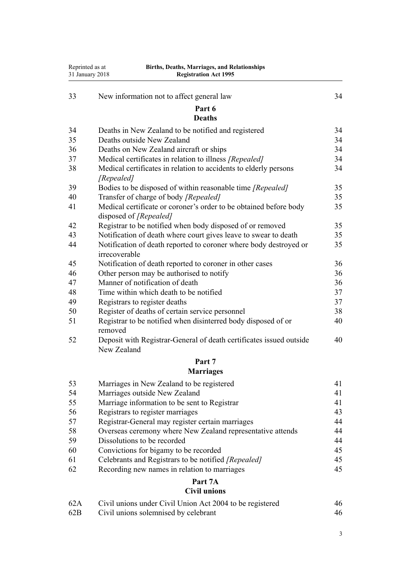| Reprinted as at | <b>Births, Deaths, Marriages, and Relationships</b><br>31 January 2018<br><b>Registration Act 1995</b> |          |
|-----------------|--------------------------------------------------------------------------------------------------------|----------|
| 33              | New information not to affect general law                                                              | 34       |
|                 | Part 6                                                                                                 |          |
|                 | <b>Deaths</b>                                                                                          |          |
| 34              | Deaths in New Zealand to be notified and registered                                                    | 34       |
| 35              | Deaths outside New Zealand                                                                             | 34       |
| 36              | Deaths on New Zealand aircraft or ships                                                                | 34       |
| 37              | Medical certificates in relation to illness [Repealed]                                                 | 34       |
| 38              | Medical certificates in relation to accidents to elderly persons<br>[Repealed]                         | 34       |
| 39              | Bodies to be disposed of within reasonable time [Repealed]                                             | 35       |
| 40              | Transfer of charge of body [Repealed]                                                                  | 35       |
| 41              | Medical certificate or coroner's order to be obtained before body<br>disposed of [Repealed]            | 35       |
| 42              | Registrar to be notified when body disposed of or removed                                              | 35       |
| 43              | Notification of death where court gives leave to swear to death                                        | 35       |
| 44              | Notification of death reported to coroner where body destroyed or<br>irrecoverable                     | 35       |
| 45              | Notification of death reported to coroner in other cases                                               | 36       |
| 46              | Other person may be authorised to notify                                                               | 36       |
| 47              | Manner of notification of death                                                                        | 36       |
| 48              | Time within which death to be notified                                                                 | 37       |
| 49              | Registrars to register deaths                                                                          | 37       |
| 50              | Register of deaths of certain service personnel                                                        | 38       |
| 51              | Registrar to be notified when disinterred body disposed of or<br>removed                               | 40       |
| 52              | Deposit with Registrar-General of death certificates issued outside<br>New Zealand                     | 40       |
|                 | Part 7<br><b>Marriages</b>                                                                             |          |
|                 |                                                                                                        |          |
| 53<br>54        | Marriages in New Zealand to be registered                                                              | 41<br>41 |
| 55              | Marriages outside New Zealand<br>Marriage information to be sent to Registrar                          | 41       |
| 56              | Registrars to register marriages                                                                       | 43       |
| 57              | Registrar-General may register certain marriages                                                       | 44       |
| 58              | Overseas ceremony where New Zealand representative attends                                             | 44       |
| 59              | Dissolutions to be recorded                                                                            | 44       |
| 60              | Convictions for bigamy to be recorded                                                                  | 45       |
| 61              | Celebrants and Registrars to be notified [Repealed]                                                    | 45       |
| 62              | Recording new names in relation to marriages                                                           | 45       |
|                 | Part 7A                                                                                                |          |
|                 | <b>Civil unions</b>                                                                                    |          |
| 62A             | Civil unions under Civil Union Act 2004 to be registered                                               | 46       |

[62B](#page-45-0) [Civil unions solemnised by celebrant](#page-45-0) [46](#page-45-0)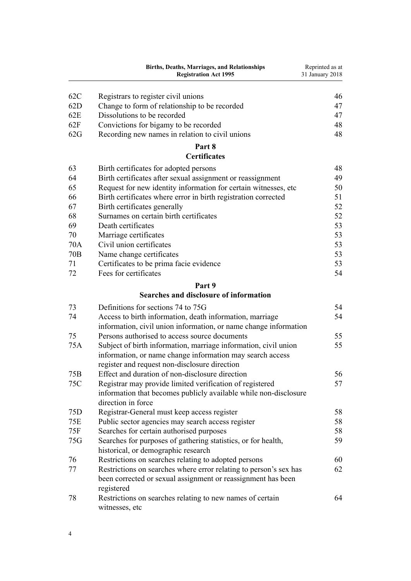|        | <b>Births, Deaths, Marriages, and Relationships</b><br><b>Registration Act 1995</b>                                                                                                                                                                                                      | Reprinted as at<br>31 January 2018 |
|--------|------------------------------------------------------------------------------------------------------------------------------------------------------------------------------------------------------------------------------------------------------------------------------------------|------------------------------------|
| 62C    | Registrars to register civil unions                                                                                                                                                                                                                                                      | 46                                 |
| 62D    | Change to form of relationship to be recorded                                                                                                                                                                                                                                            | 47                                 |
| 62E    | Dissolutions to be recorded                                                                                                                                                                                                                                                              | 47                                 |
| 62F    | Convictions for bigamy to be recorded                                                                                                                                                                                                                                                    | 48                                 |
| 62G    | Recording new names in relation to civil unions                                                                                                                                                                                                                                          | 48                                 |
|        | Part 8<br><b>Certificates</b>                                                                                                                                                                                                                                                            |                                    |
| $\sim$ | $\mathbf{D}^*$ and $\mathbf{C}$ and $\mathbf{C}$ and $\mathbf{D}^*$ and $\mathbf{D}^*$ and $\mathbf{D}^*$ and $\mathbf{D}^*$ and $\mathbf{D}^*$ and $\mathbf{D}^*$ and $\mathbf{D}^*$ and $\mathbf{D}^*$ and $\mathbf{D}^*$ and $\mathbf{D}^*$ and $\mathbf{D}^*$ and $\mathbf{D}^*$ and | $\sqrt{2}$                         |

| 63  | Birth certificates for adopted persons                           | 48 |
|-----|------------------------------------------------------------------|----|
| 64  | Birth certificates after sexual assignment or reassignment       | 49 |
| 65  | Request for new identity information for certain witnesses, etc. | 50 |
| 66  | Birth certificates where error in birth registration corrected   | 51 |
| 67  | Birth certificates generally                                     | 52 |
| 68  | Surnames on certain birth certificates                           | 52 |
| 69  | Death certificates                                               | 53 |
| 70  | Marriage certificates                                            | 53 |
| 70A | Civil union certificates                                         | 53 |
| 70B | Name change certificates                                         | 53 |
| 71  | Certificates to be prima facie evidence                          | 53 |
| 72  | Fees for certificates                                            | 54 |

## **[Part 9](#page-53-0)**

## **[Searches and disclosure of information](#page-53-0)**

| 73  | Definitions for sections 74 to 75G                                | 54 |
|-----|-------------------------------------------------------------------|----|
| 74  | Access to birth information, death information, marriage          | 54 |
|     | information, civil union information, or name change information  |    |
| 75  | Persons authorised to access source documents                     | 55 |
| 75A | Subject of birth information, marriage information, civil union   | 55 |
|     | information, or name change information may search access         |    |
|     | register and request non-disclosure direction                     |    |
| 75B | Effect and duration of non-disclosure direction                   | 56 |
| 75C | Registrar may provide limited verification of registered          | 57 |
|     | information that becomes publicly available while non-disclosure  |    |
|     | direction in force                                                |    |
| 75D | Registrar-General must keep access register                       | 58 |
| 75E | Public sector agencies may search access register                 | 58 |
| 75F | Searches for certain authorised purposes                          | 58 |
| 75G | Searches for purposes of gathering statistics, or for health,     | 59 |
|     | historical, or demographic research                               |    |
| 76  | Restrictions on searches relating to adopted persons              | 60 |
| 77  | Restrictions on searches where error relating to person's sex has | 62 |
|     | been corrected or sexual assignment or reassignment has been      |    |
|     | registered                                                        |    |
| 78  | Restrictions on searches relating to new names of certain         | 64 |
|     | witnesses, etc                                                    |    |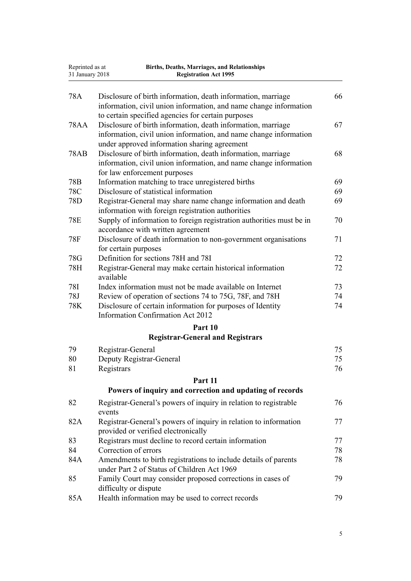| Reprinted as at<br>31 January 2018 | Births, Deaths, Marriages, and Relationships<br><b>Registration Act 1995</b>                                                                                                            |          |
|------------------------------------|-----------------------------------------------------------------------------------------------------------------------------------------------------------------------------------------|----------|
| 78A                                | Disclosure of birth information, death information, marriage<br>information, civil union information, and name change information<br>to certain specified agencies for certain purposes | 66       |
| <b>78AA</b>                        | Disclosure of birth information, death information, marriage<br>information, civil union information, and name change information<br>under approved information sharing agreement       | 67       |
| <b>78AB</b>                        | Disclosure of birth information, death information, marriage<br>information, civil union information, and name change information<br>for law enforcement purposes                       | 68       |
| 78 <sub>B</sub>                    | Information matching to trace unregistered births                                                                                                                                       | 69       |
| 78C                                | Disclosure of statistical information                                                                                                                                                   | 69       |
| 78D                                | Registrar-General may share name change information and death<br>information with foreign registration authorities                                                                      | 69       |
| <b>78E</b>                         | Supply of information to foreign registration authorities must be in<br>accordance with written agreement                                                                               | 70       |
| <b>78F</b>                         | Disclosure of death information to non-government organisations<br>for certain purposes                                                                                                 | 71       |
| 78G                                | Definition for sections 78H and 78I                                                                                                                                                     | 72       |
| 78H                                | Registrar-General may make certain historical information<br>available                                                                                                                  | 72       |
| 78I                                | Index information must not be made available on Internet                                                                                                                                | 73       |
| 78J<br>78K                         | Review of operation of sections 74 to 75G, 78F, and 78H<br>Disclosure of certain information for purposes of Identity<br><b>Information Confirmation Act 2012</b>                       | 74<br>74 |
|                                    | Part 10                                                                                                                                                                                 |          |
|                                    | <b>Registrar-General and Registrars</b>                                                                                                                                                 |          |
| 79                                 | Registrar-General                                                                                                                                                                       | 75       |
| 80                                 | Deputy Registrar-General                                                                                                                                                                | 75       |
| 81                                 | Registrars                                                                                                                                                                              | 76       |
|                                    | Part 11                                                                                                                                                                                 |          |
|                                    | Powers of inquiry and correction and updating of records                                                                                                                                |          |
| 82                                 | Registrar-General's powers of inquiry in relation to registrable<br>events                                                                                                              | 76       |
| 82A                                | Registrar-General's powers of inquiry in relation to information<br>provided or verified electronically                                                                                 | 77       |
| 83                                 | Registrars must decline to record certain information                                                                                                                                   | 77       |
| 84                                 | Correction of errors                                                                                                                                                                    | 78       |
| 84A                                | Amendments to birth registrations to include details of parents<br>under Part 2 of Status of Children Act 1969                                                                          | 78       |
| 85                                 | Family Court may consider proposed corrections in cases of<br>difficulty or dispute                                                                                                     | 79       |
| 85A                                | Health information may be used to correct records                                                                                                                                       | 79       |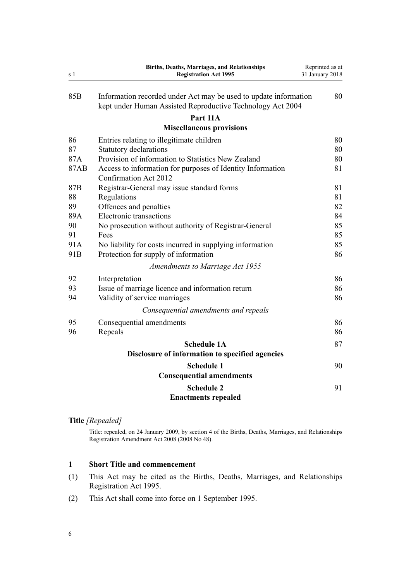<span id="page-5-0"></span>

| s 1             | <b>Births, Deaths, Marriages, and Relationships</b><br><b>Registration Act 1995</b>              | Reprinted as at<br>31 January 2018 |
|-----------------|--------------------------------------------------------------------------------------------------|------------------------------------|
| 85 <sub>B</sub> | Information recorded under Act may be used to update information                                 | 80                                 |
|                 | kept under Human Assisted Reproductive Technology Act 2004                                       |                                    |
|                 | Part 11A                                                                                         |                                    |
|                 | <b>Miscellaneous provisions</b>                                                                  |                                    |
| 86              | Entries relating to illegitimate children                                                        | 80                                 |
| 87              | <b>Statutory declarations</b>                                                                    | 80                                 |
| 87A             | Provision of information to Statistics New Zealand                                               | 80                                 |
| 87AB            | Access to information for purposes of Identity Information<br>Confirmation Act 2012              | 81                                 |
| 87B             | Registrar-General may issue standard forms                                                       | 81                                 |
| 88              | Regulations                                                                                      | 81                                 |
| 89              | Offences and penalties                                                                           | 82                                 |
| 89A             | <b>Electronic transactions</b>                                                                   | 84                                 |
| 90              | No prosecution without authority of Registrar-General                                            | 85                                 |
| 91              | Fees                                                                                             | 85                                 |
| 91A<br>91B      | No liability for costs incurred in supplying information<br>Protection for supply of information | 85<br>86                           |
|                 | Amendments to Marriage Act 1955                                                                  |                                    |
| 92              | Interpretation                                                                                   | 86                                 |
| 93              | Issue of marriage licence and information return                                                 | 86                                 |
| 94              | Validity of service marriages                                                                    | 86                                 |
|                 | Consequential amendments and repeals                                                             |                                    |
| 95              | Consequential amendments                                                                         | 86                                 |
| 96              | Repeals                                                                                          | 86                                 |
|                 | <b>Schedule 1A</b>                                                                               | 87                                 |
|                 | Disclosure of information to specified agencies                                                  |                                    |
|                 | <b>Schedule 1</b>                                                                                | 90                                 |
|                 | <b>Consequential amendments</b>                                                                  |                                    |
|                 | <b>Schedule 2</b>                                                                                | 91                                 |
|                 | <b>Enactments repealed</b>                                                                       |                                    |

## **Title** *[Repealed]*

Title: repealed, on 24 January 2009, by [section 4](http://prd-lgnz-nlb.prd.pco.net.nz/pdflink.aspx?id=DLM1048810) of the Births, Deaths, Marriages, and Relationships Registration Amendment Act 2008 (2008 No 48).

## **1 Short Title and commencement**

- (1) This Act may be cited as the Births, Deaths, Marriages, and Relationships Registration Act 1995.
- (2) This Act shall come into force on 1 September 1995.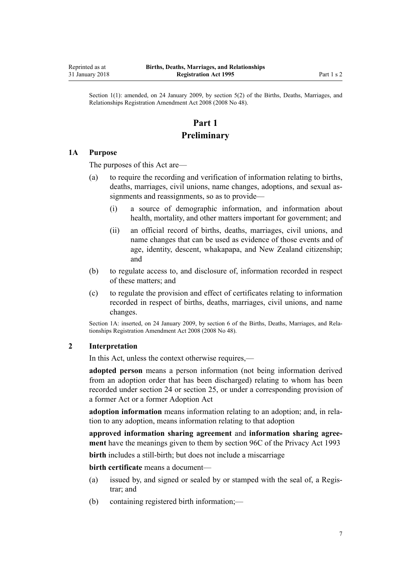<span id="page-6-0"></span>Section 1(1): amended, on 24 January 2009, by [section 5\(2\)](http://prd-lgnz-nlb.prd.pco.net.nz/pdflink.aspx?id=DLM1048811) of the Births, Deaths, Marriages, and Relationships Registration Amendment Act 2008 (2008 No 48).

## **Part 1 Preliminary**

#### **1A Purpose**

The purposes of this Act are—

- (a) to require the recording and verification of information relating to births, deaths, marriages, civil unions, name changes, adoptions, and sexual assignments and reassignments, so as to provide—
	- (i) a source of demographic information, and information about health, mortality, and other matters important for government; and
	- (ii) an official record of births, deaths, marriages, civil unions, and name changes that can be used as evidence of those events and of age, identity, descent, whakapapa, and New Zealand citizenship; and
- (b) to regulate access to, and disclosure of, information recorded in respect of these matters; and
- (c) to regulate the provision and effect of certificates relating to information recorded in respect of births, deaths, marriages, civil unions, and name changes.

Section 1A: inserted, on 24 January 2009, by [section 6](http://prd-lgnz-nlb.prd.pco.net.nz/pdflink.aspx?id=DLM1048812) of the Births, Deaths, Marriages, and Relationships Registration Amendment Act 2008 (2008 No 48).

## **2 Interpretation**

In this Act, unless the context otherwise requires,—

**adopted person** means a person information (not being information derived from an adoption order that has been discharged) relating to whom has been recorded under [section 24](#page-26-0) or [section 25](#page-27-0), or under a corresponding provision of a former Act or a former Adoption Act

**adoption information** means information relating to an adoption; and, in relation to any adoption, means information relating to that adoption

**approved information sharing agreement** and **information sharing agreement** have the meanings given to them by [section 96C](http://prd-lgnz-nlb.prd.pco.net.nz/pdflink.aspx?id=DLM5060408) of the Privacy Act 1993

**birth** includes a still-birth; but does not include a miscarriage

**birth certificate** means a document—

- (a) issued by, and signed or sealed by or stamped with the seal of, a Registrar; and
- (b) containing registered birth information;—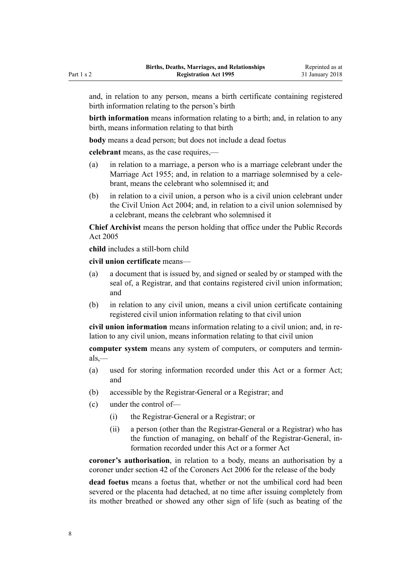and, in relation to any person, means a birth certificate containing registered birth information relating to the person's birth

**birth information** means information relating to a birth; and, in relation to any birth, means information relating to that birth

**body** means a dead person; but does not include a dead foetus

**celebrant** means, as the case requires,—

- (a) in relation to a marriage, a person who is a marriage celebrant under the [Marriage Act 1955](http://prd-lgnz-nlb.prd.pco.net.nz/pdflink.aspx?id=DLM292027); and, in relation to a marriage solemnised by a celebrant, means the celebrant who solemnised it; and
- (b) in relation to a civil union, a person who is a civil union celebrant under the [Civil Union Act 2004](http://prd-lgnz-nlb.prd.pco.net.nz/pdflink.aspx?id=DLM323384); and, in relation to a civil union solemnised by a celebrant, means the celebrant who solemnised it

**Chief Archivist** means the person holding that office under the [Public Records](http://prd-lgnz-nlb.prd.pco.net.nz/pdflink.aspx?id=DLM345528) [Act 2005](http://prd-lgnz-nlb.prd.pco.net.nz/pdflink.aspx?id=DLM345528)

**child** includes a still-born child

**civil union certificate** means—

- (a) a document that is issued by, and signed or sealed by or stamped with the seal of, a Registrar, and that contains registered civil union information; and
- (b) in relation to any civil union, means a civil union certificate containing registered civil union information relating to that civil union

**civil union information** means information relating to a civil union; and, in relation to any civil union, means information relating to that civil union

**computer system** means any system of computers, or computers and terminals,—

- (a) used for storing information recorded under this Act or a former Act; and
- (b) accessible by the Registrar-General or a Registrar; and
- (c) under the control of—
	- (i) the Registrar-General or a Registrar; or
	- (ii) a person (other than the Registrar-General or a Registrar) who has the function of managing, on behalf of the Registrar-General, information recorded under this Act or a former Act

**coroner's authorisation**, in relation to a body, means an authorisation by a coroner under [section 42](http://prd-lgnz-nlb.prd.pco.net.nz/pdflink.aspx?id=DLM377576) of the Coroners Act 2006 for the release of the body

**dead foetus** means a foetus that, whether or not the umbilical cord had been severed or the placenta had detached, at no time after issuing completely from its mother breathed or showed any other sign of life (such as beating of the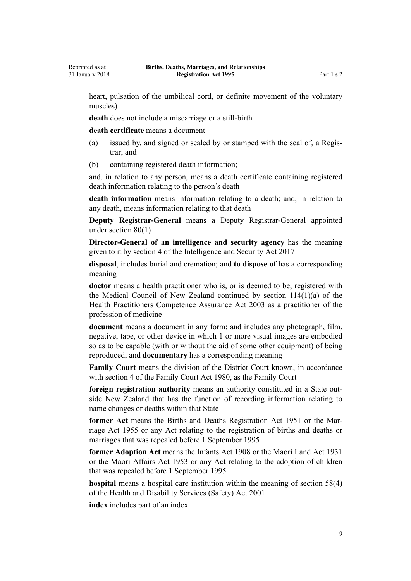heart, pulsation of the umbilical cord, or definite movement of the voluntary muscles)

**death** does not include a miscarriage or a still-birth

**death certificate** means a document—

- (a) issued by, and signed or sealed by or stamped with the seal of, a Registrar; and
- (b) containing registered death information;—

and, in relation to any person, means a death certificate containing registered death information relating to the person's death

**death information** means information relating to a death; and, in relation to any death, means information relating to that death

**Deputy Registrar-General** means a Deputy Registrar-General appointed under [section 80\(1\)](#page-74-0)

**Director-General of an intelligence and security agency** has the meaning given to it by [section 4](http://prd-lgnz-nlb.prd.pco.net.nz/pdflink.aspx?id=DLM6920830) of the Intelligence and Security Act 2017

**disposal**, includes burial and cremation; and **to dispose of** has a corresponding meaning

**doctor** means a health practitioner who is, or is deemed to be, registered with the Medical Council of New Zealand continued by [section 114\(1\)\(a\)](http://prd-lgnz-nlb.prd.pco.net.nz/pdflink.aspx?id=DLM204329) of the Health Practitioners Competence Assurance Act 2003 as a practitioner of the profession of medicine

**document** means a document in any form; and includes any photograph, film, negative, tape, or other device in which 1 or more visual images are embodied so as to be capable (with or without the aid of some other equipment) of being reproduced; and **documentary** has a corresponding meaning

**Family Court** means the division of the District Court known, in accordance with [section 4](http://prd-lgnz-nlb.prd.pco.net.nz/pdflink.aspx?id=DLM42268) of the Family Court Act 1980, as the Family Court

**foreign registration authority** means an authority constituted in a State outside New Zealand that has the function of recording information relating to name changes or deaths within that State

**former Act** means the Births and Deaths Registration Act 1951 or the [Mar](http://prd-lgnz-nlb.prd.pco.net.nz/pdflink.aspx?id=DLM292027)[riage Act 1955](http://prd-lgnz-nlb.prd.pco.net.nz/pdflink.aspx?id=DLM292027) or any Act relating to the registration of births and deaths or marriages that was repealed before 1 September 1995

**former Adoption Act** means the Infants Act 1908 or the Maori Land Act 1931 or the Maori Affairs Act 1953 or any Act relating to the adoption of children that was repealed before 1 September 1995

**hospital** means a hospital care institution within the meaning of [section 58\(4\)](http://prd-lgnz-nlb.prd.pco.net.nz/pdflink.aspx?id=DLM120905) of the Health and Disability Services (Safety) Act 2001

**index** includes part of an index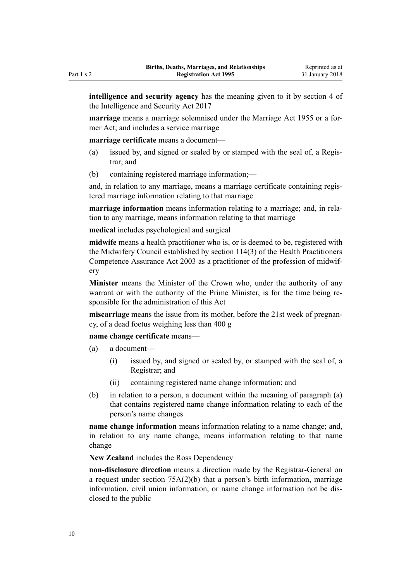**intelligence and security agency** has the meaning given to it by [section 4](http://prd-lgnz-nlb.prd.pco.net.nz/pdflink.aspx?id=DLM6920830) of the Intelligence and Security Act 2017

**marriage** means a marriage solemnised under the [Marriage Act 1955](http://prd-lgnz-nlb.prd.pco.net.nz/pdflink.aspx?id=DLM292027) or a former Act; and includes a service marriage

**marriage certificate** means a document—

- (a) issued by, and signed or sealed by or stamped with the seal of, a Registrar; and
- (b) containing registered marriage information;—

and, in relation to any marriage, means a marriage certificate containing registered marriage information relating to that marriage

**marriage information** means information relating to a marriage; and, in relation to any marriage, means information relating to that marriage

**medical** includes psychological and surgical

**midwife** means a health practitioner who is, or is deemed to be, registered with the Midwifery Council established by [section 114\(3\)](http://prd-lgnz-nlb.prd.pco.net.nz/pdflink.aspx?id=DLM204329) of the Health Practitioners Competence Assurance Act 2003 as a practitioner of the profession of midwifery

**Minister** means the Minister of the Crown who, under the authority of any warrant or with the authority of the Prime Minister, is for the time being responsible for the administration of this Act

**miscarriage** means the issue from its mother, before the 21st week of pregnancy, of a dead foetus weighing less than 400 g

**name change certificate** means—

- (a) a document—
	- (i) issued by, and signed or sealed by, or stamped with the seal of, a Registrar; and
	- (ii) containing registered name change information; and
- (b) in relation to a person, a document within the meaning of paragraph (a) that contains registered name change information relating to each of the person's name changes

**name change information** means information relating to a name change; and, in relation to any name change, means information relating to that name change

**New Zealand** includes the Ross Dependency

**non-disclosure direction** means a direction made by the Registrar-General on a request under [section 75A\(2\)\(b\)](#page-54-0) that a person's birth information, marriage information, civil union information, or name change information not be disclosed to the public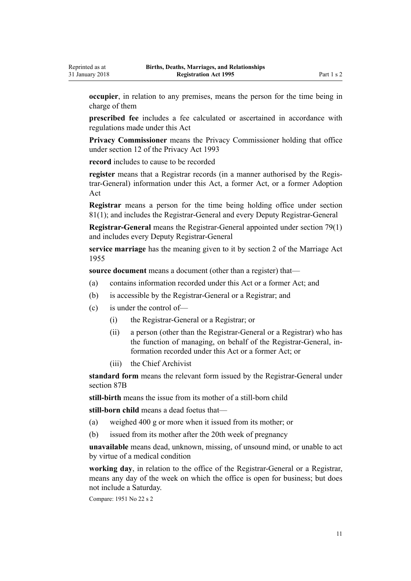**occupier**, in relation to any premises, means the person for the time being in charge of them

**prescribed fee** includes a fee calculated or ascertained in accordance with regulations made under this Act

**Privacy Commissioner** means the Privacy Commissioner holding that office under [section 12](http://prd-lgnz-nlb.prd.pco.net.nz/pdflink.aspx?id=DLM297053) of the Privacy Act 1993

**record** includes to cause to be recorded

**register** means that a Registrar records (in a manner authorised by the Registrar-General) information under this Act, a former Act, or a former Adoption Act

**Registrar** means a person for the time being holding office under [section](#page-75-0) [81\(1\)](#page-75-0); and includes the Registrar-General and every Deputy Registrar-General

**Registrar-General** means the Registrar-General appointed under [section 79\(1\)](#page-74-0) and includes every Deputy Registrar-General

**service marriage** has the meaning given to it by [section 2](http://prd-lgnz-nlb.prd.pco.net.nz/pdflink.aspx?id=DLM292034) of the Marriage Act 1955

**source document** means a document (other than a register) that—

- (a) contains information recorded under this Act or a former Act; and
- (b) is accessible by the Registrar-General or a Registrar; and
- (c) is under the control of—
	- (i) the Registrar-General or a Registrar; or
	- (ii) a person (other than the Registrar-General or a Registrar) who has the function of managing, on behalf of the Registrar-General, information recorded under this Act or a former Act; or
	- (iii) the Chief Archivist

**standard form** means the relevant form issued by the Registrar-General under [section 87B](#page-80-0)

**still-birth** means the issue from its mother of a still-born child

**still-born child** means a dead foetus that—

- (a) weighed 400 g or more when it issued from its mother; or
- (b) issued from its mother after the 20th week of pregnancy

**unavailable** means dead, unknown, missing, of unsound mind, or unable to act by virtue of a medical condition

**working day**, in relation to the office of the Registrar-General or a Registrar, means any day of the week on which the office is open for business; but does not include a Saturday.

Compare: 1951 No 22 s 2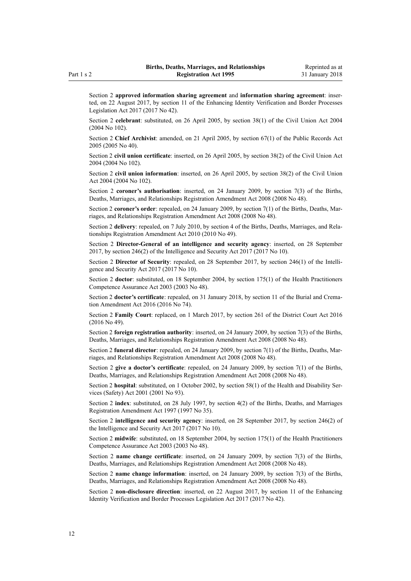Section 2 **approved information sharing agreement** and **information sharing agreement**: inserted, on 22 August 2017, by [section 11](http://prd-lgnz-nlb.prd.pco.net.nz/pdflink.aspx?id=DLM6887860) of the Enhancing Identity Verification and Border Processes Legislation Act 2017 (2017 No 42).

Section 2 **celebrant**: substituted, on 26 April 2005, by [section 38\(1\)](http://prd-lgnz-nlb.prd.pco.net.nz/pdflink.aspx?id=DLM323459) of the Civil Union Act 2004 (2004 No 102).

Section 2 **Chief Archivist**: amended, on 21 April 2005, by [section 67\(1\)](http://prd-lgnz-nlb.prd.pco.net.nz/pdflink.aspx?id=DLM346105) of the Public Records Act 2005 (2005 No 40).

Section 2 **civil union certificate**: inserted, on 26 April 2005, by [section 38\(2\)](http://prd-lgnz-nlb.prd.pco.net.nz/pdflink.aspx?id=DLM323459) of the Civil Union Act 2004 (2004 No 102).

Section 2 **civil union information**: inserted, on 26 April 2005, by [section 38\(2\)](http://prd-lgnz-nlb.prd.pco.net.nz/pdflink.aspx?id=DLM323459) of the Civil Union Act 2004 (2004 No 102).

Section 2 **coroner's authorisation**: inserted, on 24 January 2009, by [section 7\(3\)](http://prd-lgnz-nlb.prd.pco.net.nz/pdflink.aspx?id=DLM1048814) of the Births, Deaths, Marriages, and Relationships Registration Amendment Act 2008 (2008 No 48).

Section 2 **coroner's order**: repealed, on 24 January 2009, by [section 7\(1\)](http://prd-lgnz-nlb.prd.pco.net.nz/pdflink.aspx?id=DLM1048814) of the Births, Deaths, Marriages, and Relationships Registration Amendment Act 2008 (2008 No 48).

Section 2 **delivery**: repealed, on 7 July 2010, by [section 4](http://prd-lgnz-nlb.prd.pco.net.nz/pdflink.aspx?id=DLM3040105) of the Births, Deaths, Marriages, and Relationships Registration Amendment Act 2010 (2010 No 49).

Section 2 **Director-General of an intelligence and security agency**: inserted, on 28 September 2017, by [section 246\(2\)](http://prd-lgnz-nlb.prd.pco.net.nz/pdflink.aspx?id=DLM6921295) of the Intelligence and Security Act 2017 (2017 No 10).

Section 2 **Director of Security**: repealed, on 28 September 2017, by [section 246\(1\)](http://prd-lgnz-nlb.prd.pco.net.nz/pdflink.aspx?id=DLM6921295) of the Intelligence and Security Act 2017 (2017 No 10).

Section 2 **doctor**: substituted, on 18 September 2004, by [section 175\(1\)](http://prd-lgnz-nlb.prd.pco.net.nz/pdflink.aspx?id=DLM205009) of the Health Practitioners Competence Assurance Act 2003 (2003 No 48).

Section 2 **doctor's certificate**: repealed, on 31 January 2018, by [section 11](http://prd-lgnz-nlb.prd.pco.net.nz/pdflink.aspx?id=DLM6983832) of the Burial and Cremation Amendment Act 2016 (2016 No 74).

Section 2 **Family Court**: replaced, on 1 March 2017, by [section 261](http://prd-lgnz-nlb.prd.pco.net.nz/pdflink.aspx?id=DLM6942680) of the District Court Act 2016 (2016 No 49).

Section 2 **foreign registration authority**: inserted, on 24 January 2009, by [section 7\(3\)](http://prd-lgnz-nlb.prd.pco.net.nz/pdflink.aspx?id=DLM1048814) of the Births, Deaths, Marriages, and Relationships Registration Amendment Act 2008 (2008 No 48).

Section 2 **funeral director**: repealed, on 24 January 2009, by [section 7\(1\)](http://prd-lgnz-nlb.prd.pco.net.nz/pdflink.aspx?id=DLM1048814) of the Births, Deaths, Marriages, and Relationships Registration Amendment Act 2008 (2008 No 48).

Section 2 **give a doctor's certificate**: repealed, on 24 January 2009, by [section 7\(1\)](http://prd-lgnz-nlb.prd.pco.net.nz/pdflink.aspx?id=DLM1048814) of the Births, Deaths, Marriages, and Relationships Registration Amendment Act 2008 (2008 No 48).

Section 2 **hospital**: substituted, on 1 October 2002, by [section 58\(1\)](http://prd-lgnz-nlb.prd.pco.net.nz/pdflink.aspx?id=DLM120905) of the Health and Disability Services (Safety) Act 2001 (2001 No 93).

Section 2 **index**: substituted, on 28 July 1997, by [section 4\(2\)](http://prd-lgnz-nlb.prd.pco.net.nz/pdflink.aspx?id=DLM409953) of the Births, Deaths, and Marriages Registration Amendment Act 1997 (1997 No 35).

Section 2 **intelligence and security agency**: inserted, on 28 September 2017, by [section 246\(2\)](http://prd-lgnz-nlb.prd.pco.net.nz/pdflink.aspx?id=DLM6921295) of the Intelligence and Security Act 2017 (2017 No 10).

Section 2 **midwife**: substituted, on 18 September 2004, by [section 175\(1\)](http://prd-lgnz-nlb.prd.pco.net.nz/pdflink.aspx?id=DLM205009) of the Health Practitioners Competence Assurance Act 2003 (2003 No 48).

Section 2 **name change certificate**: inserted, on 24 January 2009, by [section 7\(3\)](http://prd-lgnz-nlb.prd.pco.net.nz/pdflink.aspx?id=DLM1048814) of the Births, Deaths, Marriages, and Relationships Registration Amendment Act 2008 (2008 No 48).

Section 2 **name change information**: inserted, on 24 January 2009, by [section 7\(3\)](http://prd-lgnz-nlb.prd.pco.net.nz/pdflink.aspx?id=DLM1048814) of the Births, Deaths, Marriages, and Relationships Registration Amendment Act 2008 (2008 No 48).

Section 2 **non-disclosure direction**: inserted, on 22 August 2017, by [section 11](http://prd-lgnz-nlb.prd.pco.net.nz/pdflink.aspx?id=DLM6887860) of the Enhancing Identity Verification and Border Processes Legislation Act 2017 (2017 No 42).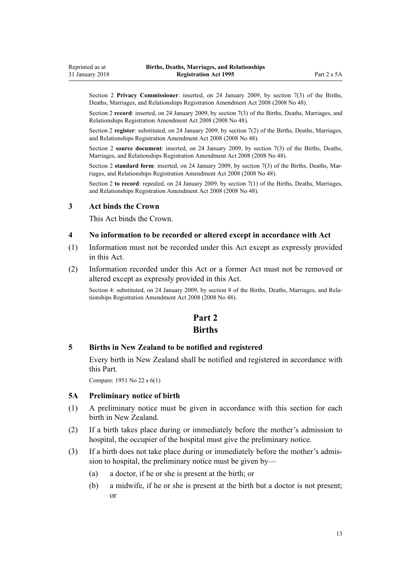<span id="page-12-0"></span>Section 2 **Privacy Commissioner**: inserted, on 24 January 2009, by [section 7\(3\)](http://prd-lgnz-nlb.prd.pco.net.nz/pdflink.aspx?id=DLM1048814) of the Births, Deaths, Marriages, and Relationships Registration Amendment Act 2008 (2008 No 48).

Section 2 **record**: inserted, on 24 January 2009, by [section 7\(3\)](http://prd-lgnz-nlb.prd.pco.net.nz/pdflink.aspx?id=DLM1048814) of the Births, Deaths, Marriages, and Relationships Registration Amendment Act 2008 (2008 No 48).

Section 2 **register**: substituted, on 24 January 2009, by [section 7\(2\)](http://prd-lgnz-nlb.prd.pco.net.nz/pdflink.aspx?id=DLM1048814) of the Births, Deaths, Marriages, and Relationships Registration Amendment Act 2008 (2008 No 48).

Section 2 **source document**: inserted, on 24 January 2009, by [section 7\(3\)](http://prd-lgnz-nlb.prd.pco.net.nz/pdflink.aspx?id=DLM1048814) of the Births, Deaths, Marriages, and Relationships Registration Amendment Act 2008 (2008 No 48).

Section 2 **standard form**: inserted, on 24 January 2009, by [section 7\(3\)](http://prd-lgnz-nlb.prd.pco.net.nz/pdflink.aspx?id=DLM1048814) of the Births, Deaths, Marriages, and Relationships Registration Amendment Act 2008 (2008 No 48).

Section 2 **to record**: repealed, on 24 January 2009, by [section 7\(1\)](http://prd-lgnz-nlb.prd.pco.net.nz/pdflink.aspx?id=DLM1048814) of the Births, Deaths, Marriages, and Relationships Registration Amendment Act 2008 (2008 No 48).

#### **3 Act binds the Crown**

This Act binds the Crown.

#### **4 No information to be recorded or altered except in accordance with Act**

- (1) Information must not be recorded under this Act except as expressly provided in this Act.
- (2) Information recorded under this Act or a former Act must not be removed or altered except as expressly provided in this Act.

Section 4: substituted, on 24 January 2009, by [section 8](http://prd-lgnz-nlb.prd.pco.net.nz/pdflink.aspx?id=DLM1048846) of the Births, Deaths, Marriages, and Relationships Registration Amendment Act 2008 (2008 No 48).

## **Part 2 Births**

#### **5 Births in New Zealand to be notified and registered**

Every birth in New Zealand shall be notified and registered in accordance with this Part.

Compare: 1951 No 22 s 6(1)

#### **5A Preliminary notice of birth**

- (1) A preliminary notice must be given in accordance with this section for each birth in New Zealand.
- (2) If a birth takes place during or immediately before the mother's admission to hospital, the occupier of the hospital must give the preliminary notice.
- (3) If a birth does not take place during or immediately before the mother's admission to hospital, the preliminary notice must be given by—
	- (a) a doctor, if he or she is present at the birth; or
	- (b) a midwife, if he or she is present at the birth but a doctor is not present; or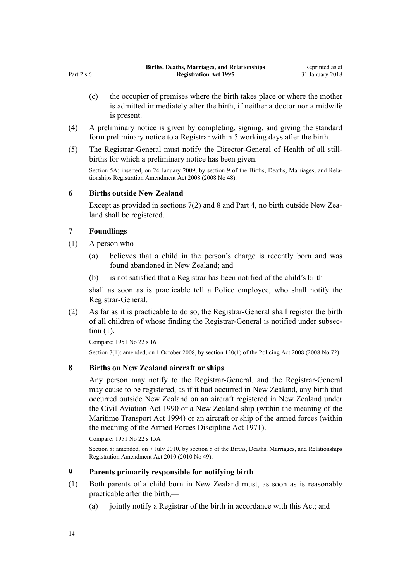- <span id="page-13-0"></span>(c) the occupier of premises where the birth takes place or where the mother is admitted immediately after the birth, if neither a doctor nor a midwife is present.
- (4) A preliminary notice is given by completing, signing, and giving the standard form preliminary notice to a Registrar within 5 working days after the birth.
- (5) The Registrar-General must notify the Director-General of Health of all stillbirths for which a preliminary notice has been given.

Section 5A: inserted, on 24 January 2009, by [section 9](http://prd-lgnz-nlb.prd.pco.net.nz/pdflink.aspx?id=DLM1048848) of the Births, Deaths, Marriages, and Relationships Registration Amendment Act 2008 (2008 No 48).

## **6 Births outside New Zealand**

Except as provided in sections 7(2) and 8 and [Part 4](#page-26-0), no birth outside New Zealand shall be registered.

## **7 Foundlings**

- (1) A person who—
	- (a) believes that a child in the person's charge is recently born and was found abandoned in New Zealand; and
	- (b) is not satisfied that a Registrar has been notified of the child's birth—

shall as soon as is practicable tell a Police employee, who shall notify the Registrar-General.

(2) As far as it is practicable to do so, the Registrar-General shall register the birth of all children of whose finding the Registrar-General is notified under subsection (1).

Compare: 1951 No 22 s 16 Section 7(1): amended, on 1 October 2008, by [section 130\(1\)](http://prd-lgnz-nlb.prd.pco.net.nz/pdflink.aspx?id=DLM1102383) of the Policing Act 2008 (2008 No 72).

## **8 Births on New Zealand aircraft or ships**

Any person may notify to the Registrar-General, and the Registrar-General may cause to be registered, as if it had occurred in New Zealand, any birth that occurred outside New Zealand on an aircraft registered in New Zealand under the [Civil Aviation Act 1990](http://prd-lgnz-nlb.prd.pco.net.nz/pdflink.aspx?id=DLM214686) or a New Zealand ship (within the meaning of the [Maritime Transport Act 1994](http://prd-lgnz-nlb.prd.pco.net.nz/pdflink.aspx?id=DLM334659)) or an aircraft or ship of the armed forces (within the meaning of the [Armed Forces Discipline Act 1971\)](http://prd-lgnz-nlb.prd.pco.net.nz/pdflink.aspx?id=DLM401062).

Compare: 1951 No 22 s 15A

Section 8: amended, on 7 July 2010, by [section 5](http://prd-lgnz-nlb.prd.pco.net.nz/pdflink.aspx?id=DLM3040107) of the Births, Deaths, Marriages, and Relationships Registration Amendment Act 2010 (2010 No 49).

## **9 Parents primarily responsible for notifying birth**

- (1) Both parents of a child born in New Zealand must, as soon as is reasonably practicable after the birth,—
	- (a) jointly notify a Registrar of the birth in accordance with this Act; and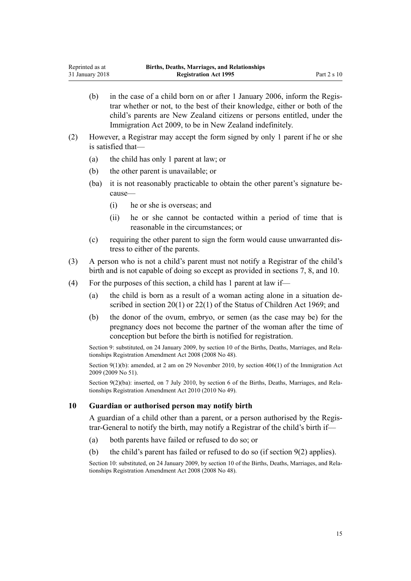- <span id="page-14-0"></span>(b) in the case of a child born on or after 1 January 2006, inform the Registrar whether or not, to the best of their knowledge, either or both of the child's parents are New Zealand citizens or persons entitled, under the [Immigration Act 2009](http://prd-lgnz-nlb.prd.pco.net.nz/pdflink.aspx?id=DLM1440300), to be in New Zealand indefinitely.
- (2) However, a Registrar may accept the form signed by only 1 parent if he or she is satisfied that—
	- (a) the child has only 1 parent at law; or
	- (b) the other parent is unavailable; or
	- (ba) it is not reasonably practicable to obtain the other parent's signature because—
		- (i) he or she is overseas; and
		- (ii) he or she cannot be contacted within a period of time that is reasonable in the circumstances; or
	- (c) requiring the other parent to sign the form would cause unwarranted distress to either of the parents.
- (3) A person who is not a child's parent must not notify a Registrar of the child's birth and is not capable of doing so except as provided in [sections 7, 8](#page-13-0), and 10.
- (4) For the purposes of this section, a child has 1 parent at law if—
	- (a) the child is born as a result of a woman acting alone in a situation described in [section 20\(1\)](http://prd-lgnz-nlb.prd.pco.net.nz/pdflink.aspx?id=DLM391094) or [22\(1\)](http://prd-lgnz-nlb.prd.pco.net.nz/pdflink.aspx?id=DLM391201) of the Status of Children Act 1969; and
	- (b) the donor of the ovum, embryo, or semen (as the case may be) for the pregnancy does not become the partner of the woman after the time of conception but before the birth is notified for registration.

Section 9: substituted, on 24 January 2009, by [section 10](http://prd-lgnz-nlb.prd.pco.net.nz/pdflink.aspx?id=DLM1048850) of the Births, Deaths, Marriages, and Relationships Registration Amendment Act 2008 (2008 No 48).

Section 9(1)(b): amended, at 2 am on 29 November 2010, by [section 406\(1\)](http://prd-lgnz-nlb.prd.pco.net.nz/pdflink.aspx?id=DLM1441347) of the Immigration Act 2009 (2009 No 51).

Section 9(2)(ba): inserted, on 7 July 2010, by [section 6](http://prd-lgnz-nlb.prd.pco.net.nz/pdflink.aspx?id=DLM3040108) of the Births, Deaths, Marriages, and Relationships Registration Amendment Act 2010 (2010 No 49).

## **10 Guardian or authorised person may notify birth**

A guardian of a child other than a parent, or a person authorised by the Registrar-General to notify the birth, may notify a Registrar of the child's birth if—

- (a) both parents have failed or refused to do so; or
- (b) the child's parent has failed or refused to do so (if [section 9\(2\)](#page-13-0) applies).

Section 10: substituted, on 24 January 2009, by [section 10](http://prd-lgnz-nlb.prd.pco.net.nz/pdflink.aspx?id=DLM1048850) of the Births, Deaths, Marriages, and Relationships Registration Amendment Act 2008 (2008 No 48).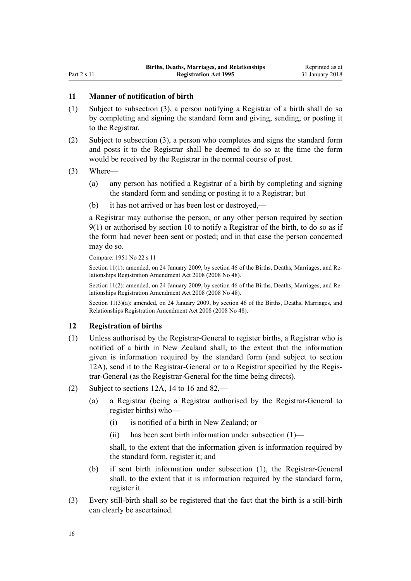#### <span id="page-15-0"></span>**11 Manner of notification of birth**

- (1) Subject to subsection (3), a person notifying a Registrar of a birth shall do so by completing and signing the standard form and giving, sending, or posting it to the Registrar.
- (2) Subject to subsection (3), a person who completes and signs the standard form and posts it to the Registrar shall be deemed to do so at the time the form would be received by the Registrar in the normal course of post.

#### (3) Where—

- (a) any person has notified a Registrar of a birth by completing and signing the standard form and sending or posting it to a Registrar; but
- (b) it has not arrived or has been lost or destroyed,—

a Registrar may authorise the person, or any other person required by [section](#page-13-0) [9\(1\)](#page-13-0) or authorised by [section 10](#page-14-0) to notify a Registrar of the birth, to do so as if the form had never been sent or posted; and in that case the person concerned may do so.

Compare: 1951 No 22 s 11

Section 11(1): amended, on 24 January 2009, by [section 46](http://prd-lgnz-nlb.prd.pco.net.nz/pdflink.aspx?id=DLM1048941) of the Births, Deaths, Marriages, and Relationships Registration Amendment Act 2008 (2008 No 48).

Section 11(2): amended, on 24 January 2009, by [section 46](http://prd-lgnz-nlb.prd.pco.net.nz/pdflink.aspx?id=DLM1048941) of the Births, Deaths, Marriages, and Relationships Registration Amendment Act 2008 (2008 No 48).

Section 11(3)(a): amended, on 24 January 2009, by [section 46](http://prd-lgnz-nlb.prd.pco.net.nz/pdflink.aspx?id=DLM1048941) of the Births, Deaths, Marriages, and Relationships Registration Amendment Act 2008 (2008 No 48).

#### **12 Registration of births**

- (1) Unless authorised by the Registrar-General to register births, a Registrar who is notified of a birth in New Zealand shall, to the extent that the information given is information required by the standard form (and subject to [section](#page-16-0) [12A](#page-16-0)), send it to the Registrar-General or to a Registrar specified by the Registrar-General (as the Registrar-General for the time being directs).
- (2) Subject to [sections 12A](#page-16-0), [14 to 16](#page-17-0) and [82](#page-75-0),—
	- (a) a Registrar (being a Registrar authorised by the Registrar-General to register births) who—
		- (i) is notified of a birth in New Zealand; or
		- (ii) has been sent birth information under subsection (1)—

shall, to the extent that the information given is information required by the standard form, register it; and

- (b) if sent birth information under subsection (1), the Registrar-General shall, to the extent that it is information required by the standard form, register it.
- (3) Every still-birth shall so be registered that the fact that the birth is a still-birth can clearly be ascertained.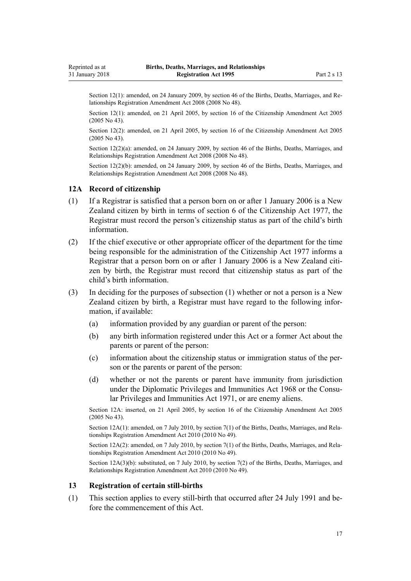<span id="page-16-0"></span>Section 12(1): amended, on 24 January 2009, by [section 46](http://prd-lgnz-nlb.prd.pco.net.nz/pdflink.aspx?id=DLM1048941) of the Births, Deaths, Marriages, and Relationships Registration Amendment Act 2008 (2008 No 48).

Section 12(1): amended, on 21 April 2005, by [section 16](http://prd-lgnz-nlb.prd.pco.net.nz/pdflink.aspx?id=DLM346765) of the Citizenship Amendment Act 2005 (2005 No 43).

Section 12(2): amended, on 21 April 2005, by [section 16](http://prd-lgnz-nlb.prd.pco.net.nz/pdflink.aspx?id=DLM346765) of the Citizenship Amendment Act 2005 (2005 No 43).

Section 12(2)(a): amended, on 24 January 2009, by [section 46](http://prd-lgnz-nlb.prd.pco.net.nz/pdflink.aspx?id=DLM1048941) of the Births, Deaths, Marriages, and Relationships Registration Amendment Act 2008 (2008 No 48).

Section 12(2)(b): amended, on 24 January 2009, by [section 46](http://prd-lgnz-nlb.prd.pco.net.nz/pdflink.aspx?id=DLM1048941) of the Births, Deaths, Marriages, and Relationships Registration Amendment Act 2008 (2008 No 48).

#### **12A Record of citizenship**

- (1) If a Registrar is satisfied that a person born on or after 1 January 2006 is a New Zealand citizen by birth in terms of [section 6](http://prd-lgnz-nlb.prd.pco.net.nz/pdflink.aspx?id=DLM443841) of the Citizenship Act 1977, the Registrar must record the person's citizenship status as part of the child's birth information.
- (2) If the chief executive or other appropriate officer of the department for the time being responsible for the administration of the [Citizenship Act 1977](http://prd-lgnz-nlb.prd.pco.net.nz/pdflink.aspx?id=DLM443683) informs a Registrar that a person born on or after 1 January 2006 is a New Zealand citizen by birth, the Registrar must record that citizenship status as part of the child's birth information.
- (3) In deciding for the purposes of subsection (1) whether or not a person is a New Zealand citizen by birth, a Registrar must have regard to the following information, if available:
	- (a) information provided by any guardian or parent of the person:
	- (b) any birth information registered under this Act or a former Act about the parents or parent of the person:
	- (c) information about the citizenship status or immigration status of the person or the parents or parent of the person:
	- (d) whether or not the parents or parent have immunity from jurisdiction under the [Diplomatic Privileges and Immunities Act 1968](http://prd-lgnz-nlb.prd.pco.net.nz/pdflink.aspx?id=DLM387495) or the [Consu](http://prd-lgnz-nlb.prd.pco.net.nz/pdflink.aspx?id=DLM397288)[lar Privileges and Immunities Act 1971](http://prd-lgnz-nlb.prd.pco.net.nz/pdflink.aspx?id=DLM397288), or are enemy aliens.

Section 12A: inserted, on 21 April 2005, by [section 16](http://prd-lgnz-nlb.prd.pco.net.nz/pdflink.aspx?id=DLM346765) of the Citizenship Amendment Act 2005 (2005 No 43).

Section 12A(1): amended, on 7 July 2010, by [section 7\(1\)](http://prd-lgnz-nlb.prd.pco.net.nz/pdflink.aspx?id=DLM3040109) of the Births, Deaths, Marriages, and Relationships Registration Amendment Act 2010 (2010 No 49).

Section 12A(2): amended, on 7 July 2010, by [section 7\(1\)](http://prd-lgnz-nlb.prd.pco.net.nz/pdflink.aspx?id=DLM3040109) of the Births, Deaths, Marriages, and Relationships Registration Amendment Act 2010 (2010 No 49).

Section 12A(3)(b): substituted, on 7 July 2010, by [section 7\(2\)](http://prd-lgnz-nlb.prd.pco.net.nz/pdflink.aspx?id=DLM3040109) of the Births, Deaths, Marriages, and Relationships Registration Amendment Act 2010 (2010 No 49).

#### **13 Registration of certain still-births**

(1) This section applies to every still-birth that occurred after 24 July 1991 and before the commencement of this Act.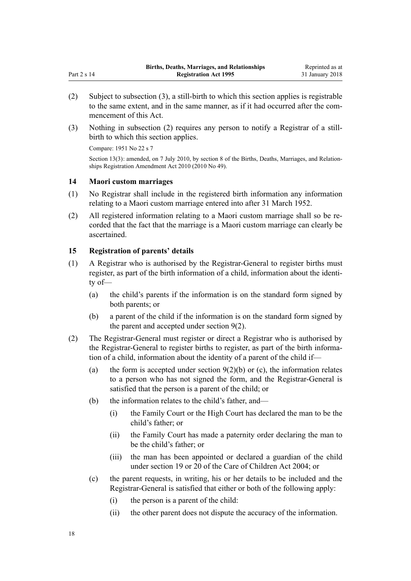- (2) Subject to subsection (3), a still-birth to which this section applies is registrable to the same extent, and in the same manner, as if it had occurred after the commencement of this Act.
- (3) Nothing in subsection (2) requires any person to notify a Registrar of a stillbirth to which this section applies.

Compare: 1951 No 22 s 7

<span id="page-17-0"></span>Part 2 s 14

Section 13(3): amended, on 7 July 2010, by [section 8](http://prd-lgnz-nlb.prd.pco.net.nz/pdflink.aspx?id=DLM3040110) of the Births, Deaths, Marriages, and Relationships Registration Amendment Act 2010 (2010 No 49).

#### **14 Maori custom marriages**

- (1) No Registrar shall include in the registered birth information any information relating to a Maori custom marriage entered into after 31 March 1952.
- (2) All registered information relating to a Maori custom marriage shall so be recorded that the fact that the marriage is a Maori custom marriage can clearly be ascertained.

## **15 Registration of parents' details**

- (1) A Registrar who is authorised by the Registrar-General to register births must register, as part of the birth information of a child, information about the identity of—
	- (a) the child's parents if the information is on the standard form signed by both parents; or
	- (b) a parent of the child if the information is on the standard form signed by the parent and accepted under [section 9\(2\).](#page-13-0)
- (2) The Registrar-General must register or direct a Registrar who is authorised by the Registrar-General to register births to register, as part of the birth information of a child, information about the identity of a parent of the child if—
	- (a) the form is accepted under section  $9(2)(b)$  or (c), the information relates to a person who has not signed the form, and the Registrar-General is satisfied that the person is a parent of the child; or
	- (b) the information relates to the child's father, and—
		- (i) the Family Court or the High Court has declared the man to be the child's father; or
		- (ii) the Family Court has made a paternity order declaring the man to be the child's father; or
		- (iii) the man has been appointed or declared a guardian of the child under [section 19](http://prd-lgnz-nlb.prd.pco.net.nz/pdflink.aspx?id=DLM317422) or [20](http://prd-lgnz-nlb.prd.pco.net.nz/pdflink.aspx?id=DLM317424) of the Care of Children Act 2004; or
	- (c) the parent requests, in writing, his or her details to be included and the Registrar-General is satisfied that either or both of the following apply:
		- (i) the person is a parent of the child:
		- (ii) the other parent does not dispute the accuracy of the information.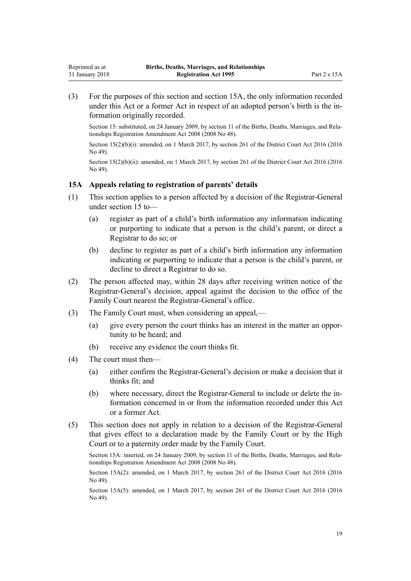<span id="page-18-0"></span>(3) For the purposes of this section and section 15A, the only information recorded under this Act or a former Act in respect of an adopted person's birth is the information originally recorded.

Section 15: substituted, on 24 January 2009, by [section 11](http://prd-lgnz-nlb.prd.pco.net.nz/pdflink.aspx?id=DLM1048854) of the Births, Deaths, Marriages, and Relationships Registration Amendment Act 2008 (2008 No 48).

Section 15(2)(b)(i): amended, on 1 March 2017, by [section 261](http://prd-lgnz-nlb.prd.pco.net.nz/pdflink.aspx?id=DLM6942680) of the District Court Act 2016 (2016) No 49).

Section 15(2)(b)(ii): amended, on 1 March 2017, by [section 261](http://prd-lgnz-nlb.prd.pco.net.nz/pdflink.aspx?id=DLM6942680) of the District Court Act 2016 (2016) No 49).

## **15A Appeals relating to registration of parents' details**

- (1) This section applies to a person affected by a decision of the Registrar-General under [section 15](#page-17-0) to—
	- (a) register as part of a child's birth information any information indicating or purporting to indicate that a person is the child's parent, or direct a Registrar to do so; or
	- (b) decline to register as part of a child's birth information any information indicating or purporting to indicate that a person is the child's parent, or decline to direct a Registrar to do so.
- (2) The person affected may, within 28 days after receiving written notice of the Registrar-General's decision, appeal against the decision to the office of the Family Court nearest the Registrar-General's office.
- (3) The Family Court must, when considering an appeal,—
	- (a) give every person the court thinks has an interest in the matter an opportunity to be heard; and
	- (b) receive any evidence the court thinks fit.
- (4) The court must then—
	- (a) either confirm the Registrar-General's decision or make a decision that it thinks fit; and
	- (b) where necessary, direct the Registrar-General to include or delete the information concerned in or from the information recorded under this Act or a former Act.
- (5) This section does not apply in relation to a decision of the Registrar-General that gives effect to a declaration made by the Family Court or by the High Court or to a paternity order made by the Family Court.

Section 15A: inserted, on 24 January 2009, by [section 11](http://prd-lgnz-nlb.prd.pco.net.nz/pdflink.aspx?id=DLM1048854) of the Births, Deaths, Marriages, and Relationships Registration Amendment Act 2008 (2008 No 48).

Section 15A(2): amended, on 1 March 2017, by [section 261](http://prd-lgnz-nlb.prd.pco.net.nz/pdflink.aspx?id=DLM6942680) of the District Court Act 2016 (2016) No 49).

Section 15A(5): amended, on 1 March 2017, by [section 261](http://prd-lgnz-nlb.prd.pco.net.nz/pdflink.aspx?id=DLM6942680) of the District Court Act 2016 (2016 No 49).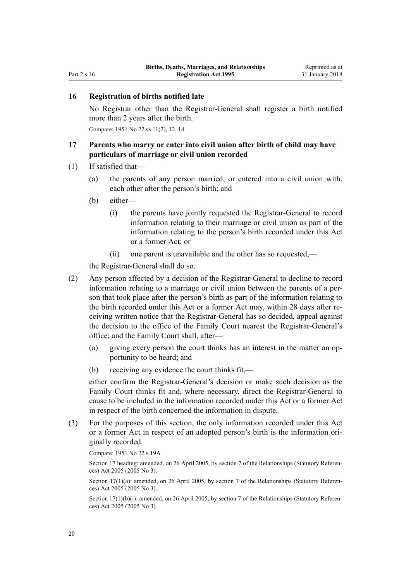## <span id="page-19-0"></span>**16 Registration of births notified late**

No Registrar other than the Registrar-General shall register a birth notified more than 2 years after the birth.

Compare: 1951 No 22 ss 11(2), 12, 14

## **17 Parents who marry or enter into civil union after birth of child may have particulars of marriage or civil union recorded**

- (1) If satisfied that—
	- (a) the parents of any person married, or entered into a civil union with, each other after the person's birth; and
	- (b) either—
		- (i) the parents have jointly requested the Registrar-General to record information relating to their marriage or civil union as part of the information relating to the person's birth recorded under this Act or a former Act; or
		- (ii) one parent is unavailable and the other has so requested,—

the Registrar-General shall do so.

- (2) Any person affected by a decision of the Registrar-General to decline to record information relating to a marriage or civil union between the parents of a person that took place after the person's birth as part of the information relating to the birth recorded under this Act or a former Act may, within 28 days after receiving written notice that the Registrar-General has so decided, appeal against the decision to the office of the Family Court nearest the Registrar-General's office; and the Family Court shall, after—
	- (a) giving every person the court thinks has an interest in the matter an opportunity to be heard; and
	- (b) receiving any evidence the court thinks fit,—

either confirm the Registrar-General's decision or make such decision as the Family Court thinks fit and, where necessary, direct the Registrar-General to cause to be included in the information recorded under this Act or a former Act in respect of the birth concerned the information in dispute.

(3) For the purposes of this section, the only information recorded under this Act or a former Act in respect of an adopted person's birth is the information originally recorded.

Compare: 1951 No 22 s 19A

Section 17 heading: amended, on 26 April 2005, by [section 7](http://prd-lgnz-nlb.prd.pco.net.nz/pdflink.aspx?id=DLM333795) of the Relationships (Statutory References) Act 2005 (2005 No 3).

Section 17(1)(a): amended, on 26 April 2005, by [section 7](http://prd-lgnz-nlb.prd.pco.net.nz/pdflink.aspx?id=DLM333795) of the Relationships (Statutory References) Act 2005 (2005 No 3).

Section 17(1)(b)(i): amended, on 26 April 2005, by [section 7](http://prd-lgnz-nlb.prd.pco.net.nz/pdflink.aspx?id=DLM333795) of the Relationships (Statutory References) Act 2005 (2005 No 3).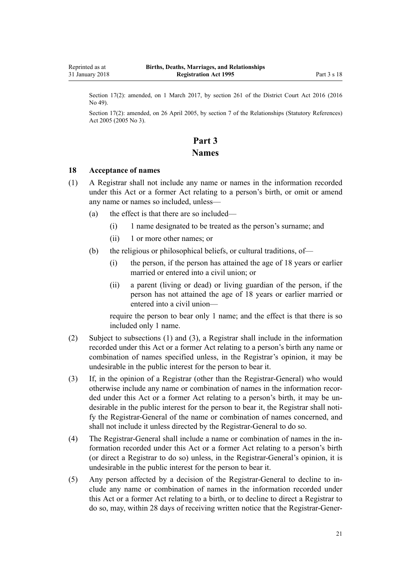<span id="page-20-0"></span>Section 17(2): amended, on 1 March 2017, by [section 261](http://prd-lgnz-nlb.prd.pco.net.nz/pdflink.aspx?id=DLM6942680) of the District Court Act 2016 (2016) No 49).

Section 17(2): amended, on 26 April 2005, by [section 7](http://prd-lgnz-nlb.prd.pco.net.nz/pdflink.aspx?id=DLM333795) of the Relationships (Statutory References) Act 2005 (2005 No 3).

## **Part 3 Names**

#### **18 Acceptance of names**

- (1) A Registrar shall not include any name or names in the information recorded under this Act or a former Act relating to a person's birth, or omit or amend any name or names so included, unless—
	- (a) the effect is that there are so included—
		- (i) 1 name designated to be treated as the person's surname; and
		- (ii) 1 or more other names; or
	- (b) the religious or philosophical beliefs, or cultural traditions, of—
		- (i) the person, if the person has attained the age of 18 years or earlier married or entered into a civil union; or
		- (ii) a parent (living or dead) or living guardian of the person, if the person has not attained the age of 18 years or earlier married or entered into a civil union—

require the person to bear only 1 name; and the effect is that there is so included only 1 name.

- (2) Subject to subsections (1) and (3), a Registrar shall include in the information recorded under this Act or a former Act relating to a person's birth any name or combination of names specified unless, in the Registrar's opinion, it may be undesirable in the public interest for the person to bear it.
- (3) If, in the opinion of a Registrar (other than the Registrar-General) who would otherwise include any name or combination of names in the information recorded under this Act or a former Act relating to a person's birth, it may be undesirable in the public interest for the person to bear it, the Registrar shall notify the Registrar-General of the name or combination of names concerned, and shall not include it unless directed by the Registrar-General to do so.
- (4) The Registrar-General shall include a name or combination of names in the information recorded under this Act or a former Act relating to a person's birth (or direct a Registrar to do so) unless, in the Registrar-General's opinion, it is undesirable in the public interest for the person to bear it.
- (5) Any person affected by a decision of the Registrar-General to decline to include any name or combination of names in the information recorded under this Act or a former Act relating to a birth, or to decline to direct a Registrar to do so, may, within 28 days of receiving written notice that the Registrar-Gener-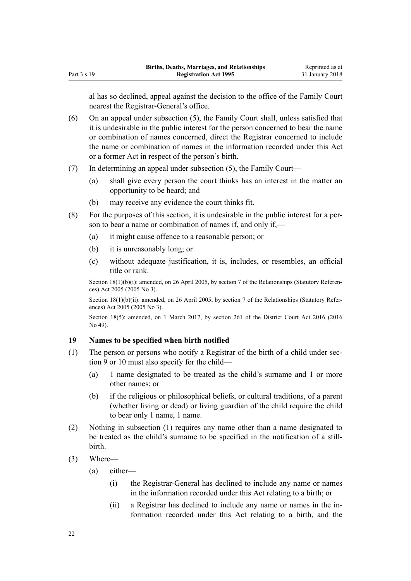<span id="page-21-0"></span>al has so declined, appeal against the decision to the office of the Family Court nearest the Registrar-General's office.

- (6) On an appeal under subsection (5), the Family Court shall, unless satisfied that it is undesirable in the public interest for the person concerned to bear the name or combination of names concerned, direct the Registrar concerned to include the name or combination of names in the information recorded under this Act or a former Act in respect of the person's birth.
- (7) In determining an appeal under subsection (5), the Family Court—
	- (a) shall give every person the court thinks has an interest in the matter an opportunity to be heard; and
	- (b) may receive any evidence the court thinks fit.
- (8) For the purposes of this section, it is undesirable in the public interest for a person to bear a name or combination of names if, and only if,—
	- (a) it might cause offence to a reasonable person; or
	- (b) it is unreasonably long; or
	- (c) without adequate justification, it is, includes, or resembles, an official title or rank.

Section 18(1)(b)(i): amended, on 26 April 2005, by [section 7](http://prd-lgnz-nlb.prd.pco.net.nz/pdflink.aspx?id=DLM333795) of the Relationships (Statutory References) Act 2005 (2005 No 3).

Section 18(1)(b)(ii): amended, on 26 April 2005, by [section 7](http://prd-lgnz-nlb.prd.pco.net.nz/pdflink.aspx?id=DLM333795) of the Relationships (Statutory References) Act 2005 (2005 No 3).

Section 18(5): amended, on 1 March 2017, by [section 261](http://prd-lgnz-nlb.prd.pco.net.nz/pdflink.aspx?id=DLM6942680) of the District Court Act 2016 (2016) No 49).

## **19 Names to be specified when birth notified**

- (1) The person or persons who notify a Registrar of the birth of a child under [sec](#page-13-0)[tion 9](#page-13-0) or [10](#page-14-0) must also specify for the child—
	- (a) 1 name designated to be treated as the child's surname and 1 or more other names; or
	- (b) if the religious or philosophical beliefs, or cultural traditions, of a parent (whether living or dead) or living guardian of the child require the child to bear only 1 name, 1 name.
- (2) Nothing in subsection (1) requires any name other than a name designated to be treated as the child's surname to be specified in the notification of a stillbirth.
- (3) Where—
	- (a) either—
		- (i) the Registrar-General has declined to include any name or names in the information recorded under this Act relating to a birth; or
		- (ii) a Registrar has declined to include any name or names in the information recorded under this Act relating to a birth, and the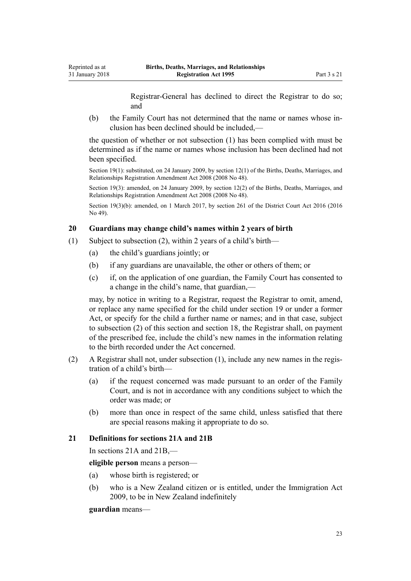Registrar-General has declined to direct the Registrar to do so; and

<span id="page-22-0"></span>(b) the Family Court has not determined that the name or names whose inclusion has been declined should be included,—

the question of whether or not subsection (1) has been complied with must be determined as if the name or names whose inclusion has been declined had not been specified.

Section 19(1): substituted, on 24 January 2009, by [section 12\(1\)](http://prd-lgnz-nlb.prd.pco.net.nz/pdflink.aspx?id=DLM1048857) of the Births, Deaths, Marriages, and Relationships Registration Amendment Act 2008 (2008 No 48).

Section 19(3): amended, on 24 January 2009, by [section 12\(2\)](http://prd-lgnz-nlb.prd.pco.net.nz/pdflink.aspx?id=DLM1048857) of the Births, Deaths, Marriages, and Relationships Registration Amendment Act 2008 (2008 No 48).

Section 19(3)(b): amended, on 1 March 2017, by [section 261](http://prd-lgnz-nlb.prd.pco.net.nz/pdflink.aspx?id=DLM6942680) of the District Court Act 2016 (2016) No 49).

## **20 Guardians may change child's names within 2 years of birth**

- (1) Subject to subsection (2), within 2 years of a child's birth—
	- (a) the child's guardians jointly; or
	- (b) if any guardians are unavailable, the other or others of them; or
	- (c) if, on the application of one guardian, the Family Court has consented to a change in the child's name, that guardian,—

may, by notice in writing to a Registrar, request the Registrar to omit, amend, or replace any name specified for the child under [section 19](#page-21-0) or under a former Act, or specify for the child a further name or names; and in that case, subject to subsection (2) of this section and [section 18](#page-20-0), the Registrar shall, on payment of the prescribed fee, include the child's new names in the information relating to the birth recorded under the Act concerned.

- (2) A Registrar shall not, under subsection (1), include any new names in the registration of a child's birth—
	- (a) if the request concerned was made pursuant to an order of the Family Court, and is not in accordance with any conditions subject to which the order was made; or
	- (b) more than once in respect of the same child, unless satisfied that there are special reasons making it appropriate to do so.

## **21 Definitions for sections 21A and 21B**

In [sections 21A](#page-23-0) and [21B,](#page-25-0)—

**eligible person** means a person—

- (a) whose birth is registered; or
- (b) who is a New Zealand citizen or is entitled, under the [Immigration Act](http://prd-lgnz-nlb.prd.pco.net.nz/pdflink.aspx?id=DLM1440300) [2009](http://prd-lgnz-nlb.prd.pco.net.nz/pdflink.aspx?id=DLM1440300), to be in New Zealand indefinitely

**guardian** means—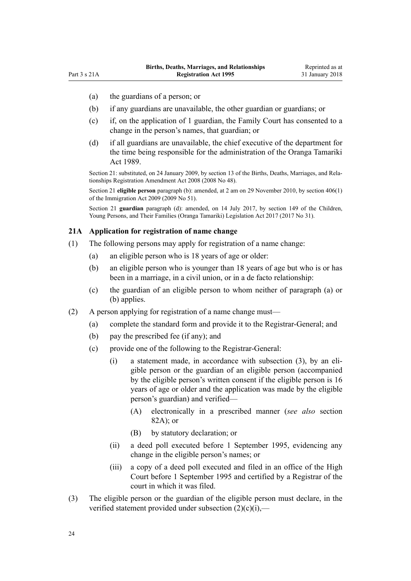- <span id="page-23-0"></span>(a) the guardians of a person; or
- (b) if any guardians are unavailable, the other guardian or guardians; or
- (c) if, on the application of 1 guardian, the Family Court has consented to a change in the person's names, that guardian; or
- (d) if all guardians are unavailable, the chief executive of the department for the time being responsible for the administration of the [Oranga Tamariki](http://prd-lgnz-nlb.prd.pco.net.nz/pdflink.aspx?id=DLM147087) [Act 1989.](http://prd-lgnz-nlb.prd.pco.net.nz/pdflink.aspx?id=DLM147087)

Section 21: substituted, on 24 January 2009, by [section 13](http://prd-lgnz-nlb.prd.pco.net.nz/pdflink.aspx?id=DLM1048858) of the Births, Deaths, Marriages, and Relationships Registration Amendment Act 2008 (2008 No 48).

Section 21 **eligible person** paragraph (b): amended, at 2 am on 29 November 2010, by [section 406\(1\)](http://prd-lgnz-nlb.prd.pco.net.nz/pdflink.aspx?id=DLM1441347) of the Immigration Act 2009 (2009 No 51).

Section 21 **guardian** paragraph (d): amended, on 14 July 2017, by [section 149](http://prd-lgnz-nlb.prd.pco.net.nz/pdflink.aspx?id=DLM7287401) of the Children, Young Persons, and Their Families (Oranga Tamariki) Legislation Act 2017 (2017 No 31).

#### **21A Application for registration of name change**

- (1) The following persons may apply for registration of a name change:
	- (a) an eligible person who is 18 years of age or older:
	- (b) an eligible person who is younger than 18 years of age but who is or has been in a marriage, in a civil union, or in a de facto relationship:
	- (c) the guardian of an eligible person to whom neither of paragraph (a) or (b) applies.
- (2) A person applying for registration of a name change must—
	- (a) complete the standard form and provide it to the Registrar-General; and
	- (b) pay the prescribed fee (if any); and
	- (c) provide one of the following to the Registrar-General:
		- (i) a statement made, in accordance with subsection (3), by an eligible person or the guardian of an eligible person (accompanied by the eligible person's written consent if the eligible person is 16 years of age or older and the application was made by the eligible person's guardian) and verified—
			- (A) electronically in a prescribed manner (*see also* [section](#page-76-0) [82A](#page-76-0)); or
			- (B) by statutory declaration; or
		- (ii) a deed poll executed before 1 September 1995, evidencing any change in the eligible person's names; or
		- (iii) a copy of a deed poll executed and filed in an office of the High Court before 1 September 1995 and certified by a Registrar of the court in which it was filed.
- (3) The eligible person or the guardian of the eligible person must declare, in the verified statement provided under subsection  $(2)(c)(i)$ ,—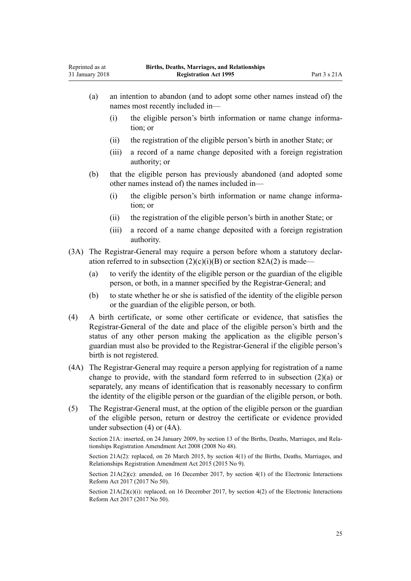- (a) an intention to abandon (and to adopt some other names instead of) the names most recently included in—
	- (i) the eligible person's birth information or name change information; or
	- (ii) the registration of the eligible person's birth in another State; or
	- (iii) a record of a name change deposited with a foreign registration authority; or
- (b) that the eligible person has previously abandoned (and adopted some other names instead of) the names included in—
	- (i) the eligible person's birth information or name change information; or
	- (ii) the registration of the eligible person's birth in another State; or
	- (iii) a record of a name change deposited with a foreign registration authority.
- (3A) The Registrar-General may require a person before whom a statutory declaration referred to in subsection  $(2)(c)(i)(B)$  or [section 82A\(2\)](#page-76-0) is made–
	- (a) to verify the identity of the eligible person or the guardian of the eligible person, or both, in a manner specified by the Registrar-General; and
	- (b) to state whether he or she is satisfied of the identity of the eligible person or the guardian of the eligible person, or both.
- (4) A birth certificate, or some other certificate or evidence, that satisfies the Registrar-General of the date and place of the eligible person's birth and the status of any other person making the application as the eligible person's guardian must also be provided to the Registrar-General if the eligible person's birth is not registered.
- (4A) The Registrar-General may require a person applying for registration of a name change to provide, with the standard form referred to in subsection  $(2)(a)$  or separately, any means of identification that is reasonably necessary to confirm the identity of the eligible person or the guardian of the eligible person, or both.
- (5) The Registrar-General must, at the option of the eligible person or the guardian of the eligible person, return or destroy the certificate or evidence provided under subsection (4) or (4A).

Section 21A: inserted, on 24 January 2009, by [section 13](http://prd-lgnz-nlb.prd.pco.net.nz/pdflink.aspx?id=DLM1048858) of the Births, Deaths, Marriages, and Relationships Registration Amendment Act 2008 (2008 No 48).

Section 21A(2): replaced, on 26 March 2015, by [section 4\(1\)](http://prd-lgnz-nlb.prd.pco.net.nz/pdflink.aspx?id=DLM6403408) of the Births, Deaths, Marriages, and Relationships Registration Amendment Act 2015 (2015 No 9).

Section  $21A(2)(c)$ : amended, on 16 December 2017, by [section 4\(1\)](http://prd-lgnz-nlb.prd.pco.net.nz/pdflink.aspx?id=DLM6962121) of the Electronic Interactions Reform Act 2017 (2017 No 50).

Section  $21A(2)(c)(i)$ : replaced, on 16 December 2017, by [section 4\(2\)](http://prd-lgnz-nlb.prd.pco.net.nz/pdflink.aspx?id=DLM6962121) of the Electronic Interactions Reform Act 2017 (2017 No 50).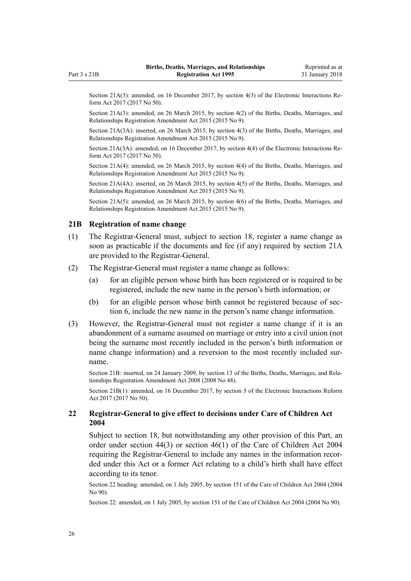<span id="page-25-0"></span>Section 21A(3): amended, on 16 December 2017, by [section 4\(3\)](http://prd-lgnz-nlb.prd.pco.net.nz/pdflink.aspx?id=DLM6962121) of the Electronic Interactions Reform Act 2017 (2017 No 50).

Section 21A(3): amended, on 26 March 2015, by [section 4\(2\)](http://prd-lgnz-nlb.prd.pco.net.nz/pdflink.aspx?id=DLM6403408) of the Births, Deaths, Marriages, and Relationships Registration Amendment Act 2015 (2015 No 9).

Section 21A(3A): inserted, on 26 March 2015, by [section 4\(3\)](http://prd-lgnz-nlb.prd.pco.net.nz/pdflink.aspx?id=DLM6403408) of the Births, Deaths, Marriages, and Relationships Registration Amendment Act 2015 (2015 No 9).

Section 21A(3A): amended, on 16 December 2017, by [section 4\(4\)](http://prd-lgnz-nlb.prd.pco.net.nz/pdflink.aspx?id=DLM6962121) of the Electronic Interactions Reform Act 2017 (2017 No 50).

Section 21A(4): amended, on 26 March 2015, by [section 4\(4\)](http://prd-lgnz-nlb.prd.pco.net.nz/pdflink.aspx?id=DLM6403408) of the Births, Deaths, Marriages, and Relationships Registration Amendment Act 2015 (2015 No 9).

Section 21A(4A): inserted, on 26 March 2015, by [section 4\(5\)](http://prd-lgnz-nlb.prd.pco.net.nz/pdflink.aspx?id=DLM6403408) of the Births, Deaths, Marriages, and Relationships Registration Amendment Act 2015 (2015 No 9).

Section 21A(5): amended, on 26 March 2015, by [section 4\(6\)](http://prd-lgnz-nlb.prd.pco.net.nz/pdflink.aspx?id=DLM6403408) of the Births, Deaths, Marriages, and Relationships Registration Amendment Act 2015 (2015 No 9).

#### **21B Registration of name change**

- (1) The Registrar-General must, subject to [section 18](#page-20-0), register a name change as soon as practicable if the documents and fee (if any) required by [section 21A](#page-23-0) are provided to the Registrar-General.
- (2) The Registrar-General must register a name change as follows:
	- (a) for an eligible person whose birth has been registered or is required to be registered, include the new name in the person's birth information; or
	- (b) for an eligible person whose birth cannot be registered because of [sec](#page-13-0)[tion 6,](#page-13-0) include the new name in the person's name change information.
- (3) However, the Registrar-General must not register a name change if it is an abandonment of a surname assumed on marriage or entry into a civil union (not being the surname most recently included in the person's birth information or name change information) and a reversion to the most recently included surname.

Section 21B: inserted, on 24 January 2009, by [section 13](http://prd-lgnz-nlb.prd.pco.net.nz/pdflink.aspx?id=DLM1048858) of the Births, Deaths, Marriages, and Relationships Registration Amendment Act 2008 (2008 No 48).

Section 21B(1): amended, on 16 December 2017, by [section 5](http://prd-lgnz-nlb.prd.pco.net.nz/pdflink.aspx?id=DLM6962122) of the Electronic Interactions Reform Act 2017 (2017 No 50).

## **22 Registrar-General to give effect to decisions under Care of Children Act 2004**

Subject to [section 18](#page-20-0), but notwithstanding any other provision of this Part, an order under [section 44\(3\)](http://prd-lgnz-nlb.prd.pco.net.nz/pdflink.aspx?id=DLM317490) or [section 46\(1\)](http://prd-lgnz-nlb.prd.pco.net.nz/pdflink.aspx?id=DLM317497) of the Care of Children Act 2004 requiring the Registrar-General to include any names in the information recorded under this Act or a former Act relating to a child's birth shall have effect according to its tenor.

Section 22 heading: amended, on 1 July 2005, by [section 151](http://prd-lgnz-nlb.prd.pco.net.nz/pdflink.aspx?id=DLM317988) of the Care of Children Act 2004 (2004 No 90).

Section 22: amended, on 1 July 2005, by [section 151](http://prd-lgnz-nlb.prd.pco.net.nz/pdflink.aspx?id=DLM317988) of the Care of Children Act 2004 (2004 No 90).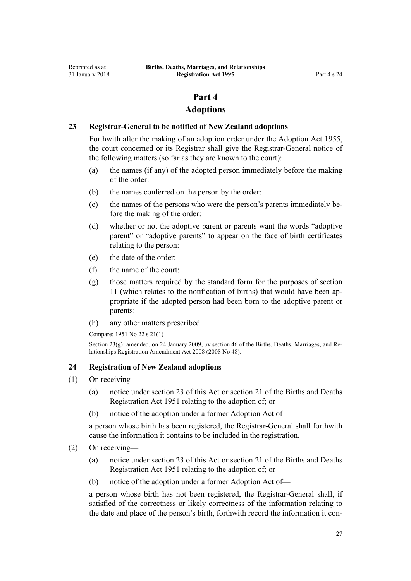## **Part 4**

## **Adoptions**

## <span id="page-26-0"></span>**23 Registrar-General to be notified of New Zealand adoptions**

Forthwith after the making of an adoption order under the [Adoption Act 1955](http://prd-lgnz-nlb.prd.pco.net.nz/pdflink.aspx?id=DLM292660), the court concerned or its Registrar shall give the Registrar-General notice of the following matters (so far as they are known to the court):

- (a) the names (if any) of the adopted person immediately before the making of the order:
- (b) the names conferred on the person by the order:
- (c) the names of the persons who were the person's parents immediately before the making of the order:
- (d) whether or not the adoptive parent or parents want the words "adoptive parent" or "adoptive parents" to appear on the face of birth certificates relating to the person:
- (e) the date of the order:
- (f) the name of the court:
- (g) those matters required by the standard form for the purposes of [section](#page-15-0) [11](#page-15-0) (which relates to the notification of births) that would have been appropriate if the adopted person had been born to the adoptive parent or parents:
- (h) any other matters prescribed.

Compare: 1951 No 22 s 21(1)

Section  $23(g)$ : amended, on 24 January 2009, by [section 46](http://prd-lgnz-nlb.prd.pco.net.nz/pdflink.aspx?id=DLM1048941) of the Births, Deaths, Marriages, and Relationships Registration Amendment Act 2008 (2008 No 48).

## **24 Registration of New Zealand adoptions**

- (1) On receiving—
	- (a) notice under section 23 of this Act or section 21 of the Births and Deaths Registration Act 1951 relating to the adoption of; or
	- (b) notice of the adoption under a former Adoption Act of—

a person whose birth has been registered, the Registrar-General shall forthwith cause the information it contains to be included in the registration.

- (2) On receiving—
	- (a) notice under section 23 of this Act or section 21 of the Births and Deaths Registration Act 1951 relating to the adoption of; or
	- (b) notice of the adoption under a former Adoption Act of—

a person whose birth has not been registered, the Registrar-General shall, if satisfied of the correctness or likely correctness of the information relating to the date and place of the person's birth, forthwith record the information it con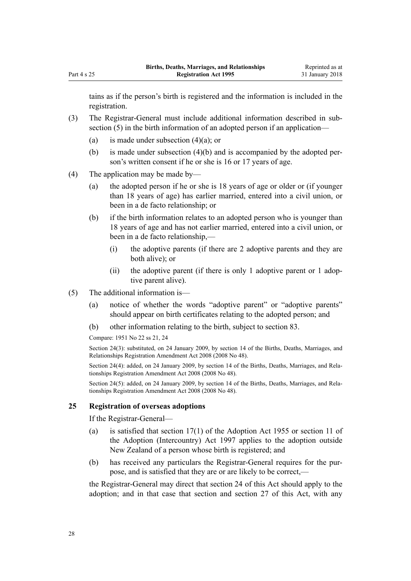<span id="page-27-0"></span>tains as if the person's birth is registered and the information is included in the registration.

- (3) The Registrar-General must include additional information described in subsection (5) in the birth information of an adopted person if an application—
	- (a) is made under subsection  $(4)(a)$ ; or
	- (b) is made under subsection  $(4)(b)$  and is accompanied by the adopted person's written consent if he or she is 16 or 17 years of age.
- (4) The application may be made by—
	- (a) the adopted person if he or she is 18 years of age or older or (if younger than 18 years of age) has earlier married, entered into a civil union, or been in a de facto relationship; or
	- (b) if the birth information relates to an adopted person who is younger than 18 years of age and has not earlier married, entered into a civil union, or been in a de facto relationship,—
		- (i) the adoptive parents (if there are 2 adoptive parents and they are both alive); or
		- (ii) the adoptive parent (if there is only 1 adoptive parent or 1 adoptive parent alive).
- (5) The additional information is—
	- (a) notice of whether the words "adoptive parent" or "adoptive parents" should appear on birth certificates relating to the adopted person; and
	- (b) other information relating to the birth, subject to [section 83](#page-76-0).
	- Compare: 1951 No 22 ss 21, 24

Section 24(3): substituted, on 24 January 2009, by [section 14](http://prd-lgnz-nlb.prd.pco.net.nz/pdflink.aspx?id=DLM1048865) of the Births, Deaths, Marriages, and Relationships Registration Amendment Act 2008 (2008 No 48).

Section 24(4): added, on 24 January 2009, by [section 14](http://prd-lgnz-nlb.prd.pco.net.nz/pdflink.aspx?id=DLM1048865) of the Births, Deaths, Marriages, and Relationships Registration Amendment Act 2008 (2008 No 48).

Section 24(5): added, on 24 January 2009, by [section 14](http://prd-lgnz-nlb.prd.pco.net.nz/pdflink.aspx?id=DLM1048865) of the Births, Deaths, Marriages, and Relationships Registration Amendment Act 2008 (2008 No 48).

### **25 Registration of overseas adoptions**

If the Registrar-General—

- (a) is satisfied that [section 17\(1\)](http://prd-lgnz-nlb.prd.pco.net.nz/pdflink.aspx?id=DLM293196) of the Adoption Act 1955 or [section 11](http://prd-lgnz-nlb.prd.pco.net.nz/pdflink.aspx?id=DLM423030) of the Adoption (Intercountry) Act 1997 applies to the adoption outside New Zealand of a person whose birth is registered; and
- (b) has received any particulars the Registrar-General requires for the purpose, and is satisfied that they are or are likely to be correct,—

the Registrar-General may direct that [section 24](#page-26-0) of this Act should apply to the adoption; and in that case that section and [section 27](#page-28-0) of this Act, with any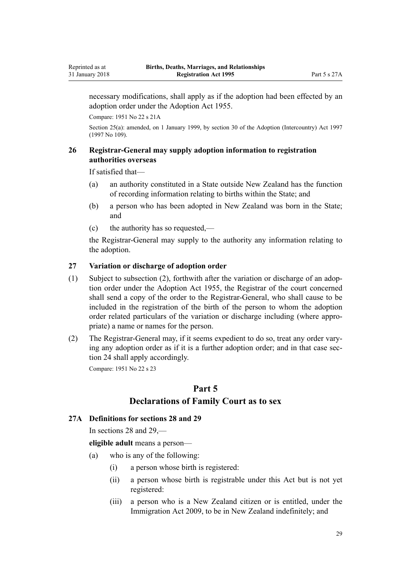<span id="page-28-0"></span>necessary modifications, shall apply as if the adoption had been effected by an adoption order under the [Adoption Act 1955](http://prd-lgnz-nlb.prd.pco.net.nz/pdflink.aspx?id=DLM292660).

Compare: 1951 No 22 s 21A

Section 25(a): amended, on 1 January 1999, by [section 30](http://prd-lgnz-nlb.prd.pco.net.nz/pdflink.aspx?id=DLM423068) of the Adoption (Intercountry) Act 1997 (1997 No 109).

## **26 Registrar-General may supply adoption information to registration authorities overseas**

If satisfied that—

- (a) an authority constituted in a State outside New Zealand has the function of recording information relating to births within the State; and
- (b) a person who has been adopted in New Zealand was born in the State; and
- (c) the authority has so requested,—

the Registrar-General may supply to the authority any information relating to the adoption.

### **27 Variation or discharge of adoption order**

- (1) Subject to subsection (2), forthwith after the variation or discharge of an adoption order under the [Adoption Act 1955,](http://prd-lgnz-nlb.prd.pco.net.nz/pdflink.aspx?id=DLM292660) the Registrar of the court concerned shall send a copy of the order to the Registrar-General, who shall cause to be included in the registration of the birth of the person to whom the adoption order related particulars of the variation or discharge including (where appropriate) a name or names for the person.
- (2) The Registrar-General may, if it seems expedient to do so, treat any order varying any adoption order as if it is a further adoption order; and in that case [sec](#page-26-0)[tion 24](#page-26-0) shall apply accordingly.

Compare: 1951 No 22 s 23

## **Part 5 Declarations of Family Court as to sex**

### **27A Definitions for sections 28 and 29**

In [sections 28](#page-29-0) and [29,](#page-30-0)—

**eligible adult** means a person—

- (a) who is any of the following:
	- (i) a person whose birth is registered:
	- (ii) a person whose birth is registrable under this Act but is not yet registered:
	- (iii) a person who is a New Zealand citizen or is entitled, under the [Immigration Act 2009](http://prd-lgnz-nlb.prd.pco.net.nz/pdflink.aspx?id=DLM1440300), to be in New Zealand indefinitely; and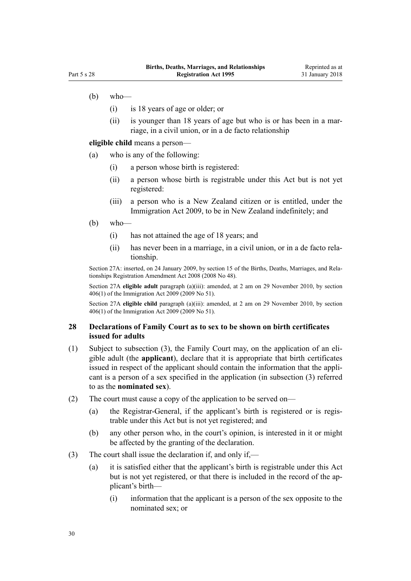- <span id="page-29-0"></span> $(b)$  who—
	- (i) is 18 years of age or older; or
	- (ii) is younger than 18 years of age but who is or has been in a marriage, in a civil union, or in a de facto relationship

**eligible child** means a person—

(a) who is any of the following:

- (i) a person whose birth is registered:
- (ii) a person whose birth is registrable under this Act but is not yet registered:
- (iii) a person who is a New Zealand citizen or is entitled, under the [Immigration Act 2009](http://prd-lgnz-nlb.prd.pco.net.nz/pdflink.aspx?id=DLM1440300), to be in New Zealand indefinitely; and
- (b) who—
	- (i) has not attained the age of 18 years; and
	- (ii) has never been in a marriage, in a civil union, or in a de facto relationship.

Section 27A: inserted, on 24 January 2009, by [section 15](http://prd-lgnz-nlb.prd.pco.net.nz/pdflink.aspx?id=DLM1048855) of the Births, Deaths, Marriages, and Relationships Registration Amendment Act 2008 (2008 No 48).

Section 27A **eligible adult** paragraph (a)(iii): amended, at 2 am on 29 November 2010, by [section](http://prd-lgnz-nlb.prd.pco.net.nz/pdflink.aspx?id=DLM1441347) [406\(1\)](http://prd-lgnz-nlb.prd.pco.net.nz/pdflink.aspx?id=DLM1441347) of the Immigration Act 2009 (2009 No 51).

Section 27A **eligible child** paragraph (a)(iii): amended, at 2 am on 29 November 2010, by [section](http://prd-lgnz-nlb.prd.pco.net.nz/pdflink.aspx?id=DLM1441347) [406\(1\)](http://prd-lgnz-nlb.prd.pco.net.nz/pdflink.aspx?id=DLM1441347) of the Immigration Act 2009 (2009 No 51).

#### **28 Declarations of Family Court as to sex to be shown on birth certificates issued for adults**

- (1) Subject to subsection (3), the Family Court may, on the application of an eligible adult (the **applicant**), declare that it is appropriate that birth certificates issued in respect of the applicant should contain the information that the applicant is a person of a sex specified in the application (in subsection (3) referred to as the **nominated sex**).
- (2) The court must cause a copy of the application to be served on—
	- (a) the Registrar-General, if the applicant's birth is registered or is registrable under this Act but is not yet registered; and
	- (b) any other person who, in the court's opinion, is interested in it or might be affected by the granting of the declaration.
- (3) The court shall issue the declaration if, and only if,—
	- (a) it is satisfied either that the applicant's birth is registrable under this Act but is not yet registered, or that there is included in the record of the applicant's birth—
		- (i) information that the applicant is a person of the sex opposite to the nominated sex; or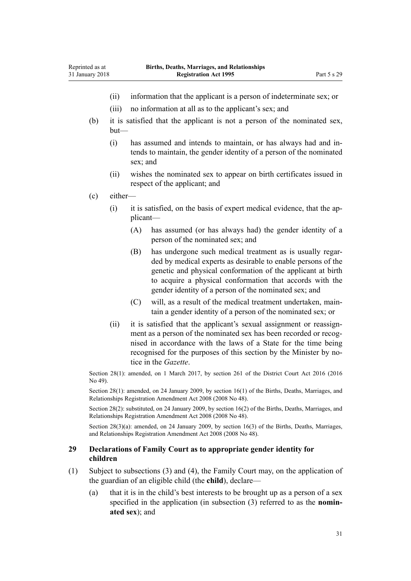- (ii) information that the applicant is a person of indeterminate sex; or
- (iii) no information at all as to the applicant's sex; and
- (b) it is satisfied that the applicant is not a person of the nominated sex, but—
	- (i) has assumed and intends to maintain, or has always had and intends to maintain, the gender identity of a person of the nominated sex; and
	- (ii) wishes the nominated sex to appear on birth certificates issued in respect of the applicant; and
- (c) either—

<span id="page-30-0"></span>Reprinted as at 31 January 2018

- (i) it is satisfied, on the basis of expert medical evidence, that the applicant—
	- (A) has assumed (or has always had) the gender identity of a person of the nominated sex; and
	- (B) has undergone such medical treatment as is usually regarded by medical experts as desirable to enable persons of the genetic and physical conformation of the applicant at birth to acquire a physical conformation that accords with the gender identity of a person of the nominated sex; and
	- (C) will, as a result of the medical treatment undertaken, maintain a gender identity of a person of the nominated sex; or
- (ii) it is satisfied that the applicant's sexual assignment or reassignment as a person of the nominated sex has been recorded or recognised in accordance with the laws of a State for the time being recognised for the purposes of this section by the Minister by notice in the *Gazette*.

Section 28(1): amended, on 1 March 2017, by [section 261](http://prd-lgnz-nlb.prd.pco.net.nz/pdflink.aspx?id=DLM6942680) of the District Court Act 2016 (2016 No 49).

Section 28(1): amended, on 24 January 2009, by [section 16\(1\)](http://prd-lgnz-nlb.prd.pco.net.nz/pdflink.aspx?id=DLM1250720) of the Births, Deaths, Marriages, and Relationships Registration Amendment Act 2008 (2008 No 48).

Section 28(2): substituted, on 24 January 2009, by [section 16\(2\)](http://prd-lgnz-nlb.prd.pco.net.nz/pdflink.aspx?id=DLM1250720) of the Births, Deaths, Marriages, and Relationships Registration Amendment Act 2008 (2008 No 48).

Section 28(3)(a): amended, on 24 January 2009, by [section 16\(3\)](http://prd-lgnz-nlb.prd.pco.net.nz/pdflink.aspx?id=DLM1250720) of the Births, Deaths, Marriages, and Relationships Registration Amendment Act 2008 (2008 No 48).

## **29 Declarations of Family Court as to appropriate gender identity for children**

- (1) Subject to subsections (3) and (4), the Family Court may, on the application of the guardian of an eligible child (the **child**), declare—
	- (a) that it is in the child's best interests to be brought up as a person of a sex specified in the application (in subsection (3) referred to as the **nominated sex**); and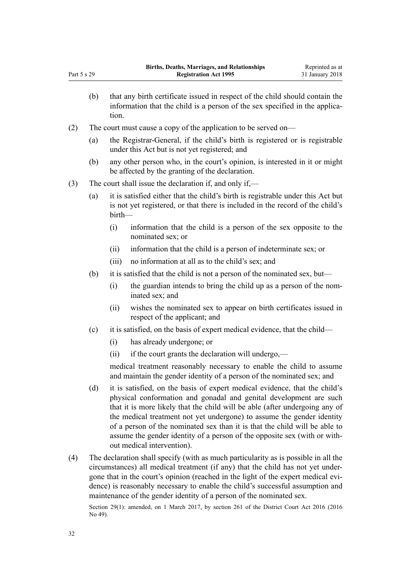- (b) that any birth certificate issued in respect of the child should contain the information that the child is a person of the sex specified in the application.
- (2) The court must cause a copy of the application to be served on—
	- (a) the Registrar-General, if the child's birth is registered or is registrable under this Act but is not yet registered; and
	- (b) any other person who, in the court's opinion, is interested in it or might be affected by the granting of the declaration.

(3) The court shall issue the declaration if, and only if,—

- (a) it is satisfied either that the child's birth is registrable under this Act but is not yet registered, or that there is included in the record of the child's birth—
	- (i) information that the child is a person of the sex opposite to the nominated sex; or
	- (ii) information that the child is a person of indeterminate sex; or
	- (iii) no information at all as to the child's sex; and
- (b) it is satisfied that the child is not a person of the nominated sex, but—
	- (i) the guardian intends to bring the child up as a person of the nominated sex; and
	- (ii) wishes the nominated sex to appear on birth certificates issued in respect of the applicant; and
- (c) it is satisfied, on the basis of expert medical evidence, that the child—
	- (i) has already undergone; or
	- (ii) if the court grants the declaration will undergo,—

medical treatment reasonably necessary to enable the child to assume and maintain the gender identity of a person of the nominated sex; and

- (d) it is satisfied, on the basis of expert medical evidence, that the child's physical conformation and gonadal and genital development are such that it is more likely that the child will be able (after undergoing any of the medical treatment not yet undergone) to assume the gender identity of a person of the nominated sex than it is that the child will be able to assume the gender identity of a person of the opposite sex (with or without medical intervention).
- (4) The declaration shall specify (with as much particularity as is possible in all the circumstances) all medical treatment (if any) that the child has not yet undergone that in the court's opinion (reached in the light of the expert medical evidence) is reasonably necessary to enable the child's successful assumption and maintenance of the gender identity of a person of the nominated sex.

Section 29(1): amended, on 1 March 2017, by [section 261](http://prd-lgnz-nlb.prd.pco.net.nz/pdflink.aspx?id=DLM6942680) of the District Court Act 2016 (2016) No 49).

Part 5 s 29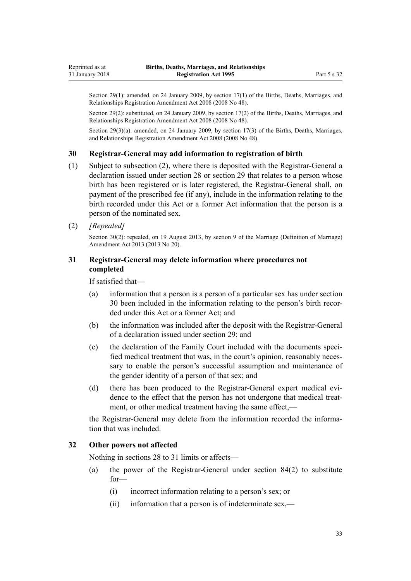<span id="page-32-0"></span>Section 29(1): amended, on 24 January 2009, by [section 17\(1\)](http://prd-lgnz-nlb.prd.pco.net.nz/pdflink.aspx?id=DLM1250721) of the Births, Deaths, Marriages, and Relationships Registration Amendment Act 2008 (2008 No 48).

Section 29(2): substituted, on 24 January 2009, by [section 17\(2\)](http://prd-lgnz-nlb.prd.pco.net.nz/pdflink.aspx?id=DLM1250721) of the Births, Deaths, Marriages, and Relationships Registration Amendment Act 2008 (2008 No 48).

Section 29(3)(a): amended, on 24 January 2009, by [section 17\(3\)](http://prd-lgnz-nlb.prd.pco.net.nz/pdflink.aspx?id=DLM1250721) of the Births, Deaths, Marriages, and Relationships Registration Amendment Act 2008 (2008 No 48).

#### **30 Registrar-General may add information to registration of birth**

- (1) Subject to subsection (2), where there is deposited with the Registrar-General a declaration issued under [section 28](#page-29-0) or [section 29](#page-30-0) that relates to a person whose birth has been registered or is later registered, the Registrar-General shall, on payment of the prescribed fee (if any), include in the information relating to the birth recorded under this Act or a former Act information that the person is a person of the nominated sex.
- (2) *[Repealed]*

Section 30(2): repealed, on 19 August 2013, by [section 9](http://prd-lgnz-nlb.prd.pco.net.nz/pdflink.aspx?id=DLM5045103) of the Marriage (Definition of Marriage) Amendment Act 2013 (2013 No 20).

## **31 Registrar-General may delete information where procedures not completed**

If satisfied that—

- (a) information that a person is a person of a particular sex has under section 30 been included in the information relating to the person's birth recorded under this Act or a former Act; and
- (b) the information was included after the deposit with the Registrar-General of a declaration issued under [section 29](#page-30-0); and
- (c) the declaration of the Family Court included with the documents specified medical treatment that was, in the court's opinion, reasonably necessary to enable the person's successful assumption and maintenance of the gender identity of a person of that sex; and
- (d) there has been produced to the Registrar-General expert medical evidence to the effect that the person has not undergone that medical treatment, or other medical treatment having the same effect,—

the Registrar-General may delete from the information recorded the information that was included.

## **32 Other powers not affected**

Nothing in [sections 28 to 31](#page-29-0) limits or affects—

- (a) the power of the Registrar-General under [section 84\(2\)](#page-77-0) to substitute for—
	- (i) incorrect information relating to a person's sex; or
	- (ii) information that a person is of indeterminate sex,—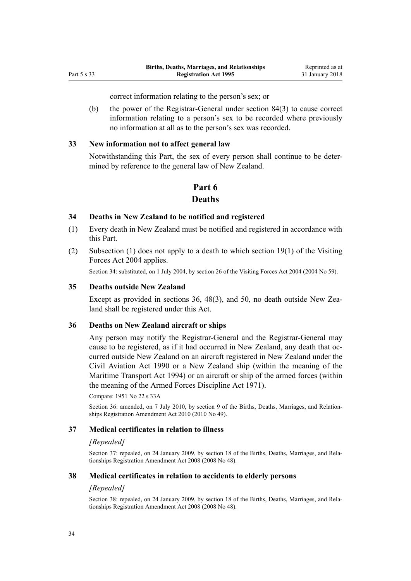correct information relating to the person's sex; or

<span id="page-33-0"></span>(b) the power of the Registrar-General under [section 84\(3\)](#page-77-0) to cause correct information relating to a person's sex to be recorded where previously no information at all as to the person's sex was recorded.

#### **33 New information not to affect general law**

Notwithstanding this Part, the sex of every person shall continue to be determined by reference to the general law of New Zealand.

## **Part 6**

## **Deaths**

#### **34 Deaths in New Zealand to be notified and registered**

- (1) Every death in New Zealand must be notified and registered in accordance with this Part.
- (2) Subsection (1) does not apply to a death to which [section 19\(1\)](http://prd-lgnz-nlb.prd.pco.net.nz/pdflink.aspx?id=DLM302835) of the Visiting Forces Act 2004 applies.

Section 34: substituted, on 1 July 2004, by [section 26](http://prd-lgnz-nlb.prd.pco.net.nz/pdflink.aspx?id=DLM302851) of the Visiting Forces Act 2004 (2004 No 59).

#### **35 Deaths outside New Zealand**

Except as provided in sections 36, [48\(3\)](#page-36-0), and [50](#page-37-0), no death outside New Zealand shall be registered under this Act.

#### **36 Deaths on New Zealand aircraft or ships**

Any person may notify the Registrar-General and the Registrar-General may cause to be registered, as if it had occurred in New Zealand, any death that occurred outside New Zealand on an aircraft registered in New Zealand under the [Civil Aviation Act 1990](http://prd-lgnz-nlb.prd.pco.net.nz/pdflink.aspx?id=DLM214686) or a New Zealand ship (within the meaning of the [Maritime Transport Act 1994](http://prd-lgnz-nlb.prd.pco.net.nz/pdflink.aspx?id=DLM334659)) or an aircraft or ship of the armed forces (within the meaning of the [Armed Forces Discipline Act 1971\)](http://prd-lgnz-nlb.prd.pco.net.nz/pdflink.aspx?id=DLM401062).

Compare: 1951 No 22 s 33A

Section 36: amended, on 7 July 2010, by [section 9](http://prd-lgnz-nlb.prd.pco.net.nz/pdflink.aspx?id=DLM3040111) of the Births, Deaths, Marriages, and Relationships Registration Amendment Act 2010 (2010 No 49).

### **37 Medical certificates in relation to illness**

#### *[Repealed]*

Section 37: repealed, on 24 January 2009, by [section 18](http://prd-lgnz-nlb.prd.pco.net.nz/pdflink.aspx?id=DLM1048868) of the Births, Deaths, Marriages, and Relationships Registration Amendment Act 2008 (2008 No 48).

### **38 Medical certificates in relation to accidents to elderly persons**

#### *[Repealed]*

Section 38: repealed, on 24 January 2009, by [section 18](http://prd-lgnz-nlb.prd.pco.net.nz/pdflink.aspx?id=DLM1048868) of the Births, Deaths, Marriages, and Relationships Registration Amendment Act 2008 (2008 No 48).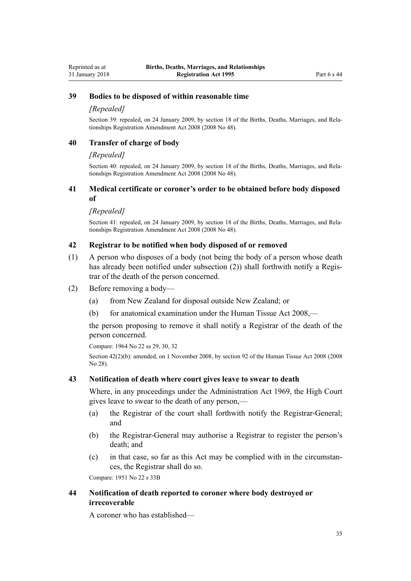## **39 Bodies to be disposed of within reasonable time**

#### *[Repealed]*

<span id="page-34-0"></span>Reprinted as at 31 January 2018

> Section 39: repealed, on 24 January 2009, by [section 18](http://prd-lgnz-nlb.prd.pco.net.nz/pdflink.aspx?id=DLM1048868) of the Births, Deaths, Marriages, and Relationships Registration Amendment Act 2008 (2008 No 48).

### **40 Transfer of charge of body**

#### *[Repealed]*

Section 40: repealed, on 24 January 2009, by [section 18](http://prd-lgnz-nlb.prd.pco.net.nz/pdflink.aspx?id=DLM1048868) of the Births, Deaths, Marriages, and Relationships Registration Amendment Act 2008 (2008 No 48).

#### **41 Medical certificate or coroner's order to be obtained before body disposed of**

#### *[Repealed]*

Section 41: repealed, on 24 January 2009, by [section 18](http://prd-lgnz-nlb.prd.pco.net.nz/pdflink.aspx?id=DLM1048868) of the Births, Deaths, Marriages, and Relationships Registration Amendment Act 2008 (2008 No 48).

## **42 Registrar to be notified when body disposed of or removed**

- (1) A person who disposes of a body (not being the body of a person whose death has already been notified under subsection (2)) shall forthwith notify a Registrar of the death of the person concerned.
- (2) Before removing a body—
	- (a) from New Zealand for disposal outside New Zealand; or
	- (b) for anatomical examination under the [Human Tissue Act 2008](http://prd-lgnz-nlb.prd.pco.net.nz/pdflink.aspx?id=DLM1152935),—

the person proposing to remove it shall notify a Registrar of the death of the person concerned.

Compare: 1964 No 22 ss 29, 30, 32

Section 42(2)(b): amended, on 1 November 2008, by [section 92](http://prd-lgnz-nlb.prd.pco.net.nz/pdflink.aspx?id=DLM1154311) of the Human Tissue Act 2008 (2008 No 28).

#### **43 Notification of death where court gives leave to swear to death**

Where, in any proceedings under the [Administration Act 1969,](http://prd-lgnz-nlb.prd.pco.net.nz/pdflink.aspx?id=DLM392629) the High Court gives leave to swear to the death of any person,—

- (a) the Registrar of the court shall forthwith notify the Registrar-General; and
- (b) the Registrar-General may authorise a Registrar to register the person's death; and
- (c) in that case, so far as this Act may be complied with in the circumstances, the Registrar shall do so.

Compare: 1951 No 22 s 33B

## **44 Notification of death reported to coroner where body destroyed or irrecoverable**

A coroner who has established—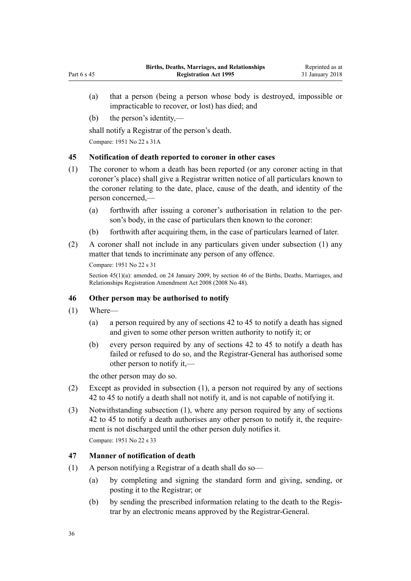- <span id="page-35-0"></span>(a) that a person (being a person whose body is destroyed, impossible or impracticable to recover, or lost) has died; and
- (b) the person's identity,—

shall notify a Registrar of the person's death.

Compare: 1951 No 22 s 31A

## **45 Notification of death reported to coroner in other cases**

- (1) The coroner to whom a death has been reported (or any coroner acting in that coroner's place) shall give a Registrar written notice of all particulars known to the coroner relating to the date, place, cause of the death, and identity of the person concerned,—
	- (a) forthwith after issuing a coroner's authorisation in relation to the person's body, in the case of particulars then known to the coroner:
	- (b) forthwith after acquiring them, in the case of particulars learned of later.
- (2) A coroner shall not include in any particulars given under subsection (1) any matter that tends to incriminate any person of any offence.

```
Compare: 1951 No 22 s 31
```
Section 45(1)(a): amended, on 24 January 2009, by [section 46](http://prd-lgnz-nlb.prd.pco.net.nz/pdflink.aspx?id=DLM1048941) of the Births, Deaths, Marriages, and Relationships Registration Amendment Act 2008 (2008 No 48).

### **46 Other person may be authorised to notify**

- (1) Where—
	- (a) a person required by any of [sections 42 to 45](#page-34-0) to notify a death has signed and given to some other person written authority to notify it; or
	- (b) every person required by any of [sections 42 to 45](#page-34-0) to notify a death has failed or refused to do so, and the Registrar-General has authorised some other person to notify it,—

the other person may do so.

- (2) Except as provided in subsection (1), a person not required by any of [sections](#page-34-0) [42 to 45](#page-34-0) to notify a death shall not notify it, and is not capable of notifying it.
- (3) Notwithstanding subsection (1), where any person required by any of [sections](#page-34-0) [42 to 45](#page-34-0) to notify a death authorises any other person to notify it, the requirement is not discharged until the other person duly notifies it. Compare: 1951 No 22 s 33

## **47 Manner of notification of death**

- (1) A person notifying a Registrar of a death shall do so—
	- (a) by completing and signing the standard form and giving, sending, or posting it to the Registrar; or
	- (b) by sending the prescribed information relating to the death to the Registrar by an electronic means approved by the Registrar-General.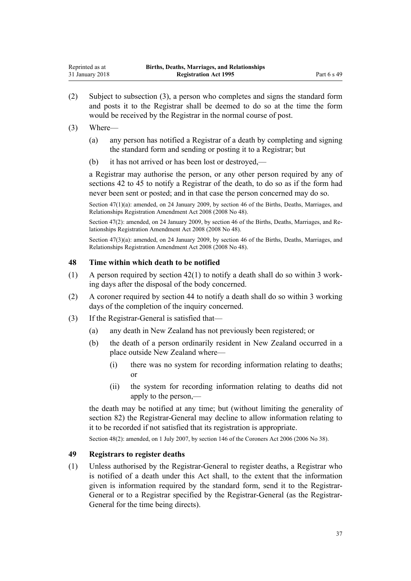<span id="page-36-0"></span>(2) Subject to subsection (3), a person who completes and signs the standard form and posts it to the Registrar shall be deemed to do so at the time the form would be received by the Registrar in the normal course of post.

#### (3) Where—

- (a) any person has notified a Registrar of a death by completing and signing the standard form and sending or posting it to a Registrar; but
- (b) it has not arrived or has been lost or destroyed,—

a Registrar may authorise the person, or any other person required by any of [sections 42 to 45](#page-34-0) to notify a Registrar of the death, to do so as if the form had never been sent or posted; and in that case the person concerned may do so.

Section 47(1)(a): amended, on 24 January 2009, by [section 46](http://prd-lgnz-nlb.prd.pco.net.nz/pdflink.aspx?id=DLM1048941) of the Births, Deaths, Marriages, and Relationships Registration Amendment Act 2008 (2008 No 48).

Section 47(2): amended, on 24 January 2009, by [section 46](http://prd-lgnz-nlb.prd.pco.net.nz/pdflink.aspx?id=DLM1048941) of the Births, Deaths, Marriages, and Relationships Registration Amendment Act 2008 (2008 No 48).

Section 47(3)(a): amended, on 24 January 2009, by [section 46](http://prd-lgnz-nlb.prd.pco.net.nz/pdflink.aspx?id=DLM1048941) of the Births, Deaths, Marriages, and Relationships Registration Amendment Act 2008 (2008 No 48).

#### **48 Time within which death to be notified**

- (1) A person required by section  $42(1)$  to notify a death shall do so within 3 working days after the disposal of the body concerned.
- (2) A coroner required by [section 44](#page-34-0) to notify a death shall do so within 3 working days of the completion of the inquiry concerned.
- (3) If the Registrar-General is satisfied that—
	- (a) any death in New Zealand has not previously been registered; or
	- (b) the death of a person ordinarily resident in New Zealand occurred in a place outside New Zealand where—
		- (i) there was no system for recording information relating to deaths; or
		- (ii) the system for recording information relating to deaths did not apply to the person,—

the death may be notified at any time; but (without limiting the generality of [section 82\)](#page-75-0) the Registrar-General may decline to allow information relating to it to be recorded if not satisfied that its registration is appropriate.

Section 48(2): amended, on 1 July 2007, by [section 146](http://prd-lgnz-nlb.prd.pco.net.nz/pdflink.aspx?id=DLM378303) of the Coroners Act 2006 (2006 No 38).

## **49 Registrars to register deaths**

(1) Unless authorised by the Registrar-General to register deaths, a Registrar who is notified of a death under this Act shall, to the extent that the information given is information required by the standard form, send it to the Registrar-General or to a Registrar specified by the Registrar-General (as the Registrar-General for the time being directs).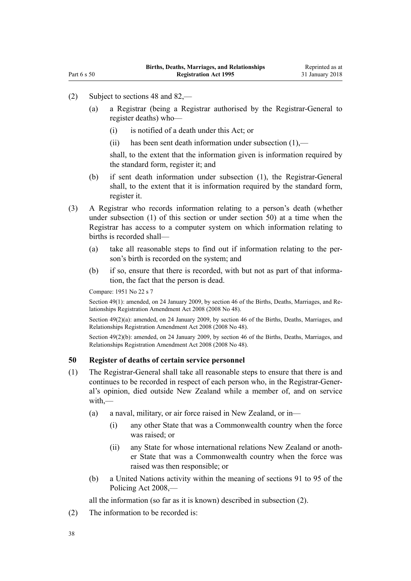- <span id="page-37-0"></span>(2) Subject to [sections 48](#page-36-0) and [82,](#page-75-0)—
	- (a) a Registrar (being a Registrar authorised by the Registrar-General to register deaths) who—
		- (i) is notified of a death under this Act; or
		- (ii) has been sent death information under subsection (1),—

shall, to the extent that the information given is information required by the standard form, register it; and

- (b) if sent death information under subsection (1), the Registrar-General shall, to the extent that it is information required by the standard form, register it.
- (3) A Registrar who records information relating to a person's death (whether under subsection (1) of this section or under section 50) at a time when the Registrar has access to a computer system on which information relating to births is recorded shall—
	- (a) take all reasonable steps to find out if information relating to the person's birth is recorded on the system; and
	- (b) if so, ensure that there is recorded, with but not as part of that information, the fact that the person is dead.

Compare: 1951 No 22 s 7

Section 49(1): amended, on 24 January 2009, by [section 46](http://prd-lgnz-nlb.prd.pco.net.nz/pdflink.aspx?id=DLM1048941) of the Births, Deaths, Marriages, and Relationships Registration Amendment Act 2008 (2008 No 48).

Section 49(2)(a): amended, on 24 January 2009, by [section 46](http://prd-lgnz-nlb.prd.pco.net.nz/pdflink.aspx?id=DLM1048941) of the Births, Deaths, Marriages, and Relationships Registration Amendment Act 2008 (2008 No 48).

Section 49(2)(b): amended, on 24 January 2009, by [section 46](http://prd-lgnz-nlb.prd.pco.net.nz/pdflink.aspx?id=DLM1048941) of the Births, Deaths, Marriages, and Relationships Registration Amendment Act 2008 (2008 No 48).

#### **50 Register of deaths of certain service personnel**

- (1) The Registrar-General shall take all reasonable steps to ensure that there is and continues to be recorded in respect of each person who, in the Registrar-General's opinion, died outside New Zealand while a member of, and on service with,—
	- (a) a naval, military, or air force raised in New Zealand, or in—
		- (i) any other State that was a Commonwealth country when the force was raised; or
		- (ii) any State for whose international relations New Zealand or another State that was a Commonwealth country when the force was raised was then responsible; or
	- (b) a United Nations activity within the meaning of [sections 91 to 95](http://prd-lgnz-nlb.prd.pco.net.nz/pdflink.aspx?id=DLM1102322) of the Policing Act 2008,—

all the information (so far as it is known) described in subsection (2).

(2) The information to be recorded is: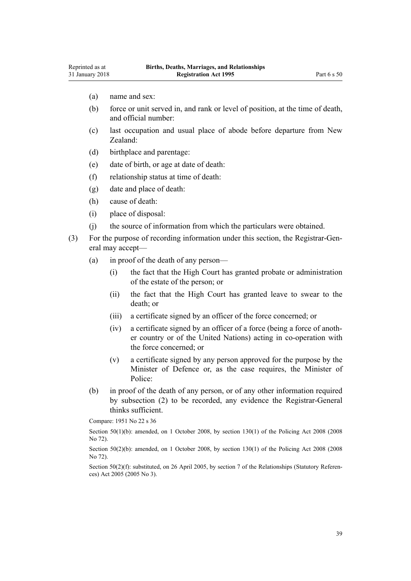- (a) name and sex:
- (b) force or unit served in, and rank or level of position, at the time of death, and official number:
- (c) last occupation and usual place of abode before departure from New Zealand:
- (d) birthplace and parentage:
- (e) date of birth, or age at date of death:
- (f) relationship status at time of death:
- (g) date and place of death:
- (h) cause of death:
- (i) place of disposal:
- (j) the source of information from which the particulars were obtained.

(3) For the purpose of recording information under this section, the Registrar-General may accept—

- (a) in proof of the death of any person—
	- (i) the fact that the High Court has granted probate or administration of the estate of the person; or
	- (ii) the fact that the High Court has granted leave to swear to the death; or
	- (iii) a certificate signed by an officer of the force concerned; or
	- (iv) a certificate signed by an officer of a force (being a force of another country or of the United Nations) acting in co-operation with the force concerned; or
	- (v) a certificate signed by any person approved for the purpose by the Minister of Defence or, as the case requires, the Minister of Police:
- (b) in proof of the death of any person, or of any other information required by subsection (2) to be recorded, any evidence the Registrar-General thinks sufficient.

Compare: 1951 No 22 s 36

Section  $50(1)(b)$ : amended, on 1 October 2008, by section  $130(1)$  of the Policing Act 2008 (2008) No 72).

Section 50(2)(b): amended, on 1 October 2008, by [section 130\(1\)](http://prd-lgnz-nlb.prd.pco.net.nz/pdflink.aspx?id=DLM1102383) of the Policing Act 2008 (2008) No 72).

Section 50(2)(f): substituted, on 26 April 2005, by [section 7](http://prd-lgnz-nlb.prd.pco.net.nz/pdflink.aspx?id=DLM333795) of the Relationships (Statutory References) Act 2005 (2005 No 3).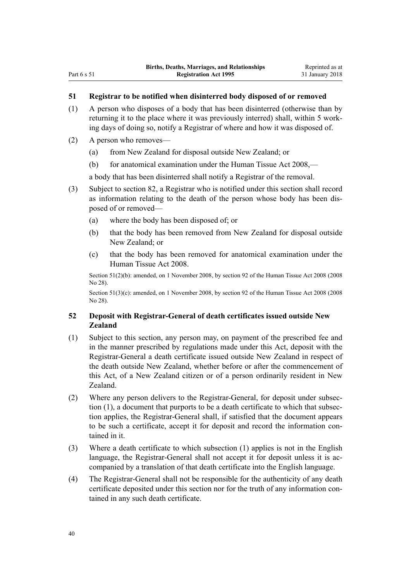## **51 Registrar to be notified when disinterred body disposed of or removed**

- (1) A person who disposes of a body that has been disinterred (otherwise than by returning it to the place where it was previously interred) shall, within 5 working days of doing so, notify a Registrar of where and how it was disposed of.
- (2) A person who removes—
	- (a) from New Zealand for disposal outside New Zealand; or
	- (b) for anatomical examination under the [Human Tissue Act 2008](http://prd-lgnz-nlb.prd.pco.net.nz/pdflink.aspx?id=DLM1152935),—

a body that has been disinterred shall notify a Registrar of the removal.

- (3) Subject to [section 82,](#page-75-0) a Registrar who is notified under this section shall record as information relating to the death of the person whose body has been disposed of or removed—
	- (a) where the body has been disposed of; or
	- (b) that the body has been removed from New Zealand for disposal outside New Zealand; or
	- (c) that the body has been removed for anatomical examination under the [Human Tissue Act 2008.](http://prd-lgnz-nlb.prd.pco.net.nz/pdflink.aspx?id=DLM1152935)

Section 51(2)(b): amended, on 1 November 2008, by [section 92](http://prd-lgnz-nlb.prd.pco.net.nz/pdflink.aspx?id=DLM1154311) of the Human Tissue Act 2008 (2008 No 28).

Section 51(3)(c): amended, on 1 November 2008, by [section 92](http://prd-lgnz-nlb.prd.pco.net.nz/pdflink.aspx?id=DLM1154311) of the Human Tissue Act 2008 (2008) No 28).

# **52 Deposit with Registrar-General of death certificates issued outside New Zealand**

- (1) Subject to this section, any person may, on payment of the prescribed fee and in the manner prescribed by regulations made under this Act, deposit with the Registrar-General a death certificate issued outside New Zealand in respect of the death outside New Zealand, whether before or after the commencement of this Act, of a New Zealand citizen or of a person ordinarily resident in New Zealand.
- (2) Where any person delivers to the Registrar-General, for deposit under subsection (1), a document that purports to be a death certificate to which that subsection applies, the Registrar-General shall, if satisfied that the document appears to be such a certificate, accept it for deposit and record the information contained in it.
- (3) Where a death certificate to which subsection (1) applies is not in the English language, the Registrar-General shall not accept it for deposit unless it is accompanied by a translation of that death certificate into the English language.
- (4) The Registrar-General shall not be responsible for the authenticity of any death certificate deposited under this section nor for the truth of any information contained in any such death certificate.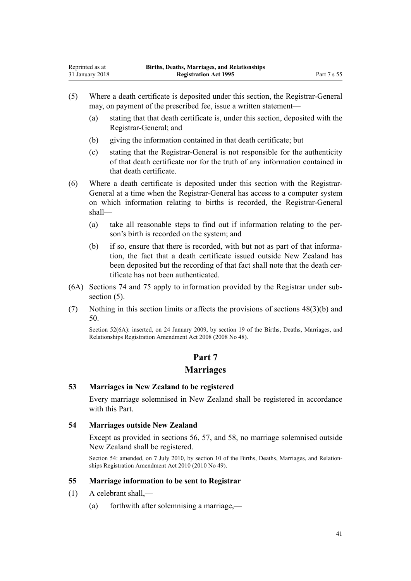- <span id="page-40-0"></span>(5) Where a death certificate is deposited under this section, the Registrar-General may, on payment of the prescribed fee, issue a written statement—
	- (a) stating that that death certificate is, under this section, deposited with the Registrar-General; and
	- (b) giving the information contained in that death certificate; but
	- (c) stating that the Registrar-General is not responsible for the authenticity of that death certificate nor for the truth of any information contained in that death certificate.
- (6) Where a death certificate is deposited under this section with the Registrar-General at a time when the Registrar-General has access to a computer system on which information relating to births is recorded, the Registrar-General shall—
	- (a) take all reasonable steps to find out if information relating to the person's birth is recorded on the system; and
	- (b) if so, ensure that there is recorded, with but not as part of that information, the fact that a death certificate issued outside New Zealand has been deposited but the recording of that fact shall note that the death certificate has not been authenticated.
- (6A) [Sections 74](#page-53-0) and [75](#page-54-0) apply to information provided by the Registrar under subsection  $(5)$ .
- (7) Nothing in this section limits or affects the provisions of [sections 48\(3\)\(b\)](#page-36-0) and [50.](#page-37-0)

Section 52(6A): inserted, on 24 January 2009, by [section 19](http://prd-lgnz-nlb.prd.pco.net.nz/pdflink.aspx?id=DLM1048869) of the Births, Deaths, Marriages, and Relationships Registration Amendment Act 2008 (2008 No 48).

# **Part 7 Marriages**

# **53 Marriages in New Zealand to be registered**

Every marriage solemnised in New Zealand shall be registered in accordance with this Part.

#### **54 Marriages outside New Zealand**

Except as provided in [sections 56](#page-42-0), [57](#page-43-0), and [58](#page-43-0), no marriage solemnised outside New Zealand shall be registered.

Section 54: amended, on 7 July 2010, by [section 10](http://prd-lgnz-nlb.prd.pco.net.nz/pdflink.aspx?id=DLM3040112) of the Births, Deaths, Marriages, and Relationships Registration Amendment Act 2010 (2010 No 49).

# **55 Marriage information to be sent to Registrar**

- (1) A celebrant shall,—
	- (a) forthwith after solemnising a marriage,—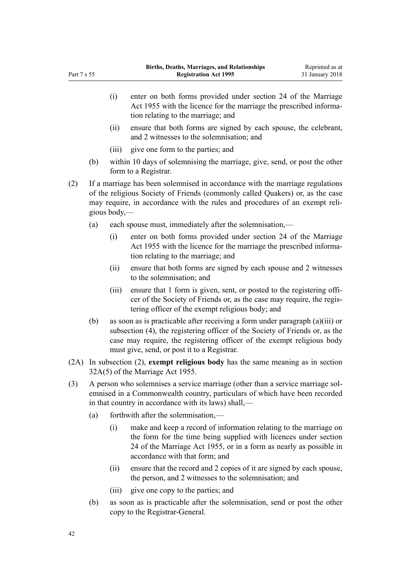- (i) enter on both forms provided under [section 24](http://prd-lgnz-nlb.prd.pco.net.nz/pdflink.aspx?id=DLM292310) of the Marriage Act 1955 with the licence for the marriage the prescribed information relating to the marriage; and (ii) ensure that both forms are signed by each spouse, the celebrant, and 2 witnesses to the solemnisation; and (iii) give one form to the parties; and (b) within 10 days of solemnising the marriage, give, send, or post the other
- (2) If a marriage has been solemnised in accordance with the marriage regulations of the religious Society of Friends (commonly called Quakers) or, as the case may require, in accordance with the rules and procedures of an exempt religious body,—
	- (a) each spouse must, immediately after the solemnisation,—

form to a Registrar.

- (i) enter on both forms provided under [section 24](http://prd-lgnz-nlb.prd.pco.net.nz/pdflink.aspx?id=DLM292310) of the Marriage Act 1955 with the licence for the marriage the prescribed information relating to the marriage; and
- (ii) ensure that both forms are signed by each spouse and 2 witnesses to the solemnisation; and
- (iii) ensure that 1 form is given, sent, or posted to the registering officer of the Society of Friends or, as the case may require, the registering officer of the exempt religious body; and
- (b) as soon as is practicable after receiving a form under paragraph (a)(iii) or subsection (4), the registering officer of the Society of Friends or, as the case may require, the registering officer of the exempt religious body must give, send, or post it to a Registrar.
- (2A) In subsection (2), **exempt religious body** has the same meaning as in [section](http://prd-lgnz-nlb.prd.pco.net.nz/pdflink.aspx?id=DLM292337) [32A\(5\)](http://prd-lgnz-nlb.prd.pco.net.nz/pdflink.aspx?id=DLM292337) of the Marriage Act 1955.
- (3) A person who solemnises a service marriage (other than a service marriage solemnised in a Commonwealth country, particulars of which have been recorded in that country in accordance with its laws) shall,—
	- (a) forthwith after the solemnisation,—
		- (i) make and keep a record of information relating to the marriage on the form for the time being supplied with licences under [section](http://prd-lgnz-nlb.prd.pco.net.nz/pdflink.aspx?id=DLM292310) [24](http://prd-lgnz-nlb.prd.pco.net.nz/pdflink.aspx?id=DLM292310) of the Marriage Act 1955, or in a form as nearly as possible in accordance with that form; and
		- (ii) ensure that the record and 2 copies of it are signed by each spouse, the person, and 2 witnesses to the solemnisation; and
		- (iii) give one copy to the parties; and
	- (b) as soon as is practicable after the solemnisation, send or post the other copy to the Registrar-General.

Part 7 s 55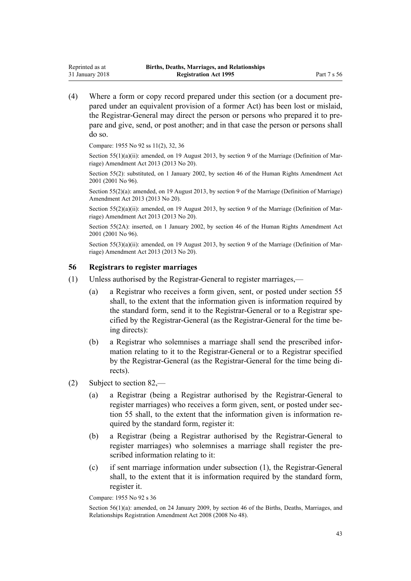(4) Where a form or copy record prepared under this section (or a document prepared under an equivalent provision of a former Act) has been lost or mislaid, the Registrar-General may direct the person or persons who prepared it to prepare and give, send, or post another; and in that case the person or persons shall do so.

Compare: 1955 No 92 [ss 11\(2\)](http://prd-lgnz-nlb.prd.pco.net.nz/pdflink.aspx?id=DLM292082), [32,](http://prd-lgnz-nlb.prd.pco.net.nz/pdflink.aspx?id=DLM292333) [36](http://prd-lgnz-nlb.prd.pco.net.nz/pdflink.aspx?id=DLM292361)

<span id="page-42-0"></span>Reprinted as at 31 January 2018

> Section 55(1)(a)(ii): amended, on 19 August 2013, by [section 9](http://prd-lgnz-nlb.prd.pco.net.nz/pdflink.aspx?id=DLM5045103) of the Marriage (Definition of Marriage) Amendment Act 2013 (2013 No 20).

> Section 55(2): substituted, on 1 January 2002, by [section 46](http://prd-lgnz-nlb.prd.pco.net.nz/pdflink.aspx?id=DLM122523) of the Human Rights Amendment Act 2001 (2001 No 96).

> Section 55(2)(a): amended, on 19 August 2013, by [section 9](http://prd-lgnz-nlb.prd.pco.net.nz/pdflink.aspx?id=DLM5045103) of the Marriage (Definition of Marriage) Amendment Act 2013 (2013 No 20).

> Section 55(2)(a)(ii): amended, on 19 August 2013, by [section 9](http://prd-lgnz-nlb.prd.pco.net.nz/pdflink.aspx?id=DLM5045103) of the Marriage (Definition of Marriage) Amendment Act 2013 (2013 No 20).

> Section 55(2A): inserted, on 1 January 2002, by [section 46](http://prd-lgnz-nlb.prd.pco.net.nz/pdflink.aspx?id=DLM122523) of the Human Rights Amendment Act 2001 (2001 No 96).

> Section 55(3)(a)(ii): amended, on 19 August 2013, by [section 9](http://prd-lgnz-nlb.prd.pco.net.nz/pdflink.aspx?id=DLM5045103) of the Marriage (Definition of Marriage) Amendment Act 2013 (2013 No 20).

#### **56 Registrars to register marriages**

- (1) Unless authorised by the Registrar-General to register marriages,—
	- (a) a Registrar who receives a form given, sent, or posted under [section 55](#page-40-0) shall, to the extent that the information given is information required by the standard form, send it to the Registrar-General or to a Registrar specified by the Registrar-General (as the Registrar-General for the time being directs):
	- (b) a Registrar who solemnises a marriage shall send the prescribed information relating to it to the Registrar-General or to a Registrar specified by the Registrar-General (as the Registrar-General for the time being directs).
- (2) Subject to [section 82](#page-75-0),—
	- (a) a Registrar (being a Registrar authorised by the Registrar-General to register marriages) who receives a form given, sent, or posted under [sec](#page-40-0)[tion 55](#page-40-0) shall, to the extent that the information given is information required by the standard form, register it:
	- (b) a Registrar (being a Registrar authorised by the Registrar-General to register marriages) who solemnises a marriage shall register the prescribed information relating to it:
	- (c) if sent marriage information under subsection (1), the Registrar-General shall, to the extent that it is information required by the standard form, register it.

Compare: 1955 No 92 [s 36](http://prd-lgnz-nlb.prd.pco.net.nz/pdflink.aspx?id=DLM292361)

Section 56(1)(a): amended, on 24 January 2009, by [section 46](http://prd-lgnz-nlb.prd.pco.net.nz/pdflink.aspx?id=DLM1048941) of the Births, Deaths, Marriages, and Relationships Registration Amendment Act 2008 (2008 No 48).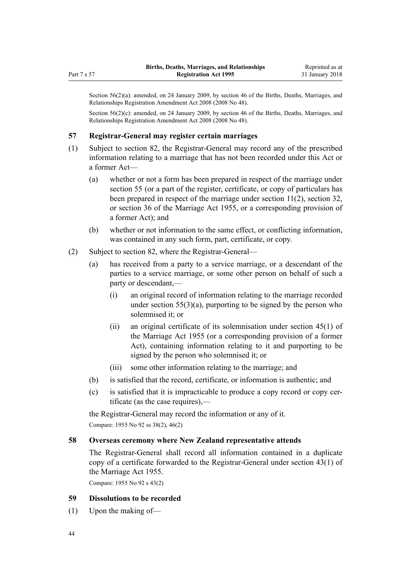<span id="page-43-0"></span>Section 56(2)(a): amended, on 24 January 2009, by [section 46](http://prd-lgnz-nlb.prd.pco.net.nz/pdflink.aspx?id=DLM1048941) of the Births, Deaths, Marriages, and Relationships Registration Amendment Act 2008 (2008 No 48).

Section 56(2)(c): amended, on 24 January 2009, by [section 46](http://prd-lgnz-nlb.prd.pco.net.nz/pdflink.aspx?id=DLM1048941) of the Births, Deaths, Marriages, and Relationships Registration Amendment Act 2008 (2008 No 48).

## **57 Registrar-General may register certain marriages**

- (1) Subject to [section 82](#page-75-0), the Registrar-General may record any of the prescribed information relating to a marriage that has not been recorded under this Act or a former Act—
	- (a) whether or not a form has been prepared in respect of the marriage under [section 55](#page-40-0) (or a part of the register, certificate, or copy of particulars has been prepared in respect of the marriage under [section 11\(2\),](http://prd-lgnz-nlb.prd.pco.net.nz/pdflink.aspx?id=DLM292082) [section 32](http://prd-lgnz-nlb.prd.pco.net.nz/pdflink.aspx?id=DLM292333), or [section 36](http://prd-lgnz-nlb.prd.pco.net.nz/pdflink.aspx?id=DLM292361) of the Marriage Act 1955, or a corresponding provision of a former Act); and
	- (b) whether or not information to the same effect, or conflicting information, was contained in any such form, part, certificate, or copy.
- (2) Subject to [section 82](#page-75-0), where the Registrar-General—
	- (a) has received from a party to a service marriage, or a descendant of the parties to a service marriage, or some other person on behalf of such a party or descendant,—
		- (i) an original record of information relating to the marriage recorded under section  $55(3)(a)$ , purporting to be signed by the person who solemnised it; or
		- (ii) an original certificate of its solemnisation under [section 45\(1\)](http://prd-lgnz-nlb.prd.pco.net.nz/pdflink.aspx?id=DLM292379) of the Marriage Act 1955 (or a corresponding provision of a former Act), containing information relating to it and purporting to be signed by the person who solemnised it; or
		- (iii) some other information relating to the marriage; and
	- (b) is satisfied that the record, certificate, or information is authentic; and
	- (c) is satisfied that it is impracticable to produce a copy record or copy certificate (as the case requires),—

the Registrar-General may record the information or any of it. Compare: 1955 No 92 [ss 38\(2\)](http://prd-lgnz-nlb.prd.pco.net.nz/pdflink.aspx?id=DLM292367), [46\(2\)](http://prd-lgnz-nlb.prd.pco.net.nz/pdflink.aspx?id=DLM292381)

#### **58 Overseas ceremony where New Zealand representative attends**

The Registrar-General shall record all information contained in a duplicate copy of a certificate forwarded to the Registrar-General under [section 43\(1\)](http://prd-lgnz-nlb.prd.pco.net.nz/pdflink.aspx?id=DLM292375) of the Marriage Act 1955.

Compare: 1955 No 92 [s 43\(2\)](http://prd-lgnz-nlb.prd.pco.net.nz/pdflink.aspx?id=DLM292375)

#### **59 Dissolutions to be recorded**

(1) Upon the making of—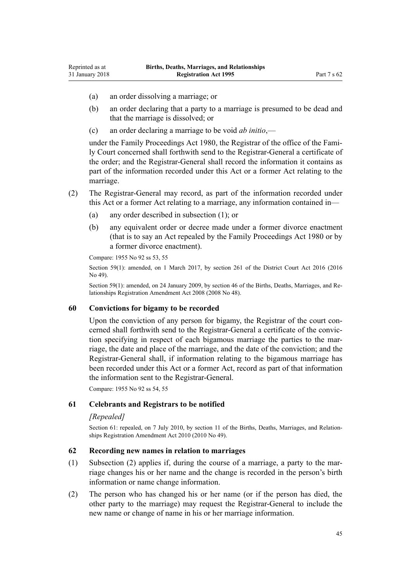(a) an order dissolving a marriage; or

Reprinted as at 31 January 2018

- (b) an order declaring that a party to a marriage is presumed to be dead and that the marriage is dissolved; or
- (c) an order declaring a marriage to be void *ab initio*,—

under the [Family Proceedings Act 1980](http://prd-lgnz-nlb.prd.pco.net.nz/pdflink.aspx?id=DLM39722), the Registrar of the office of the Family Court concerned shall forthwith send to the Registrar-General a certificate of the order; and the Registrar-General shall record the information it contains as part of the information recorded under this Act or a former Act relating to the marriage.

- (2) The Registrar-General may record, as part of the information recorded under this Act or a former Act relating to a marriage, any information contained in—
	- (a) any order described in subsection (1); or
	- (b) any equivalent order or decree made under a former divorce enactment (that is to say an Act repealed by the [Family Proceedings Act 1980](http://prd-lgnz-nlb.prd.pco.net.nz/pdflink.aspx?id=DLM39722) or by a former divorce enactment).

Compare: 1955 No 92 [ss 53,](http://prd-lgnz-nlb.prd.pco.net.nz/pdflink.aspx?id=DLM292606) [55](http://prd-lgnz-nlb.prd.pco.net.nz/pdflink.aspx?id=DLM292610)

Section 59(1): amended, on 1 March 2017, by [section 261](http://prd-lgnz-nlb.prd.pco.net.nz/pdflink.aspx?id=DLM6942680) of the District Court Act 2016 (2016 No 49).

Section 59(1): amended, on 24 January 2009, by [section 46](http://prd-lgnz-nlb.prd.pco.net.nz/pdflink.aspx?id=DLM1048941) of the Births, Deaths, Marriages, and Relationships Registration Amendment Act 2008 (2008 No 48).

## **60 Convictions for bigamy to be recorded**

Upon the conviction of any person for bigamy, the Registrar of the court concerned shall forthwith send to the Registrar-General a certificate of the conviction specifying in respect of each bigamous marriage the parties to the marriage, the date and place of the marriage, and the date of the conviction; and the Registrar-General shall, if information relating to the bigamous marriage has been recorded under this Act or a former Act, record as part of that information the information sent to the Registrar-General.

Compare: 1955 No 92 [ss 54,](http://prd-lgnz-nlb.prd.pco.net.nz/pdflink.aspx?id=DLM292608) [55](http://prd-lgnz-nlb.prd.pco.net.nz/pdflink.aspx?id=DLM292610)

## **61 Celebrants and Registrars to be notified**

## *[Repealed]*

Section 61: repealed, on 7 July 2010, by [section 11](http://prd-lgnz-nlb.prd.pco.net.nz/pdflink.aspx?id=DLM3040113) of the Births, Deaths, Marriages, and Relationships Registration Amendment Act 2010 (2010 No 49).

### **62 Recording new names in relation to marriages**

- (1) Subsection (2) applies if, during the course of a marriage, a party to the marriage changes his or her name and the change is recorded in the person's birth information or name change information.
- (2) The person who has changed his or her name (or if the person has died, the other party to the marriage) may request the Registrar-General to include the new name or change of name in his or her marriage information.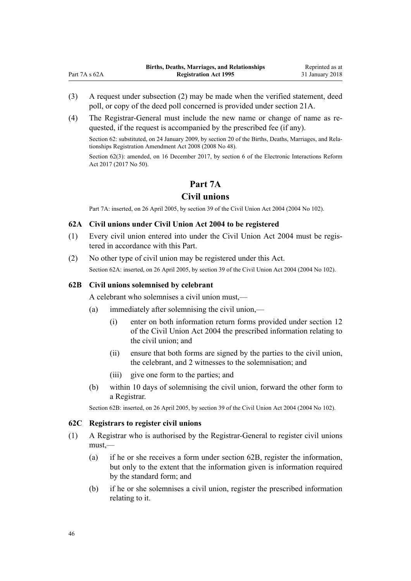- (3) A request under subsection (2) may be made when the verified statement, deed poll, or copy of the deed poll concerned is provided under [section 21A.](#page-23-0)
- (4) The Registrar-General must include the new name or change of name as requested, if the request is accompanied by the prescribed fee (if any).

Section 62: substituted, on 24 January 2009, by [section 20](http://prd-lgnz-nlb.prd.pco.net.nz/pdflink.aspx?id=DLM1048870) of the Births, Deaths, Marriages, and Relationships Registration Amendment Act 2008 (2008 No 48).

Section 62(3): amended, on 16 December 2017, by [section 6](http://prd-lgnz-nlb.prd.pco.net.nz/pdflink.aspx?id=DLM6962123) of the Electronic Interactions Reform Act 2017 (2017 No 50).

# **Part 7A**

# **Civil unions**

Part 7A: inserted, on 26 April 2005, by [section 39](http://prd-lgnz-nlb.prd.pco.net.nz/pdflink.aspx?id=DLM323466) of the Civil Union Act 2004 (2004 No 102).

# **62A Civil unions under Civil Union Act 2004 to be registered**

- (1) Every civil union entered into under the [Civil Union Act 2004](http://prd-lgnz-nlb.prd.pco.net.nz/pdflink.aspx?id=DLM323384) must be registered in accordance with this Part.
- (2) No other type of civil union may be registered under this Act. Section 62A: inserted, on 26 April 2005, by [section 39](http://prd-lgnz-nlb.prd.pco.net.nz/pdflink.aspx?id=DLM323466) of the Civil Union Act 2004 (2004 No 102).

## **62B Civil unions solemnised by celebrant**

<span id="page-45-0"></span> $Part 7A \cdot 62A$ 

A celebrant who solemnises a civil union must,—

- (a) immediately after solemnising the civil union,—
	- (i) enter on both information return forms provided under [section 12](http://prd-lgnz-nlb.prd.pco.net.nz/pdflink.aspx?id=DLM323422) of the Civil Union Act 2004 the prescribed information relating to the civil union; and
	- (ii) ensure that both forms are signed by the parties to the civil union, the celebrant, and 2 witnesses to the solemnisation; and
	- (iii) give one form to the parties; and
- (b) within 10 days of solemnising the civil union, forward the other form to a Registrar.

Section 62B: inserted, on 26 April 2005, by [section 39](http://prd-lgnz-nlb.prd.pco.net.nz/pdflink.aspx?id=DLM323466) of the Civil Union Act 2004 (2004 No 102).

#### **62C Registrars to register civil unions**

- (1) A Registrar who is authorised by the Registrar-General to register civil unions must,—
	- (a) if he or she receives a form under section 62B, register the information, but only to the extent that the information given is information required by the standard form; and
	- (b) if he or she solemnises a civil union, register the prescribed information relating to it.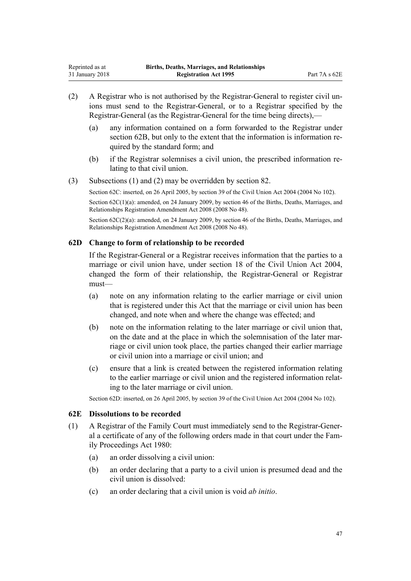- (2) A Registrar who is not authorised by the Registrar-General to register civil unions must send to the Registrar-General, or to a Registrar specified by the Registrar-General (as the Registrar-General for the time being directs),—
	- (a) any information contained on a form forwarded to the Registrar under [section 62B,](#page-45-0) but only to the extent that the information is information required by the standard form; and
	- (b) if the Registrar solemnises a civil union, the prescribed information relating to that civil union.
- (3) Subsections (1) and (2) may be overridden by [section 82](#page-75-0).

Section 62C: inserted, on 26 April 2005, by [section 39](http://prd-lgnz-nlb.prd.pco.net.nz/pdflink.aspx?id=DLM323466) of the Civil Union Act 2004 (2004 No 102). Section 62C(1)(a): amended, on 24 January 2009, by [section 46](http://prd-lgnz-nlb.prd.pco.net.nz/pdflink.aspx?id=DLM1048941) of the Births, Deaths, Marriages, and

Relationships Registration Amendment Act 2008 (2008 No 48).

Section 62C(2)(a): amended, on 24 January 2009, by [section 46](http://prd-lgnz-nlb.prd.pco.net.nz/pdflink.aspx?id=DLM1048941) of the Births, Deaths, Marriages, and Relationships Registration Amendment Act 2008 (2008 No 48).

# **62D Change to form of relationship to be recorded**

If the Registrar-General or a Registrar receives information that the parties to a marriage or civil union have, under [section 18](http://prd-lgnz-nlb.prd.pco.net.nz/pdflink.aspx?id=DLM323429) of the Civil Union Act 2004, changed the form of their relationship, the Registrar-General or Registrar must—

- (a) note on any information relating to the earlier marriage or civil union that is registered under this Act that the marriage or civil union has been changed, and note when and where the change was effected; and
- (b) note on the information relating to the later marriage or civil union that, on the date and at the place in which the solemnisation of the later marriage or civil union took place, the parties changed their earlier marriage or civil union into a marriage or civil union; and
- (c) ensure that a link is created between the registered information relating to the earlier marriage or civil union and the registered information relating to the later marriage or civil union.

Section 62D: inserted, on 26 April 2005, by [section 39](http://prd-lgnz-nlb.prd.pco.net.nz/pdflink.aspx?id=DLM323466) of the Civil Union Act 2004 (2004 No 102).

# **62E Dissolutions to be recorded**

- (1) A Registrar of the Family Court must immediately send to the Registrar-General a certificate of any of the following orders made in that court under the [Fam](http://prd-lgnz-nlb.prd.pco.net.nz/pdflink.aspx?id=DLM39722)[ily Proceedings Act 1980:](http://prd-lgnz-nlb.prd.pco.net.nz/pdflink.aspx?id=DLM39722)
	- (a) an order dissolving a civil union:
	- (b) an order declaring that a party to a civil union is presumed dead and the civil union is dissolved:
	- (c) an order declaring that a civil union is void *ab initio*.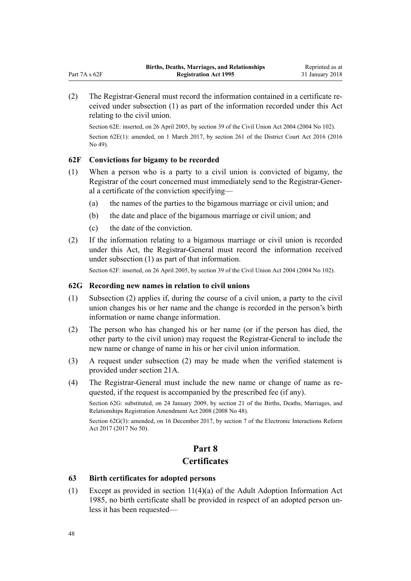<span id="page-47-0"></span>(2) The Registrar-General must record the information contained in a certificate received under subsection (1) as part of the information recorded under this Act relating to the civil union.

Section 62E: inserted, on 26 April 2005, by [section 39](http://prd-lgnz-nlb.prd.pco.net.nz/pdflink.aspx?id=DLM323466) of the Civil Union Act 2004 (2004 No 102). Section 62E(1): amended, on 1 March 2017, by [section 261](http://prd-lgnz-nlb.prd.pco.net.nz/pdflink.aspx?id=DLM6942680) of the District Court Act 2016 (2016 No 49).

# **62F Convictions for bigamy to be recorded**

- (1) When a person who is a party to a civil union is convicted of bigamy, the Registrar of the court concerned must immediately send to the Registrar-General a certificate of the conviction specifying—
	- (a) the names of the parties to the bigamous marriage or civil union; and
	- (b) the date and place of the bigamous marriage or civil union; and
	- (c) the date of the conviction.
- (2) If the information relating to a bigamous marriage or civil union is recorded under this Act, the Registrar-General must record the information received under subsection (1) as part of that information.

Section 62F: inserted, on 26 April 2005, by [section 39](http://prd-lgnz-nlb.prd.pco.net.nz/pdflink.aspx?id=DLM323466) of the Civil Union Act 2004 (2004 No 102).

# **62G Recording new names in relation to civil unions**

- (1) Subsection (2) applies if, during the course of a civil union, a party to the civil union changes his or her name and the change is recorded in the person's birth information or name change information.
- (2) The person who has changed his or her name (or if the person has died, the other party to the civil union) may request the Registrar-General to include the new name or change of name in his or her civil union information.
- (3) A request under subsection (2) may be made when the verified statement is provided under [section 21A](#page-23-0).
- (4) The Registrar-General must include the new name or change of name as requested, if the request is accompanied by the prescribed fee (if any).

Section 62G: substituted, on 24 January 2009, by [section 21](http://prd-lgnz-nlb.prd.pco.net.nz/pdflink.aspx?id=DLM1048872) of the Births, Deaths, Marriages, and Relationships Registration Amendment Act 2008 (2008 No 48).

Section 62G(3): amended, on 16 December 2017, by [section 7](http://prd-lgnz-nlb.prd.pco.net.nz/pdflink.aspx?id=DLM6962124) of the Electronic Interactions Reform Act 2017 (2017 No 50).

# **Part 8**

# **Certificates**

# **63 Birth certificates for adopted persons**

(1) Except as provided in [section 11\(4\)\(a\)](http://prd-lgnz-nlb.prd.pco.net.nz/pdflink.aspx?id=DLM80568) of the Adult Adoption Information Act 1985, no birth certificate shall be provided in respect of an adopted person unless it has been requested—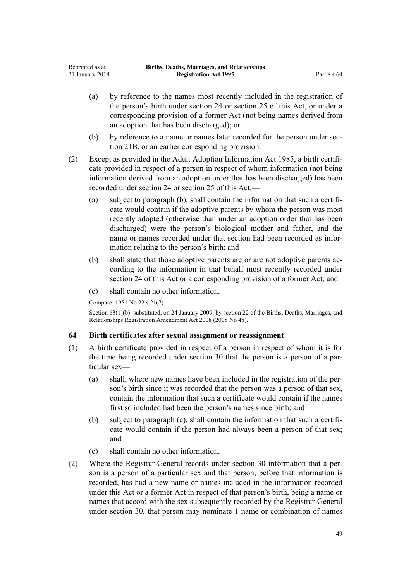- <span id="page-48-0"></span>(a) by reference to the names most recently included in the registration of the person's birth under [section 24](#page-26-0) or [section 25](#page-27-0) of this Act, or under a corresponding provision of a former Act (not being names derived from an adoption that has been discharged); or
- (b) by reference to a name or names later recorded for the person under [sec](#page-25-0)[tion 21B](#page-25-0), or an earlier corresponding provision.
- (2) Except as provided in the [Adult Adoption Information Act 1985,](http://prd-lgnz-nlb.prd.pco.net.nz/pdflink.aspx?id=DLM80512) a birth certificate provided in respect of a person in respect of whom information (not being information derived from an adoption order that has been discharged) has been recorded under [section 24](#page-26-0) or [section 25](#page-27-0) of this Act,—
	- (a) subject to paragraph (b), shall contain the information that such a certificate would contain if the adoptive parents by whom the person was most recently adopted (otherwise than under an adoption order that has been discharged) were the person's biological mother and father, and the name or names recorded under that section had been recorded as information relating to the person's birth; and
	- (b) shall state that those adoptive parents are or are not adoptive parents according to the information in that behalf most recently recorded under [section 24](#page-26-0) of this Act or a corresponding provision of a former Act; and
	- (c) shall contain no other information.

Compare: 1951 No 22 s 21(7)

Section 63(1)(b): substituted, on 24 January 2009, by [section 22](http://prd-lgnz-nlb.prd.pco.net.nz/pdflink.aspx?id=DLM1048874) of the Births, Deaths, Marriages, and Relationships Registration Amendment Act 2008 (2008 No 48).

# **64 Birth certificates after sexual assignment or reassignment**

- (1) A birth certificate provided in respect of a person in respect of whom it is for the time being recorded under [section 30](#page-32-0) that the person is a person of a particular sex—
	- (a) shall, where new names have been included in the registration of the person's birth since it was recorded that the person was a person of that sex, contain the information that such a certificate would contain if the names first so included had been the person's names since birth; and
	- (b) subject to paragraph (a), shall contain the information that such a certificate would contain if the person had always been a person of that sex; and
	- (c) shall contain no other information.
- (2) Where the Registrar-General records under [section 30](#page-32-0) information that a person is a person of a particular sex and that person, before that information is recorded, has had a new name or names included in the information recorded under this Act or a former Act in respect of that person's birth, being a name or names that accord with the sex subsequently recorded by the Registrar-General under section 30, that person may nominate 1 name or combination of names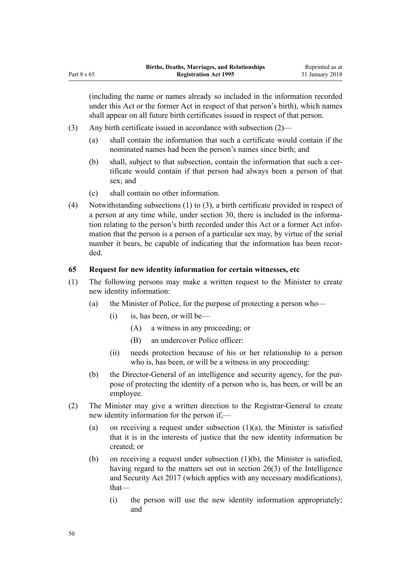<span id="page-49-0"></span>(including the name or names already so included in the information recorded under this Act or the former Act in respect of that person's birth), which names shall appear on all future birth certificates issued in respect of that person.

- (3) Any birth certificate issued in accordance with subsection (2)—
	- (a) shall contain the information that such a certificate would contain if the nominated names had been the person's names since birth; and
	- (b) shall, subject to that subsection, contain the information that such a certificate would contain if that person had always been a person of that sex; and
	- (c) shall contain no other information.
- (4) Notwithstanding subsections (1) to (3), a birth certificate provided in respect of a person at any time while, under [section 30,](#page-32-0) there is included in the information relating to the person's birth recorded under this Act or a former Act information that the person is a person of a particular sex may, by virtue of the serial number it bears, be capable of indicating that the information has been recorded.

## **65 Request for new identity information for certain witnesses, etc**

- (1) The following persons may make a written request to the Minister to create new identity information:
	- (a) the Minister of Police, for the purpose of protecting a person who—
		- (i) is, has been, or will be—
			- (A) a witness in any proceeding; or
			- (B) an undercover Police officer:
		- (ii) needs protection because of his or her relationship to a person who is, has been, or will be a witness in any proceeding:
	- (b) the Director-General of an intelligence and security agency, for the purpose of protecting the identity of a person who is, has been, or will be an employee.
- (2) The Minister may give a written direction to the Registrar-General to create new identity information for the person if,—
	- (a) on receiving a request under subsection  $(1)(a)$ , the Minister is satisfied that it is in the interests of justice that the new identity information be created; or
	- (b) on receiving a request under subsection  $(1)(b)$ , the Minister is satisfied, having regard to the matters set out in [section 26\(3\)](http://prd-lgnz-nlb.prd.pco.net.nz/pdflink.aspx?id=DLM6920972) of the Intelligence and Security Act 2017 (which applies with any necessary modifications), that—
		- (i) the person will use the new identity information appropriately; and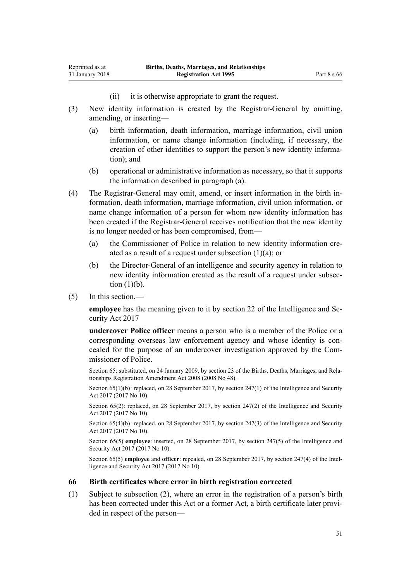(ii) it is otherwise appropriate to grant the request.

- (3) New identity information is created by the Registrar-General by omitting, amending, or inserting—
	- (a) birth information, death information, marriage information, civil union information, or name change information (including, if necessary, the creation of other identities to support the person's new identity information); and
	- (b) operational or administrative information as necessary, so that it supports the information described in paragraph (a).
- (4) The Registrar-General may omit, amend, or insert information in the birth information, death information, marriage information, civil union information, or name change information of a person for whom new identity information has been created if the Registrar-General receives notification that the new identity is no longer needed or has been compromised, from—
	- (a) the Commissioner of Police in relation to new identity information created as a result of a request under subsection (1)(a); or
	- (b) the Director-General of an intelligence and security agency in relation to new identity information created as the result of a request under subsection  $(1)(b)$ .
- (5) In this section,—

<span id="page-50-0"></span>Reprinted as at 31 January 2018

> **employee** has the meaning given to it by [section 22](http://prd-lgnz-nlb.prd.pco.net.nz/pdflink.aspx?id=DLM6920944) of the Intelligence and Security Act 2017

> **undercover Police officer** means a person who is a member of the Police or a corresponding overseas law enforcement agency and whose identity is concealed for the purpose of an undercover investigation approved by the Commissioner of Police.

> Section 65: substituted, on 24 January 2009, by [section 23](http://prd-lgnz-nlb.prd.pco.net.nz/pdflink.aspx?id=DLM1048875) of the Births, Deaths, Marriages, and Relationships Registration Amendment Act 2008 (2008 No 48).

> Section  $65(1)(b)$ : replaced, on 28 September 2017, by [section 247\(1\)](http://prd-lgnz-nlb.prd.pco.net.nz/pdflink.aspx?id=DLM6921301) of the Intelligence and Security Act 2017 (2017 No 10).

> Section 65(2): replaced, on 28 September 2017, by [section 247\(2\)](http://prd-lgnz-nlb.prd.pco.net.nz/pdflink.aspx?id=DLM6921301) of the Intelligence and Security Act 2017 (2017 No 10).

> Section 65(4)(b): replaced, on 28 September 2017, by [section 247\(3\)](http://prd-lgnz-nlb.prd.pco.net.nz/pdflink.aspx?id=DLM6921301) of the Intelligence and Security Act 2017 (2017 No 10).

> Section 65(5) **employee**: inserted, on 28 September 2017, by [section 247\(5\)](http://prd-lgnz-nlb.prd.pco.net.nz/pdflink.aspx?id=DLM6921301) of the Intelligence and Security Act 2017 (2017 No 10).

> Section 65(5) **employee** and **officer**: repealed, on 28 September 2017, by [section 247\(4\)](http://prd-lgnz-nlb.prd.pco.net.nz/pdflink.aspx?id=DLM6921301) of the Intelligence and Security Act 2017 (2017 No 10).

#### **66 Birth certificates where error in birth registration corrected**

(1) Subject to subsection (2), where an error in the registration of a person's birth has been corrected under this Act or a former Act, a birth certificate later provided in respect of the person—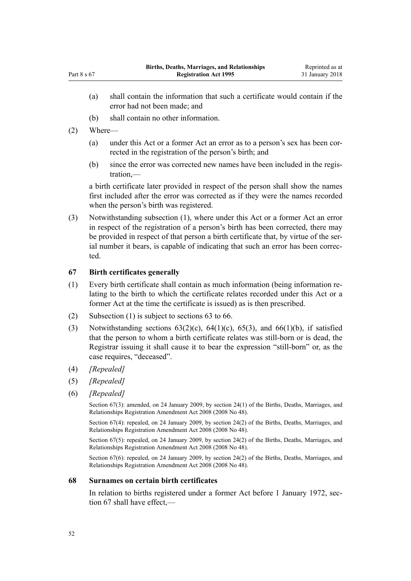- (a) shall contain the information that such a certificate would contain if the error had not been made; and
- (b) shall contain no other information.
- (2) Where—

Part 8 s 67

- (a) under this Act or a former Act an error as to a person's sex has been corrected in the registration of the person's birth; and
- (b) since the error was corrected new names have been included in the registration,—

a birth certificate later provided in respect of the person shall show the names first included after the error was corrected as if they were the names recorded when the person's birth was registered.

(3) Notwithstanding subsection (1), where under this Act or a former Act an error in respect of the registration of a person's birth has been corrected, there may be provided in respect of that person a birth certificate that, by virtue of the serial number it bears, is capable of indicating that such an error has been corrected.

#### **67 Birth certificates generally**

- (1) Every birth certificate shall contain as much information (being information relating to the birth to which the certificate relates recorded under this Act or a former Act at the time the certificate is issued) as is then prescribed.
- (2) Subsection (1) is subject to [sections 63 to 66](#page-47-0).
- (3) Notwithstanding sections  $63(2)(c)$ ,  $64(1)(c)$ ,  $65(3)$ , and  $66(1)(b)$ , if satisfied that the person to whom a birth certificate relates was still-born or is dead, the Registrar issuing it shall cause it to bear the expression "still-born" or, as the case requires, "deceased".
- (4) *[Repealed]*
- (5) *[Repealed]*
- (6) *[Repealed]*

Section 67(3): amended, on 24 January 2009, by [section 24\(1\)](http://prd-lgnz-nlb.prd.pco.net.nz/pdflink.aspx?id=DLM1048882) of the Births, Deaths, Marriages, and Relationships Registration Amendment Act 2008 (2008 No 48).

Section 67(4): repealed, on 24 January 2009, by [section 24\(2\)](http://prd-lgnz-nlb.prd.pco.net.nz/pdflink.aspx?id=DLM1048882) of the Births, Deaths, Marriages, and Relationships Registration Amendment Act 2008 (2008 No 48).

Section 67(5): repealed, on 24 January 2009, by [section 24\(2\)](http://prd-lgnz-nlb.prd.pco.net.nz/pdflink.aspx?id=DLM1048882) of the Births, Deaths, Marriages, and Relationships Registration Amendment Act 2008 (2008 No 48).

Section 67(6): repealed, on 24 January 2009, by [section 24\(2\)](http://prd-lgnz-nlb.prd.pco.net.nz/pdflink.aspx?id=DLM1048882) of the Births, Deaths, Marriages, and Relationships Registration Amendment Act 2008 (2008 No 48).

## **68 Surnames on certain birth certificates**

In relation to births registered under a former Act before 1 January 1972, section 67 shall have effect,—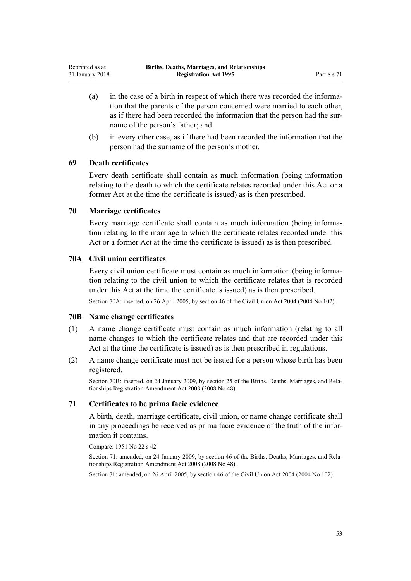- (a) in the case of a birth in respect of which there was recorded the information that the parents of the person concerned were married to each other, as if there had been recorded the information that the person had the surname of the person's father; and
- (b) in every other case, as if there had been recorded the information that the person had the surname of the person's mother.

#### **69 Death certificates**

Every death certificate shall contain as much information (being information relating to the death to which the certificate relates recorded under this Act or a former Act at the time the certificate is issued) as is then prescribed.

## **70 Marriage certificates**

Every marriage certificate shall contain as much information (being information relating to the marriage to which the certificate relates recorded under this Act or a former Act at the time the certificate is issued) as is then prescribed.

# **70A Civil union certificates**

Every civil union certificate must contain as much information (being information relating to the civil union to which the certificate relates that is recorded under this Act at the time the certificate is issued) as is then prescribed.

Section 70A: inserted, on 26 April 2005, by [section 46](http://prd-lgnz-nlb.prd.pco.net.nz/pdflink.aspx?id=DLM323483) of the Civil Union Act 2004 (2004 No 102).

#### **70B Name change certificates**

- (1) A name change certificate must contain as much information (relating to all name changes to which the certificate relates and that are recorded under this Act at the time the certificate is issued) as is then prescribed in regulations.
- (2) A name change certificate must not be issued for a person whose birth has been registered.

Section 70B: inserted, on 24 January 2009, by [section 25](http://prd-lgnz-nlb.prd.pco.net.nz/pdflink.aspx?id=DLM1048883) of the Births, Deaths, Marriages, and Relationships Registration Amendment Act 2008 (2008 No 48).

# **71 Certificates to be prima facie evidence**

A birth, death, marriage certificate, civil union, or name change certificate shall in any proceedings be received as prima facie evidence of the truth of the information it contains.

Compare: 1951 No 22 s 42

Section 71: amended, on 24 January 2009, by [section 46](http://prd-lgnz-nlb.prd.pco.net.nz/pdflink.aspx?id=DLM1048941) of the Births, Deaths, Marriages, and Relationships Registration Amendment Act 2008 (2008 No 48).

Section 71: amended, on 26 April 2005, by [section 46](http://prd-lgnz-nlb.prd.pco.net.nz/pdflink.aspx?id=DLM323483) of the Civil Union Act 2004 (2004 No 102).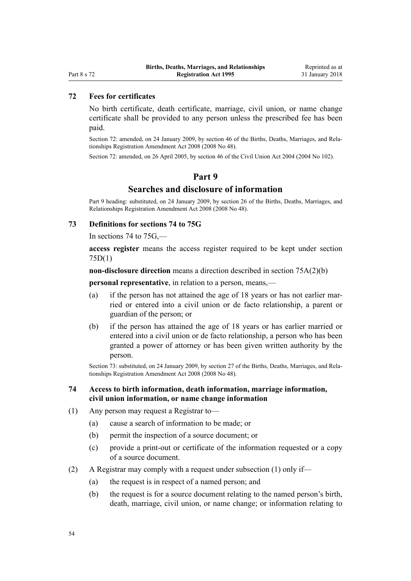# <span id="page-53-0"></span>Part 8 s 72

# **72 Fees for certificates**

No birth certificate, death certificate, marriage, civil union, or name change certificate shall be provided to any person unless the prescribed fee has been paid.

Section 72: amended, on 24 January 2009, by [section 46](http://prd-lgnz-nlb.prd.pco.net.nz/pdflink.aspx?id=DLM1048941) of the Births, Deaths, Marriages, and Relationships Registration Amendment Act 2008 (2008 No 48).

Section 72: amended, on 26 April 2005, by [section 46](http://prd-lgnz-nlb.prd.pco.net.nz/pdflink.aspx?id=DLM323483) of the Civil Union Act 2004 (2004 No 102).

#### **Part 9**

# **Searches and disclosure of information**

Part 9 heading: substituted, on 24 January 2009, by [section 26](http://prd-lgnz-nlb.prd.pco.net.nz/pdflink.aspx?id=DLM1048885) of the Births, Deaths, Marriages, and Relationships Registration Amendment Act 2008 (2008 No 48).

#### **73 Definitions for sections 74 to 75G**

In sections 74 to  $75G$ ,—

**access register** means the access register required to be kept under [section](#page-57-0) [75D\(1\)](#page-57-0)

**non-disclosure direction** means a direction described in [section 75A\(2\)\(b\)](#page-54-0)

**personal representative**, in relation to a person, means,—

- (a) if the person has not attained the age of 18 years or has not earlier married or entered into a civil union or de facto relationship, a parent or guardian of the person; or
- (b) if the person has attained the age of 18 years or has earlier married or entered into a civil union or de facto relationship, a person who has been granted a power of attorney or has been given written authority by the person.

Section 73: substituted, on 24 January 2009, by [section 27](http://prd-lgnz-nlb.prd.pco.net.nz/pdflink.aspx?id=DLM1250722) of the Births, Deaths, Marriages, and Relationships Registration Amendment Act 2008 (2008 No 48).

## **74 Access to birth information, death information, marriage information, civil union information, or name change information**

- (1) Any person may request a Registrar to—
	- (a) cause a search of information to be made; or
	- (b) permit the inspection of a source document; or
	- (c) provide a print-out or certificate of the information requested or a copy of a source document.
- (2) A Registrar may comply with a request under subsection (1) only if—
	- (a) the request is in respect of a named person; and
	- (b) the request is for a source document relating to the named person's birth, death, marriage, civil union, or name change; or information relating to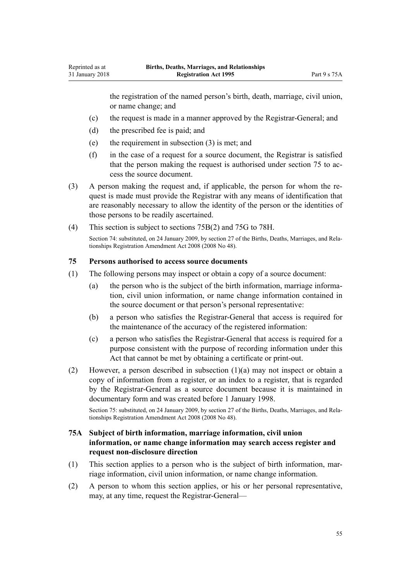the registration of the named person's birth, death, marriage, civil union, or name change; and

- (c) the request is made in a manner approved by the Registrar-General; and
- (d) the prescribed fee is paid; and

<span id="page-54-0"></span>Reprinted as at 31 January 2018

- (e) the requirement in subsection (3) is met; and
- (f) in the case of a request for a source document, the Registrar is satisfied that the person making the request is authorised under section 75 to access the source document.
- (3) A person making the request and, if applicable, the person for whom the request is made must provide the Registrar with any means of identification that are reasonably necessary to allow the identity of the person or the identities of those persons to be readily ascertained.
- (4) This section is subject to [sections 75B\(2\)](#page-55-0) and [75G to 78H.](#page-58-0)

Section 74: substituted, on 24 January 2009, by [section 27](http://prd-lgnz-nlb.prd.pco.net.nz/pdflink.aspx?id=DLM1250722) of the Births, Deaths, Marriages, and Relationships Registration Amendment Act 2008 (2008 No 48).

#### **75 Persons authorised to access source documents**

- (1) The following persons may inspect or obtain a copy of a source document:
	- (a) the person who is the subject of the birth information, marriage information, civil union information, or name change information contained in the source document or that person's personal representative:
	- (b) a person who satisfies the Registrar-General that access is required for the maintenance of the accuracy of the registered information:
	- (c) a person who satisfies the Registrar-General that access is required for a purpose consistent with the purpose of recording information under this Act that cannot be met by obtaining a certificate or print-out.
- (2) However, a person described in subsection (1)(a) may not inspect or obtain a copy of information from a register, or an index to a register, that is regarded by the Registrar-General as a source document because it is maintained in documentary form and was created before 1 January 1998.

Section 75: substituted, on 24 January 2009, by [section 27](http://prd-lgnz-nlb.prd.pco.net.nz/pdflink.aspx?id=DLM1250722) of the Births, Deaths, Marriages, and Relationships Registration Amendment Act 2008 (2008 No 48).

# **75A Subject of birth information, marriage information, civil union information, or name change information may search access register and request non-disclosure direction**

- (1) This section applies to a person who is the subject of birth information, marriage information, civil union information, or name change information.
- (2) A person to whom this section applies, or his or her personal representative, may, at any time, request the Registrar-General—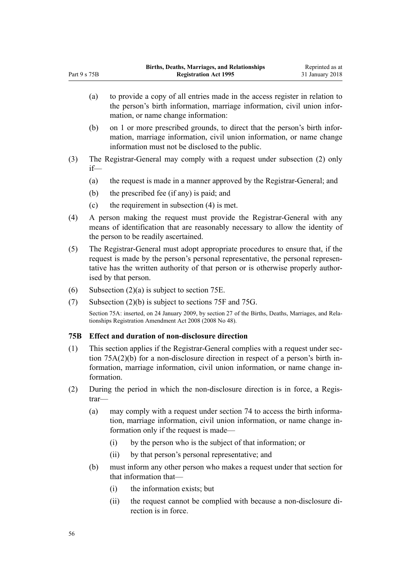- (a) to provide a copy of all entries made in the access register in relation to the person's birth information, marriage information, civil union information, or name change information:
- (b) on 1 or more prescribed grounds, to direct that the person's birth information, marriage information, civil union information, or name change information must not be disclosed to the public.
- (3) The Registrar-General may comply with a request under subsection (2) only if—
	- (a) the request is made in a manner approved by the Registrar-General; and
	- (b) the prescribed fee (if any) is paid; and

<span id="page-55-0"></span>Part 9 s 75B

- (c) the requirement in subsection (4) is met.
- (4) A person making the request must provide the Registrar-General with any means of identification that are reasonably necessary to allow the identity of the person to be readily ascertained.
- (5) The Registrar-General must adopt appropriate procedures to ensure that, if the request is made by the person's personal representative, the personal representative has the written authority of that person or is otherwise properly authorised by that person.
- (6) Subsection  $(2)(a)$  is subject to [section 75E](#page-57-0).
- (7) Subsection (2)(b) is subject to [sections 75F](#page-57-0) and [75G](#page-58-0).

Section 75A: inserted, on 24 January 2009, by [section 27](http://prd-lgnz-nlb.prd.pco.net.nz/pdflink.aspx?id=DLM1250722) of the Births, Deaths, Marriages, and Relationships Registration Amendment Act 2008 (2008 No 48).

#### **75B Effect and duration of non-disclosure direction**

- (1) This section applies if the Registrar-General complies with a request under [sec](#page-54-0)[tion 75A\(2\)\(b\)](#page-54-0) for a non-disclosure direction in respect of a person's birth information, marriage information, civil union information, or name change information.
- (2) During the period in which the non-disclosure direction is in force, a Registrar—
	- (a) may comply with a request under [section 74](#page-53-0) to access the birth information, marriage information, civil union information, or name change information only if the request is made—
		- (i) by the person who is the subject of that information; or
		- (ii) by that person's personal representative; and
	- (b) must inform any other person who makes a request under that section for that information that—
		- (i) the information exists; but
		- (ii) the request cannot be complied with because a non-disclosure direction is in force.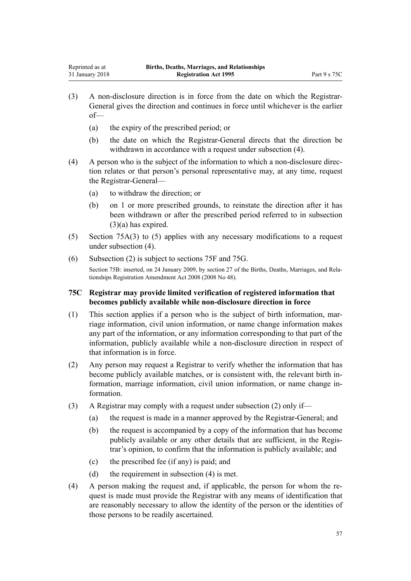- (3) A non-disclosure direction is in force from the date on which the Registrar-General gives the direction and continues in force until whichever is the earlier of—
	- (a) the expiry of the prescribed period; or
	- (b) the date on which the Registrar-General directs that the direction be withdrawn in accordance with a request under subsection (4).
- (4) A person who is the subject of the information to which a non-disclosure direction relates or that person's personal representative may, at any time, request the Registrar-General—
	- (a) to withdraw the direction; or
	- (b) on 1 or more prescribed grounds, to reinstate the direction after it has been withdrawn or after the prescribed period referred to in subsection  $(3)(a)$  has expired.
- (5) [Section 75A\(3\) to \(5\)](#page-54-0) applies with any necessary modifications to a request under subsection (4).
- (6) Subsection (2) is subject to [sections 75F](#page-57-0) and [75G.](#page-58-0)

Section 75B: inserted, on 24 January 2009, by [section 27](http://prd-lgnz-nlb.prd.pco.net.nz/pdflink.aspx?id=DLM1250722) of the Births, Deaths, Marriages, and Relationships Registration Amendment Act 2008 (2008 No 48).

## **75C Registrar may provide limited verification of registered information that becomes publicly available while non-disclosure direction in force**

- (1) This section applies if a person who is the subject of birth information, marriage information, civil union information, or name change information makes any part of the information, or any information corresponding to that part of the information, publicly available while a non-disclosure direction in respect of that information is in force.
- (2) Any person may request a Registrar to verify whether the information that has become publicly available matches, or is consistent with, the relevant birth information, marriage information, civil union information, or name change information.
- (3) A Registrar may comply with a request under subsection (2) only if—
	- (a) the request is made in a manner approved by the Registrar-General; and
	- (b) the request is accompanied by a copy of the information that has become publicly available or any other details that are sufficient, in the Registrar's opinion, to confirm that the information is publicly available; and
	- (c) the prescribed fee (if any) is paid; and
	- (d) the requirement in subsection (4) is met.
- (4) A person making the request and, if applicable, the person for whom the request is made must provide the Registrar with any means of identification that are reasonably necessary to allow the identity of the person or the identities of those persons to be readily ascertained.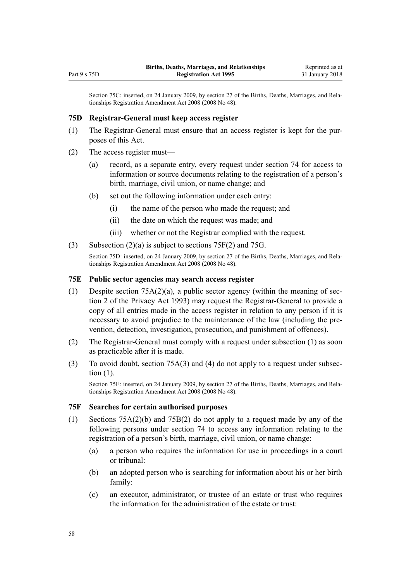<span id="page-57-0"></span>Section 75C: inserted, on 24 January 2009, by [section 27](http://prd-lgnz-nlb.prd.pco.net.nz/pdflink.aspx?id=DLM1250722) of the Births, Deaths, Marriages, and Relationships Registration Amendment Act 2008 (2008 No 48).

#### **75D Registrar-General must keep access register**

- (1) The Registrar-General must ensure that an access register is kept for the purposes of this Act.
- (2) The access register must—
	- (a) record, as a separate entry, every request under [section 74](#page-53-0) for access to information or source documents relating to the registration of a person's birth, marriage, civil union, or name change; and
	- (b) set out the following information under each entry:
		- (i) the name of the person who made the request; and
		- (ii) the date on which the request was made; and
		- (iii) whether or not the Registrar complied with the request.
- (3) Subsection (2)(a) is subject to sections 75F(2) and [75G.](#page-58-0)

Section 75D: inserted, on 24 January 2009, by [section 27](http://prd-lgnz-nlb.prd.pco.net.nz/pdflink.aspx?id=DLM1250722) of the Births, Deaths, Marriages, and Relationships Registration Amendment Act 2008 (2008 No 48).

#### **75E Public sector agencies may search access register**

- (1) Despite section  $75A(2)(a)$ , a public sector agency (within the meaning of [sec](http://prd-lgnz-nlb.prd.pco.net.nz/pdflink.aspx?id=DLM296645)[tion 2](http://prd-lgnz-nlb.prd.pco.net.nz/pdflink.aspx?id=DLM296645) of the Privacy Act 1993) may request the Registrar-General to provide a copy of all entries made in the access register in relation to any person if it is necessary to avoid prejudice to the maintenance of the law (including the prevention, detection, investigation, prosecution, and punishment of offences).
- (2) The Registrar-General must comply with a request under subsection (1) as soon as practicable after it is made.
- (3) To avoid doubt, [section 75A\(3\) and \(4\)](#page-54-0) do not apply to a request under subsection (1).

Section 75E: inserted, on 24 January 2009, by [section 27](http://prd-lgnz-nlb.prd.pco.net.nz/pdflink.aspx?id=DLM1250722) of the Births, Deaths, Marriages, and Relationships Registration Amendment Act 2008 (2008 No 48).

#### **75F Searches for certain authorised purposes**

- (1) [Sections 75A\(2\)\(b\)](#page-54-0) and [75B\(2\)](#page-55-0) do not apply to a request made by any of the following persons under [section 74](#page-53-0) to access any information relating to the registration of a person's birth, marriage, civil union, or name change:
	- (a) a person who requires the information for use in proceedings in a court or tribunal:
	- (b) an adopted person who is searching for information about his or her birth family:
	- (c) an executor, administrator, or trustee of an estate or trust who requires the information for the administration of the estate or trust: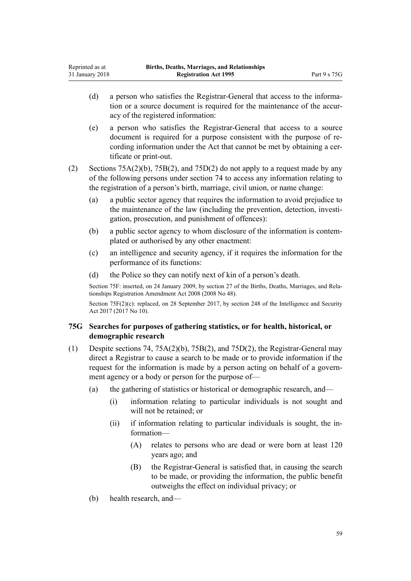- <span id="page-58-0"></span>(d) a person who satisfies the Registrar-General that access to the information or a source document is required for the maintenance of the accuracy of the registered information:
- (e) a person who satisfies the Registrar-General that access to a source document is required for a purpose consistent with the purpose of recording information under the Act that cannot be met by obtaining a certificate or print-out.

(2) [Sections 75A\(2\)\(b\),](#page-54-0) [75B\(2\),](#page-55-0) and [75D\(2\)](#page-57-0) do not apply to a request made by any of the following persons under [section 74](#page-53-0) to access any information relating to the registration of a person's birth, marriage, civil union, or name change:

- (a) a public sector agency that requires the information to avoid prejudice to the maintenance of the law (including the prevention, detection, investigation, prosecution, and punishment of offences):
- (b) a public sector agency to whom disclosure of the information is contemplated or authorised by any other enactment:
- (c) an intelligence and security agency, if it requires the information for the performance of its functions:
- (d) the Police so they can notify next of kin of a person's death.

Section 75F: inserted, on 24 January 2009, by [section 27](http://prd-lgnz-nlb.prd.pco.net.nz/pdflink.aspx?id=DLM1250722) of the Births, Deaths, Marriages, and Relationships Registration Amendment Act 2008 (2008 No 48).

Section 75F(2)(c): replaced, on 28 September 2017, by [section 248](http://prd-lgnz-nlb.prd.pco.net.nz/pdflink.aspx?id=DLM6921306) of the Intelligence and Security Act 2017 (2017 No 10).

# **75G Searches for purposes of gathering statistics, or for health, historical, or demographic research**

- (1) Despite [sections 74,](#page-53-0) [75A\(2\)\(b\)](#page-54-0), [75B\(2\),](#page-55-0) and [75D\(2\)](#page-57-0), the Registrar-General may direct a Registrar to cause a search to be made or to provide information if the request for the information is made by a person acting on behalf of a government agency or a body or person for the purpose of—
	- (a) the gathering of statistics or historical or demographic research, and—
		- (i) information relating to particular individuals is not sought and will not be retained; or
		- (ii) if information relating to particular individuals is sought, the information—
			- (A) relates to persons who are dead or were born at least 120 years ago; and
			- (B) the Registrar-General is satisfied that, in causing the search to be made, or providing the information, the public benefit outweighs the effect on individual privacy; or
	- (b) health research, and—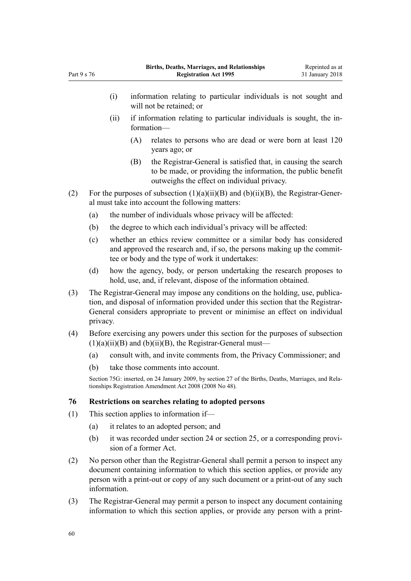- (ii) if information relating to particular individuals is sought, the information—
	- (A) relates to persons who are dead or were born at least 120 years ago; or
	- (B) the Registrar-General is satisfied that, in causing the search to be made, or providing the information, the public benefit outweighs the effect on individual privacy.
- (2) For the purposes of subsection  $(1)(a)(ii)(B)$  and  $(b)(ii)(B)$ , the Registrar-General must take into account the following matters:
	- (a) the number of individuals whose privacy will be affected:
	- (b) the degree to which each individual's privacy will be affected:
	- (c) whether an ethics review committee or a similar body has considered and approved the research and, if so, the persons making up the committee or body and the type of work it undertakes:
	- (d) how the agency, body, or person undertaking the research proposes to hold, use, and, if relevant, dispose of the information obtained.
- (3) The Registrar-General may impose any conditions on the holding, use, publication, and disposal of information provided under this section that the Registrar-General considers appropriate to prevent or minimise an effect on individual privacy.
- (4) Before exercising any powers under this section for the purposes of subsection  $(1)(a)(ii)(B)$  and  $(b)(ii)(B)$ , the Registrar-General must—
	- (a) consult with, and invite comments from, the Privacy Commissioner; and
	- (b) take those comments into account.

Section 75G: inserted, on 24 January 2009, by [section 27](http://prd-lgnz-nlb.prd.pco.net.nz/pdflink.aspx?id=DLM1250722) of the Births, Deaths, Marriages, and Relationships Registration Amendment Act 2008 (2008 No 48).

## **76 Restrictions on searches relating to adopted persons**

- (1) This section applies to information if—
	- (a) it relates to an adopted person; and
	- (b) it was recorded under [section 24](#page-26-0) or [section 25](#page-27-0), or a corresponding provision of a former Act.
- (2) No person other than the Registrar-General shall permit a person to inspect any document containing information to which this section applies, or provide any person with a print-out or copy of any such document or a print-out of any such information.
- (3) The Registrar-General may permit a person to inspect any document containing information to which this section applies, or provide any person with a print-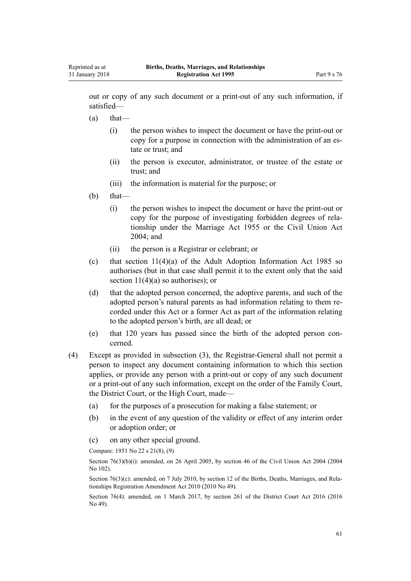out or copy of any such document or a print-out of any such information, if satisfied—

- $(a)$  that—
	- (i) the person wishes to inspect the document or have the print-out or copy for a purpose in connection with the administration of an estate or trust; and
	- (ii) the person is executor, administrator, or trustee of the estate or trust; and
	- (iii) the information is material for the purpose; or

## $(b)$  that—

- (i) the person wishes to inspect the document or have the print-out or copy for the purpose of investigating forbidden degrees of relationship under the [Marriage Act 1955](http://prd-lgnz-nlb.prd.pco.net.nz/pdflink.aspx?id=DLM292027) or the [Civil Union Act](http://prd-lgnz-nlb.prd.pco.net.nz/pdflink.aspx?id=DLM323384) [2004](http://prd-lgnz-nlb.prd.pco.net.nz/pdflink.aspx?id=DLM323384); and
- (ii) the person is a Registrar or celebrant; or
- (c) that [section 11\(4\)\(a\)](http://prd-lgnz-nlb.prd.pco.net.nz/pdflink.aspx?id=DLM80568) of the Adult Adoption Information Act 1985 so authorises (but in that case shall permit it to the extent only that the said section  $11(4)(a)$  so authorises); or
- (d) that the adopted person concerned, the adoptive parents, and such of the adopted person's natural parents as had information relating to them recorded under this Act or a former Act as part of the information relating to the adopted person's birth, are all dead; or
- (e) that 120 years has passed since the birth of the adopted person concerned.
- (4) Except as provided in subsection (3), the Registrar-General shall not permit a person to inspect any document containing information to which this section applies, or provide any person with a print-out or copy of any such document or a print-out of any such information, except on the order of the Family Court, the District Court, or the High Court, made—
	- (a) for the purposes of a prosecution for making a false statement; or
	- (b) in the event of any question of the validity or effect of any interim order or adoption order; or
	- (c) on any other special ground.

Compare: 1951 No 22 s 21(8), (9)

Section 76(3)(b)(i): amended, on 26 April 2005, by [section 46](http://prd-lgnz-nlb.prd.pco.net.nz/pdflink.aspx?id=DLM323483) of the Civil Union Act 2004 (2004) No 102).

Section 76(3)(c): amended, on 7 July 2010, by [section 12](http://prd-lgnz-nlb.prd.pco.net.nz/pdflink.aspx?id=DLM3040114) of the Births, Deaths, Marriages, and Relationships Registration Amendment Act 2010 (2010 No 49).

Section 76(4): amended, on 1 March 2017, by [section 261](http://prd-lgnz-nlb.prd.pco.net.nz/pdflink.aspx?id=DLM6942680) of the District Court Act 2016 (2016 No 49).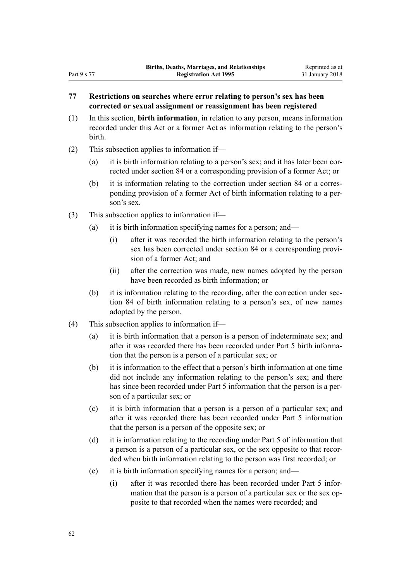# **77 Restrictions on searches where error relating to person's sex has been corrected or sexual assignment or reassignment has been registered**

- (1) In this section, **birth information**, in relation to any person, means information recorded under this Act or a former Act as information relating to the person's birth.
- (2) This subsection applies to information if—
	- (a) it is birth information relating to a person's sex; and it has later been corrected under [section 84](#page-77-0) or a corresponding provision of a former Act; or
	- (b) it is information relating to the correction under [section 84](#page-77-0) or a corresponding provision of a former Act of birth information relating to a person's sex.
- (3) This subsection applies to information if—
	- (a) it is birth information specifying names for a person; and—
		- (i) after it was recorded the birth information relating to the person's sex has been corrected under [section 84](#page-77-0) or a corresponding provision of a former Act; and
		- (ii) after the correction was made, new names adopted by the person have been recorded as birth information; or
	- (b) it is information relating to the recording, after the correction under [sec](#page-77-0)[tion 84](#page-77-0) of birth information relating to a person's sex, of new names adopted by the person.
- (4) This subsection applies to information if—
	- (a) it is birth information that a person is a person of indeterminate sex; and after it was recorded there has been recorded under [Part 5](#page-28-0) birth information that the person is a person of a particular sex; or
	- (b) it is information to the effect that a person's birth information at one time did not include any information relating to the person's sex; and there has since been recorded under [Part 5](#page-28-0) information that the person is a person of a particular sex; or
	- (c) it is birth information that a person is a person of a particular sex; and after it was recorded there has been recorded under [Part 5](#page-28-0) information that the person is a person of the opposite sex; or
	- (d) it is information relating to the recording under [Part 5](#page-28-0) of information that a person is a person of a particular sex, or the sex opposite to that recorded when birth information relating to the person was first recorded; or
	- (e) it is birth information specifying names for a person; and—
		- (i) after it was recorded there has been recorded under [Part 5](#page-28-0) information that the person is a person of a particular sex or the sex opposite to that recorded when the names were recorded; and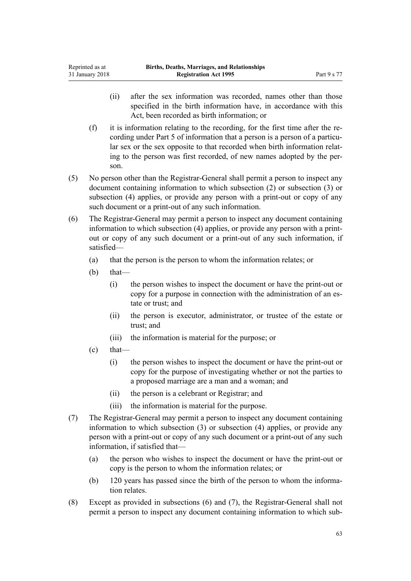- (ii) after the sex information was recorded, names other than those specified in the birth information have, in accordance with this Act, been recorded as birth information; or
- (f) it is information relating to the recording, for the first time after the recording under [Part 5](#page-28-0) of information that a person is a person of a particular sex or the sex opposite to that recorded when birth information relating to the person was first recorded, of new names adopted by the person.
- (5) No person other than the Registrar-General shall permit a person to inspect any document containing information to which subsection (2) or subsection (3) or subsection (4) applies, or provide any person with a print-out or copy of any such document or a print-out of any such information.
- (6) The Registrar-General may permit a person to inspect any document containing information to which subsection (4) applies, or provide any person with a printout or copy of any such document or a print-out of any such information, if satisfied—
	- (a) that the person is the person to whom the information relates; or
	- $(b)$  that—

Reprinted as at

- (i) the person wishes to inspect the document or have the print-out or copy for a purpose in connection with the administration of an estate or trust; and
- (ii) the person is executor, administrator, or trustee of the estate or trust; and
- (iii) the information is material for the purpose; or
- $\text{(c)}$  that—
	- (i) the person wishes to inspect the document or have the print-out or copy for the purpose of investigating whether or not the parties to a proposed marriage are a man and a woman; and
	- (ii) the person is a celebrant or Registrar; and
	- (iii) the information is material for the purpose.
- (7) The Registrar-General may permit a person to inspect any document containing information to which subsection (3) or subsection (4) applies, or provide any person with a print-out or copy of any such document or a print-out of any such information, if satisfied that—
	- (a) the person who wishes to inspect the document or have the print-out or copy is the person to whom the information relates; or
	- (b) 120 years has passed since the birth of the person to whom the information relates.
- (8) Except as provided in subsections (6) and (7), the Registrar-General shall not permit a person to inspect any document containing information to which sub-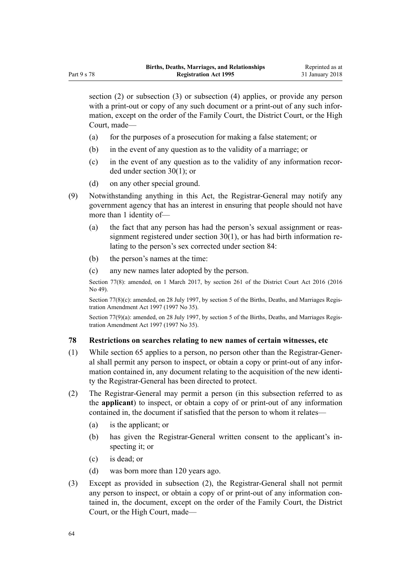section (2) or subsection (3) or subsection (4) applies, or provide any person with a print-out or copy of any such document or a print-out of any such information, except on the order of the Family Court, the District Court, or the High Court, made—

- (a) for the purposes of a prosecution for making a false statement; or
- (b) in the event of any question as to the validity of a marriage; or
- (c) in the event of any question as to the validity of any information recorded under [section 30\(1\)](#page-32-0); or
- (d) on any other special ground.
- (9) Notwithstanding anything in this Act, the Registrar-General may notify any government agency that has an interest in ensuring that people should not have more than 1 identity of—
	- (a) the fact that any person has had the person's sexual assignment or reassignment registered under [section 30\(1\)](#page-32-0), or has had birth information relating to the person's sex corrected under [section 84](#page-77-0):
	- (b) the person's names at the time:
	- (c) any new names later adopted by the person.

Section 77(8): amended, on 1 March 2017, by [section 261](http://prd-lgnz-nlb.prd.pco.net.nz/pdflink.aspx?id=DLM6942680) of the District Court Act 2016 (2016 No 49).

Section 77(8)(c): amended, on 28 July 1997, by [section 5](http://prd-lgnz-nlb.prd.pco.net.nz/pdflink.aspx?id=DLM409954) of the Births, Deaths, and Marriages Registration Amendment Act 1997 (1997 No 35).

Section 77(9)(a): amended, on 28 July 1997, by [section 5](http://prd-lgnz-nlb.prd.pco.net.nz/pdflink.aspx?id=DLM409954) of the Births, Deaths, and Marriages Registration Amendment Act 1997 (1997 No 35).

#### **78 Restrictions on searches relating to new names of certain witnesses, etc**

- (1) While [section 65](#page-49-0) applies to a person, no person other than the Registrar-General shall permit any person to inspect, or obtain a copy or print-out of any information contained in, any document relating to the acquisition of the new identity the Registrar-General has been directed to protect.
- (2) The Registrar-General may permit a person (in this subsection referred to as the **applicant**) to inspect, or obtain a copy of or print-out of any information contained in, the document if satisfied that the person to whom it relates—
	- (a) is the applicant; or
	- (b) has given the Registrar-General written consent to the applicant's inspecting it; or
	- (c) is dead; or
	- (d) was born more than 120 years ago.
- (3) Except as provided in subsection (2), the Registrar-General shall not permit any person to inspect, or obtain a copy of or print-out of any information contained in, the document, except on the order of the Family Court, the District Court, or the High Court, made—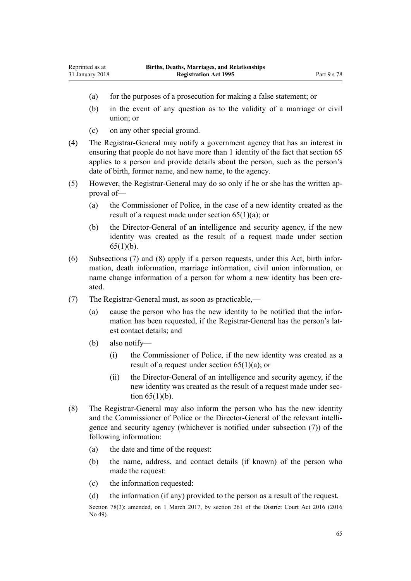- (a) for the purposes of a prosecution for making a false statement; or
- (b) in the event of any question as to the validity of a marriage or civil union; or
- (c) on any other special ground.
- (4) The Registrar-General may notify a government agency that has an interest in ensuring that people do not have more than 1 identity of the fact that [section 65](#page-49-0) applies to a person and provide details about the person, such as the person's date of birth, former name, and new name, to the agency.
- (5) However, the Registrar-General may do so only if he or she has the written approval of—
	- (a) the Commissioner of Police, in the case of a new identity created as the result of a request made under [section 65\(1\)\(a\)](#page-49-0); or
	- (b) the Director-General of an intelligence and security agency, if the new identity was created as the result of a request made under [section](#page-49-0)  $65(1)(b)$ .
- (6) Subsections (7) and (8) apply if a person requests, under this Act, birth information, death information, marriage information, civil union information, or name change information of a person for whom a new identity has been created.
- (7) The Registrar-General must, as soon as practicable,—
	- (a) cause the person who has the new identity to be notified that the information has been requested, if the Registrar-General has the person's latest contact details; and
	- (b) also notify—
		- (i) the Commissioner of Police, if the new identity was created as a result of a request under section  $65(1)(a)$ ; or
		- (ii) the Director-General of an intelligence and security agency, if the new identity was created as the result of a request made under [sec](#page-49-0)tion  $65(1)(b)$ .
- (8) The Registrar-General may also inform the person who has the new identity and the Commissioner of Police or the Director-General of the relevant intelligence and security agency (whichever is notified under subsection (7)) of the following information:
	- (a) the date and time of the request:
	- (b) the name, address, and contact details (if known) of the person who made the request:
	- (c) the information requested:
	- (d) the information (if any) provided to the person as a result of the request.

Section 78(3): amended, on 1 March 2017, by [section 261](http://prd-lgnz-nlb.prd.pco.net.nz/pdflink.aspx?id=DLM6942680) of the District Court Act 2016 (2016) No 49).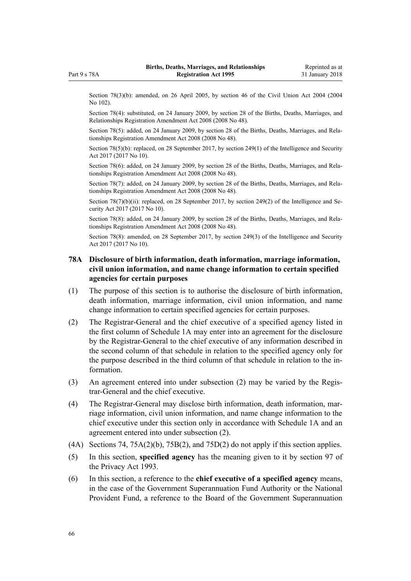<span id="page-65-0"></span>Part 9 s 78A

Section 78(3)(b): amended, on 26 April 2005, by [section 46](http://prd-lgnz-nlb.prd.pco.net.nz/pdflink.aspx?id=DLM323483) of the Civil Union Act 2004 (2004 No 102).

Section 78(4): substituted, on 24 January 2009, by [section 28](http://prd-lgnz-nlb.prd.pco.net.nz/pdflink.aspx?id=DLM1048892) of the Births, Deaths, Marriages, and Relationships Registration Amendment Act 2008 (2008 No 48).

Section 78(5): added, on 24 January 2009, by [section 28](http://prd-lgnz-nlb.prd.pco.net.nz/pdflink.aspx?id=DLM1048892) of the Births, Deaths, Marriages, and Relationships Registration Amendment Act 2008 (2008 No 48).

Section 78(5)(b): replaced, on 28 September 2017, by [section 249\(1\)](http://prd-lgnz-nlb.prd.pco.net.nz/pdflink.aspx?id=DLM6921307) of the Intelligence and Security Act 2017 (2017 No 10).

Section 78(6): added, on 24 January 2009, by [section 28](http://prd-lgnz-nlb.prd.pco.net.nz/pdflink.aspx?id=DLM1048892) of the Births, Deaths, Marriages, and Relationships Registration Amendment Act 2008 (2008 No 48).

Section 78(7): added, on 24 January 2009, by [section 28](http://prd-lgnz-nlb.prd.pco.net.nz/pdflink.aspx?id=DLM1048892) of the Births, Deaths, Marriages, and Relationships Registration Amendment Act 2008 (2008 No 48).

Section  $78(7)(b)(ii)$ : replaced, on 28 September 2017, by [section 249\(2\)](http://prd-lgnz-nlb.prd.pco.net.nz/pdflink.aspx?id=DLM6921307) of the Intelligence and Security Act 2017 (2017 No 10).

Section 78(8): added, on 24 January 2009, by [section 28](http://prd-lgnz-nlb.prd.pco.net.nz/pdflink.aspx?id=DLM1048892) of the Births, Deaths, Marriages, and Relationships Registration Amendment Act 2008 (2008 No 48).

Section 78(8): amended, on 28 September 2017, by [section 249\(3\)](http://prd-lgnz-nlb.prd.pco.net.nz/pdflink.aspx?id=DLM6921307) of the Intelligence and Security Act 2017 (2017 No 10).

## **78A Disclosure of birth information, death information, marriage information, civil union information, and name change information to certain specified agencies for certain purposes**

- (1) The purpose of this section is to authorise the disclosure of birth information, death information, marriage information, civil union information, and name change information to certain specified agencies for certain purposes.
- (2) The Registrar-General and the chief executive of a specified agency listed in the first column of [Schedule 1A](#page-86-0) may enter into an agreement for the disclosure by the Registrar-General to the chief executive of any information described in the second column of that schedule in relation to the specified agency only for the purpose described in the third column of that schedule in relation to the information.
- (3) An agreement entered into under subsection (2) may be varied by the Registrar-General and the chief executive.
- (4) The Registrar-General may disclose birth information, death information, marriage information, civil union information, and name change information to the chief executive under this section only in accordance with [Schedule 1A](#page-86-0) and an agreement entered into under subsection (2).
- (4A) [Sections 74,](#page-53-0) [75A\(2\)\(b\),](#page-54-0) [75B\(2\)](#page-55-0), and [75D\(2\)](#page-57-0) do not apply if this section applies.
- (5) In this section, **specified agency** has the meaning given to it by [section 97](http://prd-lgnz-nlb.prd.pco.net.nz/pdflink.aspx?id=DLM297916) of the Privacy Act 1993.
- (6) In this section, a reference to the **chief executive of a specified agency** means, in the case of the Government Superannuation Fund Authority or the National Provident Fund, a reference to the Board of the Government Superannuation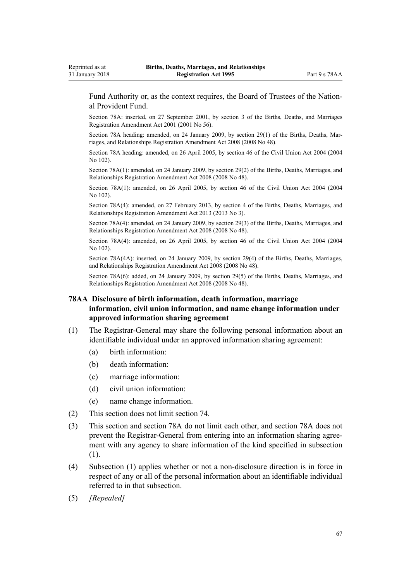<span id="page-66-0"></span>Fund Authority or, as the context requires, the Board of Trustees of the National Provident Fund.

Section 78A: inserted, on 27 September 2001, by [section 3](http://prd-lgnz-nlb.prd.pco.net.nz/pdflink.aspx?id=DLM110961) of the Births, Deaths, and Marriages Registration Amendment Act 2001 (2001 No 56).

Section 78A heading: amended, on 24 January 2009, by [section 29\(1\)](http://prd-lgnz-nlb.prd.pco.net.nz/pdflink.aspx?id=DLM1048893) of the Births, Deaths, Marriages, and Relationships Registration Amendment Act 2008 (2008 No 48).

Section 78A heading: amended, on 26 April 2005, by [section 46](http://prd-lgnz-nlb.prd.pco.net.nz/pdflink.aspx?id=DLM323483) of the Civil Union Act 2004 (2004 No 102).

Section 78A(1): amended, on 24 January 2009, by [section 29\(2\)](http://prd-lgnz-nlb.prd.pco.net.nz/pdflink.aspx?id=DLM1048893) of the Births, Deaths, Marriages, and Relationships Registration Amendment Act 2008 (2008 No 48).

Section 78A(1): amended, on 26 April 2005, by [section 46](http://prd-lgnz-nlb.prd.pco.net.nz/pdflink.aspx?id=DLM323483) of the Civil Union Act 2004 (2004 No 102).

Section 78A(4): amended, on 27 February 2013, by [section 4](http://prd-lgnz-nlb.prd.pco.net.nz/pdflink.aspx?id=DLM5020512) of the Births, Deaths, Marriages, and Relationships Registration Amendment Act 2013 (2013 No 3).

Section 78A(4): amended, on 24 January 2009, by [section 29\(3\)](http://prd-lgnz-nlb.prd.pco.net.nz/pdflink.aspx?id=DLM1048893) of the Births, Deaths, Marriages, and Relationships Registration Amendment Act 2008 (2008 No 48).

Section 78A(4): amended, on 26 April 2005, by [section 46](http://prd-lgnz-nlb.prd.pco.net.nz/pdflink.aspx?id=DLM323483) of the Civil Union Act 2004 (2004 No 102).

Section 78A(4A): inserted, on 24 January 2009, by [section 29\(4\)](http://prd-lgnz-nlb.prd.pco.net.nz/pdflink.aspx?id=DLM1048893) of the Births, Deaths, Marriages, and Relationships Registration Amendment Act 2008 (2008 No 48).

Section 78A(6): added, on 24 January 2009, by [section 29\(5\)](http://prd-lgnz-nlb.prd.pco.net.nz/pdflink.aspx?id=DLM1048893) of the Births, Deaths, Marriages, and Relationships Registration Amendment Act 2008 (2008 No 48).

# **78AA Disclosure of birth information, death information, marriage information, civil union information, and name change information under approved information sharing agreement**

- (1) The Registrar-General may share the following personal information about an identifiable individual under an approved information sharing agreement:
	- (a) birth information:
	- (b) death information:
	- (c) marriage information:
	- (d) civil union information:
	- (e) name change information.
- (2) This section does not limit [section 74](#page-53-0).
- (3) This section and [section 78A](#page-65-0) do not limit each other, and section 78A does not prevent the Registrar-General from entering into an information sharing agreement with any agency to share information of the kind specified in subsection (1).
- (4) Subsection (1) applies whether or not a non-disclosure direction is in force in respect of any or all of the personal information about an identifiable individual referred to in that subsection.
- (5) *[Repealed]*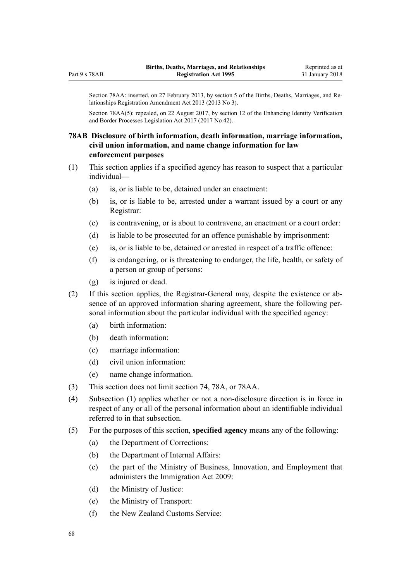Section 78AA: inserted, on 27 February 2013, by [section 5](http://prd-lgnz-nlb.prd.pco.net.nz/pdflink.aspx?id=DLM5020513) of the Births, Deaths, Marriages, and Relationships Registration Amendment Act 2013 (2013 No 3).

Section 78AA(5): repealed, on 22 August 2017, by [section 12](http://prd-lgnz-nlb.prd.pco.net.nz/pdflink.aspx?id=DLM6887866) of the Enhancing Identity Verification and Border Processes Legislation Act 2017 (2017 No 42).

## **78AB Disclosure of birth information, death information, marriage information, civil union information, and name change information for law enforcement purposes**

- (1) This section applies if a specified agency has reason to suspect that a particular individual—
	- (a) is, or is liable to be, detained under an enactment:
	- (b) is, or is liable to be, arrested under a warrant issued by a court or any Registrar:
	- (c) is contravening, or is about to contravene, an enactment or a court order:
	- (d) is liable to be prosecuted for an offence punishable by imprisonment:
	- (e) is, or is liable to be, detained or arrested in respect of a traffic offence:
	- (f) is endangering, or is threatening to endanger, the life, health, or safety of a person or group of persons:
	- (g) is injured or dead.
- (2) If this section applies, the Registrar-General may, despite the existence or absence of an approved information sharing agreement, share the following personal information about the particular individual with the specified agency:
	- (a) birth information:
	- (b) death information:
	- (c) marriage information:
	- (d) civil union information:
	- (e) name change information.
- (3) This section does not limit [section 74](#page-53-0), [78A,](#page-65-0) or [78AA.](#page-66-0)
- (4) Subsection (1) applies whether or not a non-disclosure direction is in force in respect of any or all of the personal information about an identifiable individual referred to in that subsection.
- (5) For the purposes of this section, **specified agency** means any of the following:
	- (a) the Department of Corrections:
	- (b) the Department of Internal Affairs:
	- (c) the part of the Ministry of Business, Innovation, and Employment that administers the [Immigration Act 2009:](http://prd-lgnz-nlb.prd.pco.net.nz/pdflink.aspx?id=DLM1440300)
	- (d) the Ministry of Justice:
	- (e) the Ministry of Transport:
	- (f) the New Zealand Customs Service: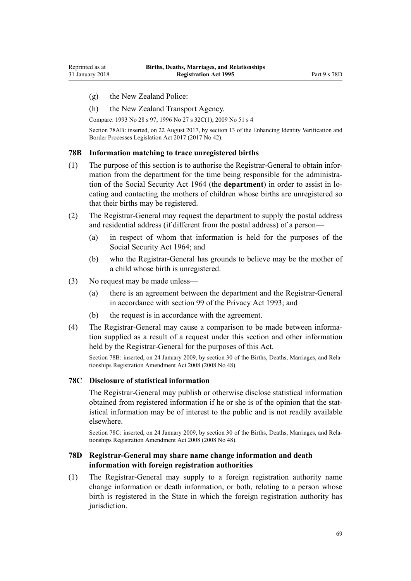- <span id="page-68-0"></span>(g) the New Zealand Police:
- (h) the New Zealand Transport Agency.

Compare: 1993 No 28 [s 97](http://prd-lgnz-nlb.prd.pco.net.nz/pdflink.aspx?id=DLM297916); 1996 No 27 [s 32C\(1\)](http://prd-lgnz-nlb.prd.pco.net.nz/pdflink.aspx?id=DLM378233); 2009 No 51 [s 4](http://prd-lgnz-nlb.prd.pco.net.nz/pdflink.aspx?id=DLM1440311)

Section 78AB: inserted, on 22 August 2017, by [section 13](http://prd-lgnz-nlb.prd.pco.net.nz/pdflink.aspx?id=DLM6887867) of the Enhancing Identity Verification and Border Processes Legislation Act 2017 (2017 No 42).

## **78B Information matching to trace unregistered births**

- (1) The purpose of this section is to authorise the Registrar-General to obtain information from the department for the time being responsible for the administration of the [Social Security Act 1964](http://prd-lgnz-nlb.prd.pco.net.nz/pdflink.aspx?id=DLM359106) (the **department**) in order to assist in locating and contacting the mothers of children whose births are unregistered so that their births may be registered.
- (2) The Registrar-General may request the department to supply the postal address and residential address (if different from the postal address) of a person—
	- (a) in respect of whom that information is held for the purposes of the [Social Security Act 1964;](http://prd-lgnz-nlb.prd.pco.net.nz/pdflink.aspx?id=DLM359106) and
	- (b) who the Registrar-General has grounds to believe may be the mother of a child whose birth is unregistered.
- (3) No request may be made unless—
	- (a) there is an agreement between the department and the Registrar-General in accordance with [section 99](http://prd-lgnz-nlb.prd.pco.net.nz/pdflink.aspx?id=DLM297958) of the Privacy Act 1993; and
	- (b) the request is in accordance with the agreement.
- (4) The Registrar-General may cause a comparison to be made between information supplied as a result of a request under this section and other information held by the Registrar-General for the purposes of this Act.

Section 78B: inserted, on 24 January 2009, by [section 30](http://prd-lgnz-nlb.prd.pco.net.nz/pdflink.aspx?id=DLM1048894) of the Births, Deaths, Marriages, and Relationships Registration Amendment Act 2008 (2008 No 48).

#### **78C Disclosure of statistical information**

The Registrar-General may publish or otherwise disclose statistical information obtained from registered information if he or she is of the opinion that the statistical information may be of interest to the public and is not readily available elsewhere.

Section 78C: inserted, on 24 January 2009, by [section 30](http://prd-lgnz-nlb.prd.pco.net.nz/pdflink.aspx?id=DLM1048894) of the Births, Deaths, Marriages, and Relationships Registration Amendment Act 2008 (2008 No 48).

## **78D Registrar-General may share name change information and death information with foreign registration authorities**

(1) The Registrar-General may supply to a foreign registration authority name change information or death information, or both, relating to a person whose birth is registered in the State in which the foreign registration authority has jurisdiction.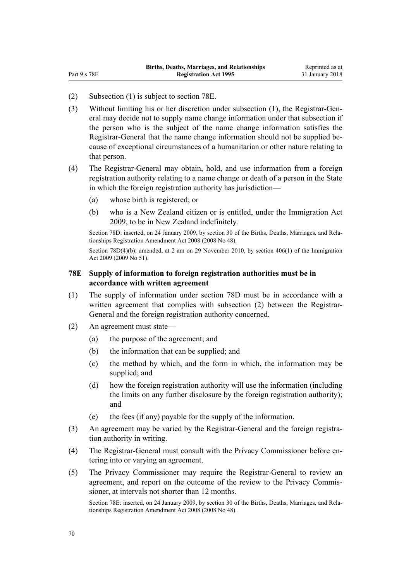(2) Subsection (1) is subject to section 78E.

Part 9 s 78E

- (3) Without limiting his or her discretion under subsection (1), the Registrar-General may decide not to supply name change information under that subsection if the person who is the subject of the name change information satisfies the Registrar-General that the name change information should not be supplied because of exceptional circumstances of a humanitarian or other nature relating to that person.
- (4) The Registrar-General may obtain, hold, and use information from a foreign registration authority relating to a name change or death of a person in the State in which the foreign registration authority has jurisdiction—
	- (a) whose birth is registered; or
	- (b) who is a New Zealand citizen or is entitled, under the [Immigration Act](http://prd-lgnz-nlb.prd.pco.net.nz/pdflink.aspx?id=DLM1440300) [2009](http://prd-lgnz-nlb.prd.pco.net.nz/pdflink.aspx?id=DLM1440300), to be in New Zealand indefinitely.

Section 78D: inserted, on 24 January 2009, by [section 30](http://prd-lgnz-nlb.prd.pco.net.nz/pdflink.aspx?id=DLM1048894) of the Births, Deaths, Marriages, and Relationships Registration Amendment Act 2008 (2008 No 48).

Section 78D(4)(b): amended, at 2 am on 29 November 2010, by [section 406\(1\)](http://prd-lgnz-nlb.prd.pco.net.nz/pdflink.aspx?id=DLM1441347) of the Immigration Act 2009 (2009 No 51).

## **78E Supply of information to foreign registration authorities must be in accordance with written agreement**

- (1) The supply of information under [section 78D](#page-68-0) must be in accordance with a written agreement that complies with subsection (2) between the Registrar-General and the foreign registration authority concerned.
- (2) An agreement must state—
	- (a) the purpose of the agreement; and
	- (b) the information that can be supplied; and
	- (c) the method by which, and the form in which, the information may be supplied; and
	- (d) how the foreign registration authority will use the information (including the limits on any further disclosure by the foreign registration authority); and
	- (e) the fees (if any) payable for the supply of the information.
- (3) An agreement may be varied by the Registrar-General and the foreign registration authority in writing.
- (4) The Registrar-General must consult with the Privacy Commissioner before entering into or varying an agreement.
- (5) The Privacy Commissioner may require the Registrar-General to review an agreement, and report on the outcome of the review to the Privacy Commissioner, at intervals not shorter than 12 months.

Section 78E: inserted, on 24 January 2009, by [section 30](http://prd-lgnz-nlb.prd.pco.net.nz/pdflink.aspx?id=DLM1048894) of the Births, Deaths, Marriages, and Relationships Registration Amendment Act 2008 (2008 No 48).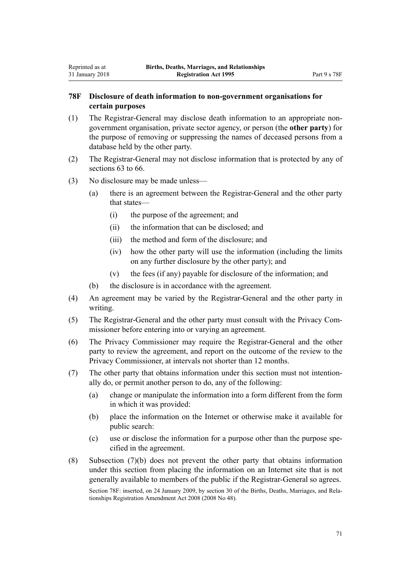## **78F Disclosure of death information to non-government organisations for certain purposes**

- (1) The Registrar-General may disclose death information to an appropriate nongovernment organisation, private sector agency, or person (the **other party**) for the purpose of removing or suppressing the names of deceased persons from a database held by the other party.
- (2) The Registrar-General may not disclose information that is protected by any of [sections 63 to 66.](#page-47-0)
- (3) No disclosure may be made unless—

Reprinted as at 31 January 2018

- (a) there is an agreement between the Registrar-General and the other party that states—
	- (i) the purpose of the agreement; and
	- (ii) the information that can be disclosed; and
	- (iii) the method and form of the disclosure; and
	- (iv) how the other party will use the information (including the limits on any further disclosure by the other party); and
	- (v) the fees (if any) payable for disclosure of the information; and
- (b) the disclosure is in accordance with the agreement.
- (4) An agreement may be varied by the Registrar-General and the other party in writing.
- (5) The Registrar-General and the other party must consult with the Privacy Commissioner before entering into or varying an agreement.
- (6) The Privacy Commissioner may require the Registrar-General and the other party to review the agreement, and report on the outcome of the review to the Privacy Commissioner, at intervals not shorter than 12 months.
- (7) The other party that obtains information under this section must not intentionally do, or permit another person to do, any of the following:
	- (a) change or manipulate the information into a form different from the form in which it was provided:
	- (b) place the information on the Internet or otherwise make it available for public search:
	- (c) use or disclose the information for a purpose other than the purpose specified in the agreement.
- (8) Subsection (7)(b) does not prevent the other party that obtains information under this section from placing the information on an Internet site that is not generally available to members of the public if the Registrar-General so agrees. Section 78F: inserted, on 24 January 2009, by [section 30](http://prd-lgnz-nlb.prd.pco.net.nz/pdflink.aspx?id=DLM1048894) of the Births, Deaths, Marriages, and Relationships Registration Amendment Act 2008 (2008 No 48).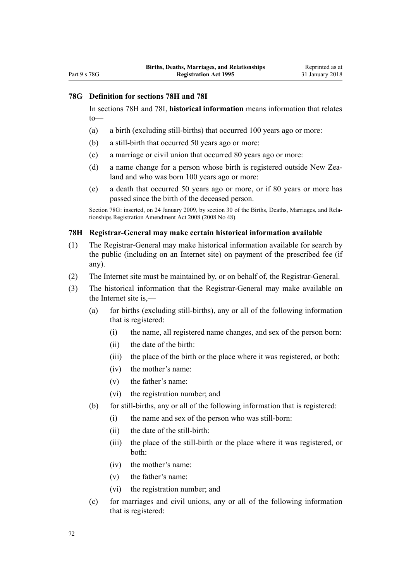## **78G Definition for sections 78H and 78I**

In sections 78H and [78I,](#page-72-0) **historical information** means information that relates to—

- (a) a birth (excluding still-births) that occurred 100 years ago or more:
- (b) a still-birth that occurred 50 years ago or more:
- (c) a marriage or civil union that occurred 80 years ago or more:
- (d) a name change for a person whose birth is registered outside New Zealand and who was born 100 years ago or more:
- (e) a death that occurred 50 years ago or more, or if 80 years or more has passed since the birth of the deceased person.

Section 78G: inserted, on 24 January 2009, by [section 30](http://prd-lgnz-nlb.prd.pco.net.nz/pdflink.aspx?id=DLM1048894) of the Births, Deaths, Marriages, and Relationships Registration Amendment Act 2008 (2008 No 48).

#### **78H Registrar-General may make certain historical information available**

- (1) The Registrar-General may make historical information available for search by the public (including on an Internet site) on payment of the prescribed fee (if any).
- (2) The Internet site must be maintained by, or on behalf of, the Registrar-General.
- (3) The historical information that the Registrar-General may make available on the Internet site is,—
	- (a) for births (excluding still-births), any or all of the following information that is registered:
		- (i) the name, all registered name changes, and sex of the person born:
		- (ii) the date of the birth:
		- (iii) the place of the birth or the place where it was registered, or both:
		- (iv) the mother's name:
		- (v) the father's name:
		- (vi) the registration number; and
	- (b) for still-births, any or all of the following information that is registered:
		- (i) the name and sex of the person who was still-born:
		- (ii) the date of the still-birth:
		- (iii) the place of the still-birth or the place where it was registered, or both:
		- (iv) the mother's name:
		- (v) the father's name:
		- (vi) the registration number; and
	- (c) for marriages and civil unions, any or all of the following information that is registered: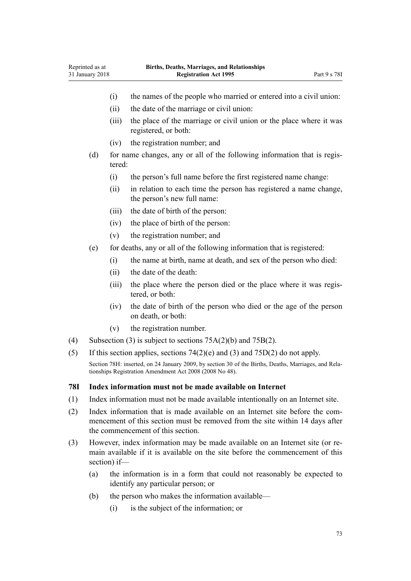| 31 January 2018 | <b>Registration Act 1995</b> |  |  |
|-----------------|------------------------------|--|--|
|                 |                              |  |  |

- (i) the names of the people who married or entered into a civil union:
- (ii) the date of the marriage or civil union:
- (iii) the place of the marriage or civil union or the place where it was registered, or both:
- (iv) the registration number; and

<span id="page-72-0"></span>Reprinted as at

- (d) for name changes, any or all of the following information that is registered:
	- (i) the person's full name before the first registered name change:
	- (ii) in relation to each time the person has registered a name change, the person's new full name:
	- (iii) the date of birth of the person:
	- (iv) the place of birth of the person:
	- (v) the registration number; and
- (e) for deaths, any or all of the following information that is registered:
	- (i) the name at birth, name at death, and sex of the person who died:
	- (ii) the date of the death:
	- (iii) the place where the person died or the place where it was registered, or both:
	- (iv) the date of birth of the person who died or the age of the person on death, or both:
	- (v) the registration number.
- (4) Subsection (3) is subject to sections  $75A(2)(b)$  and  $75B(2)$ .
- (5) If this section applies, sections  $74(2)(e)$  and  $(3)$  and  $75D(2)$  do not apply.

Section 78H: inserted, on 24 January 2009, by [section 30](http://prd-lgnz-nlb.prd.pco.net.nz/pdflink.aspx?id=DLM1048894) of the Births, Deaths, Marriages, and Relationships Registration Amendment Act 2008 (2008 No 48).

#### **78I Index information must not be made available on Internet**

- (1) Index information must not be made available intentionally on an Internet site.
- (2) Index information that is made available on an Internet site before the commencement of this section must be removed from the site within 14 days after the commencement of this section.
- (3) However, index information may be made available on an Internet site (or remain available if it is available on the site before the commencement of this section) if—
	- (a) the information is in a form that could not reasonably be expected to identify any particular person; or
	- (b) the person who makes the information available—
		- (i) is the subject of the information; or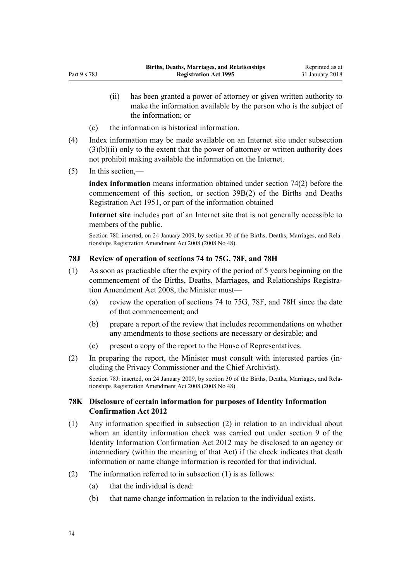- (ii) has been granted a power of attorney or given written authority to make the information available by the person who is the subject of the information; or
- (c) the information is historical information.
- (4) Index information may be made available on an Internet site under subsection  $(3)(b)(ii)$  only to the extent that the power of attorney or written authority does not prohibit making available the information on the Internet.
- (5) In this section,—

Part 9 s 78J

**index information** means information obtained under [section 74\(2\)](#page-53-0) before the commencement of this section, or section 39B(2) of the Births and Deaths Registration Act 1951, or part of the information obtained

**Internet site** includes part of an Internet site that is not generally accessible to members of the public.

Section 78I: inserted, on 24 January 2009, by [section 30](http://prd-lgnz-nlb.prd.pco.net.nz/pdflink.aspx?id=DLM1048894) of the Births, Deaths, Marriages, and Relationships Registration Amendment Act 2008 (2008 No 48).

#### **78J Review of operation of sections 74 to 75G, 78F, and 78H**

- (1) As soon as practicable after the expiry of the period of 5 years beginning on the commencement of the [Births, Deaths, Marriages, and Relationships Registra](http://prd-lgnz-nlb.prd.pco.net.nz/pdflink.aspx?id=DLM1048800)[tion Amendment Act 2008](http://prd-lgnz-nlb.prd.pco.net.nz/pdflink.aspx?id=DLM1048800), the Minister must—
	- (a) review the operation of [sections 74 to 75G,](#page-53-0) [78F,](#page-70-0) and [78H](#page-71-0) since the date of that commencement; and
	- (b) prepare a report of the review that includes recommendations on whether any amendments to those sections are necessary or desirable; and
	- (c) present a copy of the report to the House of Representatives.
- (2) In preparing the report, the Minister must consult with interested parties (including the Privacy Commissioner and the Chief Archivist).

Section 78J: inserted, on 24 January 2009, by [section 30](http://prd-lgnz-nlb.prd.pco.net.nz/pdflink.aspx?id=DLM1048894) of the Births, Deaths, Marriages, and Relationships Registration Amendment Act 2008 (2008 No 48).

#### **78K Disclosure of certain information for purposes of Identity Information Confirmation Act 2012**

- (1) Any information specified in subsection (2) in relation to an individual about whom an identity information check was carried out under [section 9](http://prd-lgnz-nlb.prd.pco.net.nz/pdflink.aspx?id=DLM3136850) of the Identity Information Confirmation Act 2012 may be disclosed to an agency or intermediary (within the meaning of that Act) if the check indicates that death information or name change information is recorded for that individual.
- (2) The information referred to in subsection (1) is as follows:
	- (a) that the individual is dead:
	- (b) that name change information in relation to the individual exists.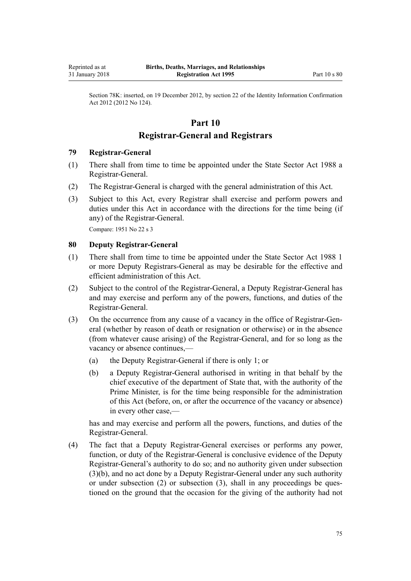Section 78K: inserted, on 19 December 2012, by [section 22](http://prd-lgnz-nlb.prd.pco.net.nz/pdflink.aspx?id=DLM3136868) of the Identity Information Confirmation Act 2012 (2012 No 124).

# **Part 10**

# **Registrar-General and Registrars**

#### **79 Registrar-General**

- (1) There shall from time to time be appointed under the [State Sector Act 1988](http://prd-lgnz-nlb.prd.pco.net.nz/pdflink.aspx?id=DLM129109) a Registrar-General.
- (2) The Registrar-General is charged with the general administration of this Act.
- (3) Subject to this Act, every Registrar shall exercise and perform powers and duties under this Act in accordance with the directions for the time being (if any) of the Registrar-General.

Compare: 1951 No 22 s 3

#### **80 Deputy Registrar-General**

- (1) There shall from time to time be appointed under the [State Sector Act 1988](http://prd-lgnz-nlb.prd.pco.net.nz/pdflink.aspx?id=DLM129109) 1 or more Deputy Registrars-General as may be desirable for the effective and efficient administration of this Act.
- (2) Subject to the control of the Registrar-General, a Deputy Registrar-General has and may exercise and perform any of the powers, functions, and duties of the Registrar-General.
- (3) On the occurrence from any cause of a vacancy in the office of Registrar-General (whether by reason of death or resignation or otherwise) or in the absence (from whatever cause arising) of the Registrar-General, and for so long as the vacancy or absence continues,—
	- (a) the Deputy Registrar-General if there is only 1; or
	- (b) a Deputy Registrar-General authorised in writing in that behalf by the chief executive of the department of State that, with the authority of the Prime Minister, is for the time being responsible for the administration of this Act (before, on, or after the occurrence of the vacancy or absence) in every other case,—

has and may exercise and perform all the powers, functions, and duties of the Registrar-General.

(4) The fact that a Deputy Registrar-General exercises or performs any power, function, or duty of the Registrar-General is conclusive evidence of the Deputy Registrar-General's authority to do so; and no authority given under subsection (3)(b), and no act done by a Deputy Registrar-General under any such authority or under subsection (2) or subsection (3), shall in any proceedings be questioned on the ground that the occasion for the giving of the authority had not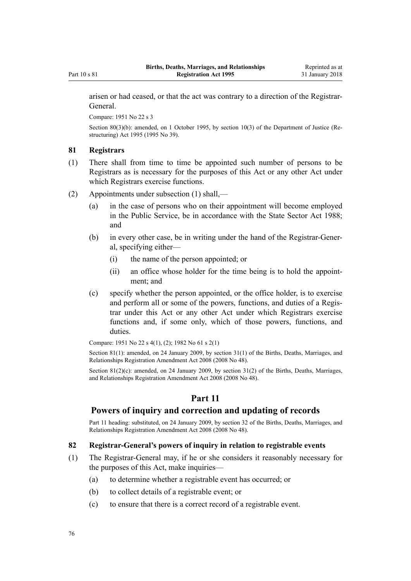<span id="page-75-0"></span>arisen or had ceased, or that the act was contrary to a direction of the Registrar-General.

Compare: 1951 No 22 s 3

Section 80(3)(b): amended, on 1 October 1995, by [section 10\(3\)](http://prd-lgnz-nlb.prd.pco.net.nz/pdflink.aspx?id=DLM367235) of the Department of Justice (Restructuring) Act 1995 (1995 No 39).

#### **81 Registrars**

- (1) There shall from time to time be appointed such number of persons to be Registrars as is necessary for the purposes of this Act or any other Act under which Registrars exercise functions.
- (2) Appointments under subsection (1) shall,—
	- (a) in the case of persons who on their appointment will become employed in the Public Service, be in accordance with the [State Sector Act 1988;](http://prd-lgnz-nlb.prd.pco.net.nz/pdflink.aspx?id=DLM129109) and
	- (b) in every other case, be in writing under the hand of the Registrar-General, specifying either—
		- (i) the name of the person appointed; or
		- (ii) an office whose holder for the time being is to hold the appointment; and
	- (c) specify whether the person appointed, or the office holder, is to exercise and perform all or some of the powers, functions, and duties of a Registrar under this Act or any other Act under which Registrars exercise functions and, if some only, which of those powers, functions, and duties.

Compare: 1951 No 22 s 4(1), (2); 1982 No 61 s 2(1)

Section 81(1): amended, on 24 January 2009, by [section 31\(1\)](http://prd-lgnz-nlb.prd.pco.net.nz/pdflink.aspx?id=DLM1048907) of the Births, Deaths, Marriages, and Relationships Registration Amendment Act 2008 (2008 No 48).

Section  $81(2)(c)$ : amended, on 24 January 2009, by section  $31(2)$  of the Births, Deaths, Marriages, and Relationships Registration Amendment Act 2008 (2008 No 48).

# **Part 11**

## **Powers of inquiry and correction and updating of records**

Part 11 heading: substituted, on 24 January 2009, by [section 32](http://prd-lgnz-nlb.prd.pco.net.nz/pdflink.aspx?id=DLM1048908) of the Births, Deaths, Marriages, and Relationships Registration Amendment Act 2008 (2008 No 48).

#### **82 Registrar-General's powers of inquiry in relation to registrable events**

- (1) The Registrar-General may, if he or she considers it reasonably necessary for the purposes of this Act, make inquiries—
	- (a) to determine whether a registrable event has occurred; or
	- (b) to collect details of a registrable event; or
	- (c) to ensure that there is a correct record of a registrable event.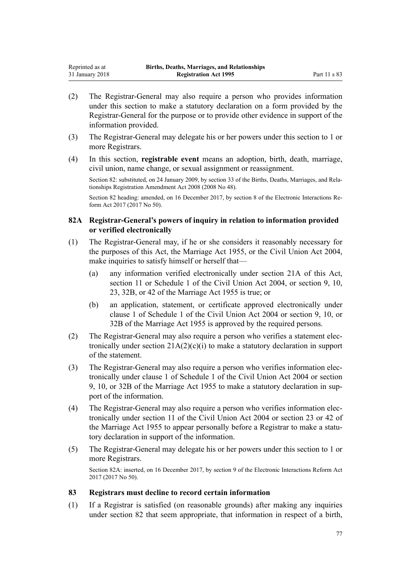- (2) The Registrar-General may also require a person who provides information under this section to make a statutory declaration on a form provided by the Registrar-General for the purpose or to provide other evidence in support of the information provided.
- (3) The Registrar-General may delegate his or her powers under this section to 1 or more Registrars.
- (4) In this section, **registrable event** means an adoption, birth, death, marriage, civil union, name change, or sexual assignment or reassignment.

Section 82: substituted, on 24 January 2009, by [section 33](http://prd-lgnz-nlb.prd.pco.net.nz/pdflink.aspx?id=DLM1048909) of the Births, Deaths, Marriages, and Relationships Registration Amendment Act 2008 (2008 No 48).

Section 82 heading: amended, on 16 December 2017, by [section 8](http://prd-lgnz-nlb.prd.pco.net.nz/pdflink.aspx?id=DLM6962125) of the Electronic Interactions Reform Act 2017 (2017 No 50).

#### **82A Registrar-General's powers of inquiry in relation to information provided or verified electronically**

- (1) The Registrar-General may, if he or she considers it reasonably necessary for the purposes of this Act, the [Marriage Act 1955](http://prd-lgnz-nlb.prd.pco.net.nz/pdflink.aspx?id=DLM292027), or the [Civil Union Act 2004](http://prd-lgnz-nlb.prd.pco.net.nz/pdflink.aspx?id=DLM323384), make inquiries to satisfy himself or herself that—
	- (a) any information verified electronically under [section 21A](#page-23-0) of this Act, [section 11](http://prd-lgnz-nlb.prd.pco.net.nz/pdflink.aspx?id=DLM323421) or [Schedule 1](http://prd-lgnz-nlb.prd.pco.net.nz/pdflink.aspx?id=DLM323484) of the Civil Union Act 2004, or [section 9](http://prd-lgnz-nlb.prd.pco.net.nz/pdflink.aspx?id=DLM292066), [10](http://prd-lgnz-nlb.prd.pco.net.nz/pdflink.aspx?id=DLM292079), [23,](http://prd-lgnz-nlb.prd.pco.net.nz/pdflink.aspx?id=DLM292308) [32B,](http://prd-lgnz-nlb.prd.pco.net.nz/pdflink.aspx?id=DLM292340) or [42](http://prd-lgnz-nlb.prd.pco.net.nz/pdflink.aspx?id=DLM292373) of the Marriage Act 1955 is true; or
	- (b) an application, statement, or certificate approved electronically under [clause 1](http://prd-lgnz-nlb.prd.pco.net.nz/pdflink.aspx?id=DLM323485) of Schedule 1 of the Civil Union Act 2004 or [section 9,](http://prd-lgnz-nlb.prd.pco.net.nz/pdflink.aspx?id=DLM292066) [10,](http://prd-lgnz-nlb.prd.pco.net.nz/pdflink.aspx?id=DLM292079) or [32B](http://prd-lgnz-nlb.prd.pco.net.nz/pdflink.aspx?id=DLM292340) of the Marriage Act 1955 is approved by the required persons.
- (2) The Registrar-General may also require a person who verifies a statement electronically under section  $21A(2)(c)(i)$  to make a statutory declaration in support of the statement.
- (3) The Registrar-General may also require a person who verifies information electronically under [clause 1](http://prd-lgnz-nlb.prd.pco.net.nz/pdflink.aspx?id=DLM323485) of Schedule 1 of the Civil Union Act 2004 or [section](http://prd-lgnz-nlb.prd.pco.net.nz/pdflink.aspx?id=DLM292066) [9,](http://prd-lgnz-nlb.prd.pco.net.nz/pdflink.aspx?id=DLM292066) [10,](http://prd-lgnz-nlb.prd.pco.net.nz/pdflink.aspx?id=DLM292079) or [32B](http://prd-lgnz-nlb.prd.pco.net.nz/pdflink.aspx?id=DLM292340) of the Marriage Act 1955 to make a statutory declaration in support of the information.
- (4) The Registrar-General may also require a person who verifies information electronically under [section 11](http://prd-lgnz-nlb.prd.pco.net.nz/pdflink.aspx?id=DLM323421) of the Civil Union Act 2004 or [section 23](http://prd-lgnz-nlb.prd.pco.net.nz/pdflink.aspx?id=DLM292308) or [42](http://prd-lgnz-nlb.prd.pco.net.nz/pdflink.aspx?id=DLM292373) of the Marriage Act 1955 to appear personally before a Registrar to make a statutory declaration in support of the information.
- (5) The Registrar-General may delegate his or her powers under this section to 1 or more Registrars.

Section 82A: inserted, on 16 December 2017, by [section 9](http://prd-lgnz-nlb.prd.pco.net.nz/pdflink.aspx?id=DLM6962126) of the Electronic Interactions Reform Act 2017 (2017 No 50).

#### **83 Registrars must decline to record certain information**

(1) If a Registrar is satisfied (on reasonable grounds) after making any inquiries under [section 82](#page-75-0) that seem appropriate, that information in respect of a birth,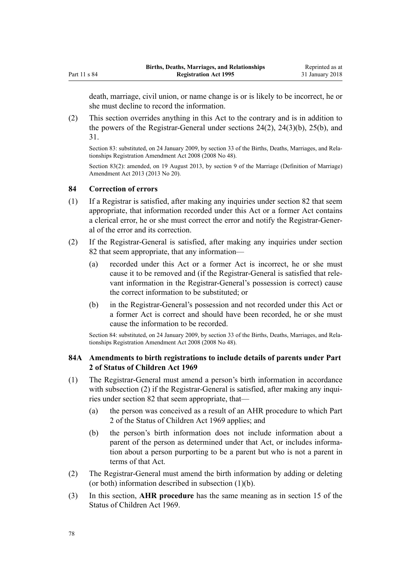<span id="page-77-0"></span>death, marriage, civil union, or name change is or is likely to be incorrect, he or she must decline to record the information.

(2) This section overrides anything in this Act to the contrary and is in addition to the powers of the Registrar-General under [sections 24\(2\), 24\(3\)\(b\)](#page-26-0), [25\(b\),](#page-27-0) and [31.](#page-32-0)

Section 83: substituted, on 24 January 2009, by [section 33](http://prd-lgnz-nlb.prd.pco.net.nz/pdflink.aspx?id=DLM1048909) of the Births, Deaths, Marriages, and Relationships Registration Amendment Act 2008 (2008 No 48).

Section 83(2): amended, on 19 August 2013, by [section 9](http://prd-lgnz-nlb.prd.pco.net.nz/pdflink.aspx?id=DLM5045103) of the Marriage (Definition of Marriage) Amendment Act 2013 (2013 No 20).

#### **84 Correction of errors**

- (1) If a Registrar is satisfied, after making any inquiries under [section 82](#page-75-0) that seem appropriate, that information recorded under this Act or a former Act contains a clerical error, he or she must correct the error and notify the Registrar-General of the error and its correction.
- (2) If the Registrar-General is satisfied, after making any inquiries under [section](#page-75-0) [82](#page-75-0) that seem appropriate, that any information—
	- (a) recorded under this Act or a former Act is incorrect, he or she must cause it to be removed and (if the Registrar-General is satisfied that relevant information in the Registrar-General's possession is correct) cause the correct information to be substituted; or
	- (b) in the Registrar-General's possession and not recorded under this Act or a former Act is correct and should have been recorded, he or she must cause the information to be recorded.

Section 84: substituted, on 24 January 2009, by [section 33](http://prd-lgnz-nlb.prd.pco.net.nz/pdflink.aspx?id=DLM1048909) of the Births, Deaths, Marriages, and Relationships Registration Amendment Act 2008 (2008 No 48).

#### **84A Amendments to birth registrations to include details of parents under Part 2 of Status of Children Act 1969**

- (1) The Registrar-General must amend a person's birth information in accordance with subsection (2) if the Registrar-General is satisfied, after making any inquiries under [section 82](#page-75-0) that seem appropriate, that—
	- (a) the person was conceived as a result of an AHR procedure to which [Part](http://prd-lgnz-nlb.prd.pco.net.nz/pdflink.aspx?id=DLM391031) [2](http://prd-lgnz-nlb.prd.pco.net.nz/pdflink.aspx?id=DLM391031) of the Status of Children Act 1969 applies; and
	- (b) the person's birth information does not include information about a parent of the person as determined under that Act, or includes information about a person purporting to be a parent but who is not a parent in terms of that Act.
- (2) The Registrar-General must amend the birth information by adding or deleting (or both) information described in subsection (1)(b).
- (3) In this section, **AHR procedure** has the same meaning as in [section 15](http://prd-lgnz-nlb.prd.pco.net.nz/pdflink.aspx?id=DLM391051) of the Status of Children Act 1969.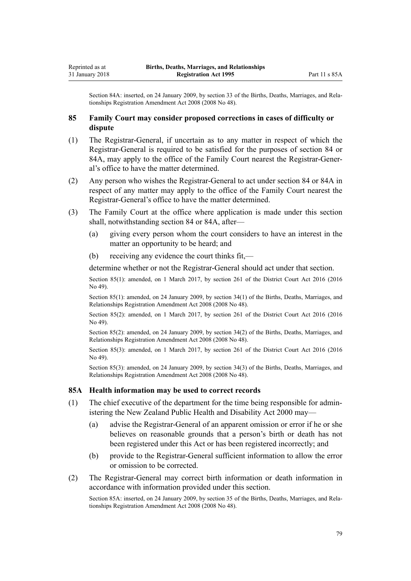Section 84A: inserted, on 24 January 2009, by [section 33](http://prd-lgnz-nlb.prd.pco.net.nz/pdflink.aspx?id=DLM1048909) of the Births, Deaths, Marriages, and Relationships Registration Amendment Act 2008 (2008 No 48).

#### **85 Family Court may consider proposed corrections in cases of difficulty or dispute**

- (1) The Registrar-General, if uncertain as to any matter in respect of which the Registrar-General is required to be satisfied for the purposes of [section 84](#page-77-0) or [84A](#page-77-0), may apply to the office of the Family Court nearest the Registrar-General's office to have the matter determined.
- (2) Any person who wishes the Registrar-General to act under [section 84](#page-77-0) or [84A](#page-77-0) in respect of any matter may apply to the office of the Family Court nearest the Registrar-General's office to have the matter determined.
- (3) The Family Court at the office where application is made under this section shall, notwithstanding [section 84](#page-77-0) or [84A,](#page-77-0) after—
	- (a) giving every person whom the court considers to have an interest in the matter an opportunity to be heard; and
	- (b) receiving any evidence the court thinks fit,—

determine whether or not the Registrar-General should act under that section.

Section 85(1): amended, on 1 March 2017, by [section 261](http://prd-lgnz-nlb.prd.pco.net.nz/pdflink.aspx?id=DLM6942680) of the District Court Act 2016 (2016) No 49).

Section 85(1): amended, on 24 January 2009, by [section 34\(1\)](http://prd-lgnz-nlb.prd.pco.net.nz/pdflink.aspx?id=DLM1048916) of the Births, Deaths, Marriages, and Relationships Registration Amendment Act 2008 (2008 No 48).

Section 85(2): amended, on 1 March 2017, by [section 261](http://prd-lgnz-nlb.prd.pco.net.nz/pdflink.aspx?id=DLM6942680) of the District Court Act 2016 (2016) No 49).

Section 85(2): amended, on 24 January 2009, by [section 34\(2\)](http://prd-lgnz-nlb.prd.pco.net.nz/pdflink.aspx?id=DLM1048916) of the Births, Deaths, Marriages, and Relationships Registration Amendment Act 2008 (2008 No 48).

Section 85(3): amended, on 1 March 2017, by [section 261](http://prd-lgnz-nlb.prd.pco.net.nz/pdflink.aspx?id=DLM6942680) of the District Court Act 2016 (2016 No 49).

Section 85(3): amended, on 24 January 2009, by [section 34\(3\)](http://prd-lgnz-nlb.prd.pco.net.nz/pdflink.aspx?id=DLM1048916) of the Births, Deaths, Marriages, and Relationships Registration Amendment Act 2008 (2008 No 48).

#### **85A Health information may be used to correct records**

- (1) The chief executive of the department for the time being responsible for administering the [New Zealand Public Health and Disability Act 2000](http://prd-lgnz-nlb.prd.pco.net.nz/pdflink.aspx?id=DLM80050) may—
	- (a) advise the Registrar-General of an apparent omission or error if he or she believes on reasonable grounds that a person's birth or death has not been registered under this Act or has been registered incorrectly; and
	- (b) provide to the Registrar-General sufficient information to allow the error or omission to be corrected.
- (2) The Registrar-General may correct birth information or death information in accordance with information provided under this section.

Section 85A: inserted, on 24 January 2009, by [section 35](http://prd-lgnz-nlb.prd.pco.net.nz/pdflink.aspx?id=DLM1048917) of the Births, Deaths, Marriages, and Relationships Registration Amendment Act 2008 (2008 No 48).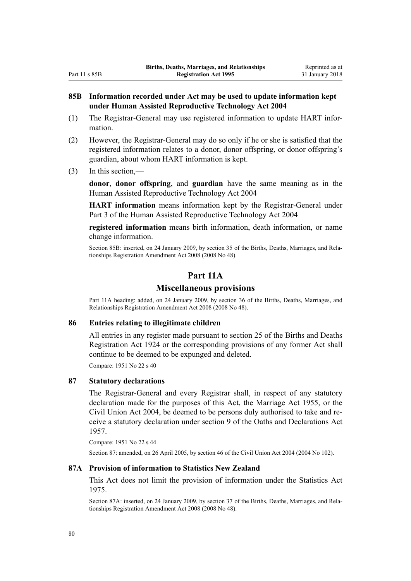## **85B Information recorded under Act may be used to update information kept under Human Assisted Reproductive Technology Act 2004**

- (1) The Registrar-General may use registered information to update HART information.
- (2) However, the Registrar-General may do so only if he or she is satisfied that the registered information relates to a donor, donor offspring, or donor offspring's guardian, about whom HART information is kept.
- (3) In this section,—

**donor**, **donor offspring**, and **guardian** have the same meaning as in the [Human Assisted Reproductive Technology Act 2004](http://prd-lgnz-nlb.prd.pco.net.nz/pdflink.aspx?id=DLM319240)

**HART information** means information kept by the Registrar-General under [Part 3](http://prd-lgnz-nlb.prd.pco.net.nz/pdflink.aspx?id=DLM319359) of the Human Assisted Reproductive Technology Act 2004

**registered information** means birth information, death information, or name change information.

Section 85B: inserted, on 24 January 2009, by [section 35](http://prd-lgnz-nlb.prd.pco.net.nz/pdflink.aspx?id=DLM1048917) of the Births, Deaths, Marriages, and Relationships Registration Amendment Act 2008 (2008 No 48).

# **Part 11A**

#### **Miscellaneous provisions**

Part 11A heading: added, on 24 January 2009, by [section 36](http://prd-lgnz-nlb.prd.pco.net.nz/pdflink.aspx?id=DLM1048928) of the Births, Deaths, Marriages, and Relationships Registration Amendment Act 2008 (2008 No 48).

#### **86 Entries relating to illegitimate children**

All entries in any register made pursuant to section 25 of the Births and Deaths Registration Act 1924 or the corresponding provisions of any former Act shall continue to be deemed to be expunged and deleted.

Compare: 1951 No 22 s 40

#### **87 Statutory declarations**

The Registrar-General and every Registrar shall, in respect of any statutory declaration made for the purposes of this Act, the [Marriage Act 1955](http://prd-lgnz-nlb.prd.pco.net.nz/pdflink.aspx?id=DLM292027), or the [Civil Union Act 2004](http://prd-lgnz-nlb.prd.pco.net.nz/pdflink.aspx?id=DLM323384), be deemed to be persons duly authorised to take and receive a statutory declaration under [section 9](http://prd-lgnz-nlb.prd.pco.net.nz/pdflink.aspx?id=DLM314584) of the Oaths and Declarations Act 1957.

Compare: 1951 No 22 s 44

Section 87: amended, on 26 April 2005, by [section 46](http://prd-lgnz-nlb.prd.pco.net.nz/pdflink.aspx?id=DLM323483) of the Civil Union Act 2004 (2004 No 102).

#### **87A Provision of information to Statistics New Zealand**

This Act does not limit the provision of information under the [Statistics Act](http://prd-lgnz-nlb.prd.pco.net.nz/pdflink.aspx?id=DLM430704) [1975](http://prd-lgnz-nlb.prd.pco.net.nz/pdflink.aspx?id=DLM430704).

Section 87A: inserted, on 24 January 2009, by [section 37](http://prd-lgnz-nlb.prd.pco.net.nz/pdflink.aspx?id=DLM1048929) of the Births, Deaths, Marriages, and Relationships Registration Amendment Act 2008 (2008 No 48).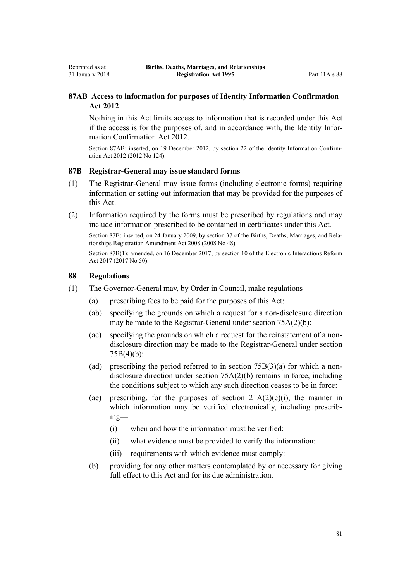## **87AB Access to information for purposes of Identity Information Confirmation Act 2012**

Nothing in this Act limits access to information that is recorded under this Act if the access is for the purposes of, and in accordance with, the [Identity Infor](http://prd-lgnz-nlb.prd.pco.net.nz/pdflink.aspx?id=DLM3136800)[mation Confirmation Act 2012](http://prd-lgnz-nlb.prd.pco.net.nz/pdflink.aspx?id=DLM3136800).

Section 87AB: inserted, on 19 December 2012, by [section 22](http://prd-lgnz-nlb.prd.pco.net.nz/pdflink.aspx?id=DLM3136868) of the Identity Information Confirmation Act 2012 (2012 No 124).

#### **87B Registrar-General may issue standard forms**

- (1) The Registrar-General may issue forms (including electronic forms) requiring information or setting out information that may be provided for the purposes of this Act.
- (2) Information required by the forms must be prescribed by regulations and may include information prescribed to be contained in certificates under this Act.

Section 87B: inserted, on 24 January 2009, by [section 37](http://prd-lgnz-nlb.prd.pco.net.nz/pdflink.aspx?id=DLM1048929) of the Births, Deaths, Marriages, and Relationships Registration Amendment Act 2008 (2008 No 48).

Section 87B(1): amended, on 16 December 2017, by [section 10](http://prd-lgnz-nlb.prd.pco.net.nz/pdflink.aspx?id=DLM6962128) of the Electronic Interactions Reform Act 2017 (2017 No 50).

#### **88 Regulations**

Reprinted as at 31 January 2018

- (1) The Governor-General may, by Order in Council, make regulations—
	- (a) prescribing fees to be paid for the purposes of this Act:
	- (ab) specifying the grounds on which a request for a non-disclosure direction may be made to the Registrar-General under [section 75A\(2\)\(b\)](#page-54-0):
	- (ac) specifying the grounds on which a request for the reinstatement of a nondisclosure direction may be made to the Registrar-General under [section](#page-55-0) [75B\(4\)\(b\)](#page-55-0):
	- (ad) prescribing the period referred to in [section 75B\(3\)\(a\)](#page-55-0) for which a nondisclosure direction under [section 75A\(2\)\(b\)](#page-54-0) remains in force, including the conditions subject to which any such direction ceases to be in force:
	- (ae) prescribing, for the purposes of section  $21A(2)(c)(i)$ , the manner in which information may be verified electronically, including prescribing—
		- (i) when and how the information must be verified:
		- (ii) what evidence must be provided to verify the information:
		- (iii) requirements with which evidence must comply:
	- (b) providing for any other matters contemplated by or necessary for giving full effect to this Act and for its due administration.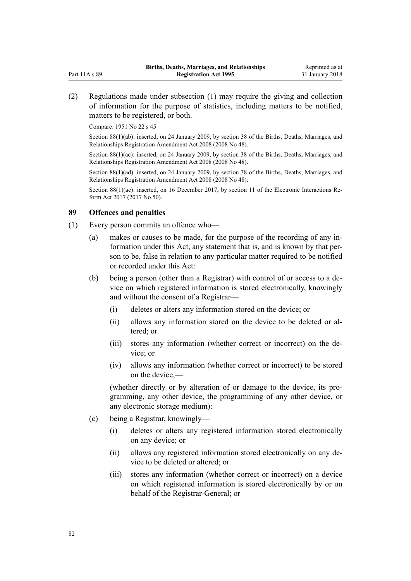(2) Regulations made under subsection (1) may require the giving and collection of information for the purpose of statistics, including matters to be notified, matters to be registered, or both.

Compare: 1951 No 22 s 45

Section 88(1)(ab): inserted, on 24 January 2009, by [section 38](http://prd-lgnz-nlb.prd.pco.net.nz/pdflink.aspx?id=DLM1250744) of the Births, Deaths, Marriages, and Relationships Registration Amendment Act 2008 (2008 No 48).

Section 88(1)(ac): inserted, on 24 January 2009, by [section 38](http://prd-lgnz-nlb.prd.pco.net.nz/pdflink.aspx?id=DLM1250744) of the Births, Deaths, Marriages, and Relationships Registration Amendment Act 2008 (2008 No 48).

Section 88(1)(ad): inserted, on 24 January 2009, by [section 38](http://prd-lgnz-nlb.prd.pco.net.nz/pdflink.aspx?id=DLM1250744) of the Births, Deaths, Marriages, and Relationships Registration Amendment Act 2008 (2008 No 48).

Section 88(1)(ae): inserted, on 16 December 2017, by [section 11](http://prd-lgnz-nlb.prd.pco.net.nz/pdflink.aspx?id=DLM6962129) of the Electronic Interactions Reform Act 2017 (2017 No 50).

#### **89 Offences and penalties**

- (1) Every person commits an offence who—
	- (a) makes or causes to be made, for the purpose of the recording of any information under this Act, any statement that is, and is known by that person to be, false in relation to any particular matter required to be notified or recorded under this Act:
	- (b) being a person (other than a Registrar) with control of or access to a device on which registered information is stored electronically, knowingly and without the consent of a Registrar—
		- (i) deletes or alters any information stored on the device; or
		- (ii) allows any information stored on the device to be deleted or altered; or
		- (iii) stores any information (whether correct or incorrect) on the device; or
		- (iv) allows any information (whether correct or incorrect) to be stored on the device,—

(whether directly or by alteration of or damage to the device, its programming, any other device, the programming of any other device, or any electronic storage medium):

- (c) being a Registrar, knowingly—
	- (i) deletes or alters any registered information stored electronically on any device; or
	- (ii) allows any registered information stored electronically on any device to be deleted or altered; or
	- (iii) stores any information (whether correct or incorrect) on a device on which registered information is stored electronically by or on behalf of the Registrar-General; or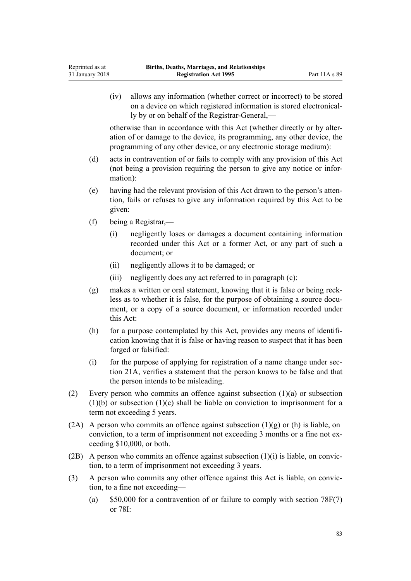(iv) allows any information (whether correct or incorrect) to be stored on a device on which registered information is stored electronically by or on behalf of the Registrar-General,—

otherwise than in accordance with this Act (whether directly or by alteration of or damage to the device, its programming, any other device, the programming of any other device, or any electronic storage medium):

- (d) acts in contravention of or fails to comply with any provision of this Act (not being a provision requiring the person to give any notice or information):
- (e) having had the relevant provision of this Act drawn to the person's attention, fails or refuses to give any information required by this Act to be given:
- (f) being a Registrar,—
	- (i) negligently loses or damages a document containing information recorded under this Act or a former Act, or any part of such a document; or
	- (ii) negligently allows it to be damaged; or
	- (iii) negligently does any act referred to in paragraph (c):
- (g) makes a written or oral statement, knowing that it is false or being reckless as to whether it is false, for the purpose of obtaining a source document, or a copy of a source document, or information recorded under this Act:
- (h) for a purpose contemplated by this Act, provides any means of identification knowing that it is false or having reason to suspect that it has been forged or falsified:
- (i) for the purpose of applying for registration of a name change under [sec](#page-23-0)[tion 21A](#page-23-0), verifies a statement that the person knows to be false and that the person intends to be misleading.
- (2) Every person who commits an offence against subsection (1)(a) or subsection  $(1)(b)$  or subsection  $(1)(c)$  shall be liable on conviction to imprisonment for a term not exceeding 5 years.
- (2A) A person who commits an offence against subsection  $(1)(g)$  or (h) is liable, on conviction, to a term of imprisonment not exceeding 3 months or a fine not exceeding \$10,000, or both.
- (2B) A person who commits an offence against subsection  $(1)(i)$  is liable, on conviction, to a term of imprisonment not exceeding 3 years.
- (3) A person who commits any other offence against this Act is liable, on conviction, to a fine not exceeding—
	- (a)  $$50,000$  for a contravention of or failure to comply with section  $78F(7)$ or [78I:](#page-72-0)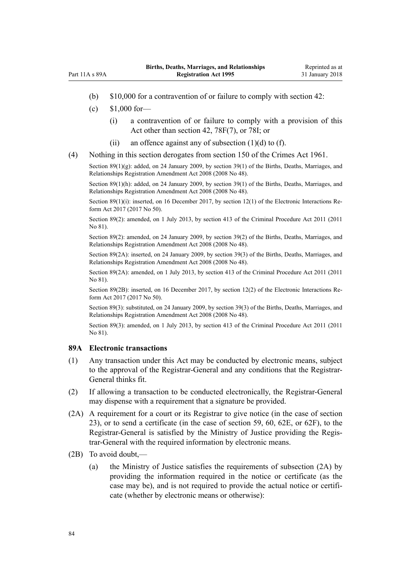- (b) \$10,000 for a contravention of or failure to comply with [section 42](#page-34-0):
- (c) \$1,000 for—

 $Part 11 \triangle$  s  $89 \triangle$ 

- (i) a contravention of or failure to comply with a provision of this Act other than [section 42,](#page-34-0) [78F\(7\),](#page-70-0) or [78I](#page-72-0); or
- (ii) an offence against any of subsection  $(1)(d)$  to  $(f)$ .
- (4) Nothing in this section derogates from [section 150](http://prd-lgnz-nlb.prd.pco.net.nz/pdflink.aspx?id=DLM329287) of the Crimes Act 1961.

Section 89(1)(g): added, on 24 January 2009, by [section 39\(1\)](http://prd-lgnz-nlb.prd.pco.net.nz/pdflink.aspx?id=DLM1048932) of the Births, Deaths, Marriages, and Relationships Registration Amendment Act 2008 (2008 No 48).

Section 89(1)(h): added, on 24 January 2009, by [section 39\(1\)](http://prd-lgnz-nlb.prd.pco.net.nz/pdflink.aspx?id=DLM1048932) of the Births, Deaths, Marriages, and Relationships Registration Amendment Act 2008 (2008 No 48).

Section 89(1)(i): inserted, on 16 December 2017, by [section 12\(1\)](http://prd-lgnz-nlb.prd.pco.net.nz/pdflink.aspx?id=DLM6962130) of the Electronic Interactions Reform Act 2017 (2017 No 50).

Section 89(2): amended, on 1 July 2013, by [section 413](http://prd-lgnz-nlb.prd.pco.net.nz/pdflink.aspx?id=DLM3360714) of the Criminal Procedure Act 2011 (2011 No 81).

Section 89(2): amended, on 24 January 2009, by [section 39\(2\)](http://prd-lgnz-nlb.prd.pco.net.nz/pdflink.aspx?id=DLM1048932) of the Births, Deaths, Marriages, and Relationships Registration Amendment Act 2008 (2008 No 48).

Section 89(2A): inserted, on 24 January 2009, by [section 39\(3\)](http://prd-lgnz-nlb.prd.pco.net.nz/pdflink.aspx?id=DLM1048932) of the Births, Deaths, Marriages, and Relationships Registration Amendment Act 2008 (2008 No 48).

Section 89(2A): amended, on 1 July 2013, by [section 413](http://prd-lgnz-nlb.prd.pco.net.nz/pdflink.aspx?id=DLM3360714) of the Criminal Procedure Act 2011 (2011 No 81).

Section 89(2B): inserted, on 16 December 2017, by [section 12\(2\)](http://prd-lgnz-nlb.prd.pco.net.nz/pdflink.aspx?id=DLM6962130) of the Electronic Interactions Reform Act 2017 (2017 No 50).

Section 89(3): substituted, on 24 January 2009, by [section 39\(3\)](http://prd-lgnz-nlb.prd.pco.net.nz/pdflink.aspx?id=DLM1048932) of the Births, Deaths, Marriages, and Relationships Registration Amendment Act 2008 (2008 No 48).

Section 89(3): amended, on 1 July 2013, by [section 413](http://prd-lgnz-nlb.prd.pco.net.nz/pdflink.aspx?id=DLM3360714) of the Criminal Procedure Act 2011 (2011) No 81).

#### **89A Electronic transactions**

- (1) Any transaction under this Act may be conducted by electronic means, subject to the approval of the Registrar-General and any conditions that the Registrar-General thinks fit.
- (2) If allowing a transaction to be conducted electronically, the Registrar-General may dispense with a requirement that a signature be provided.
- (2A) A requirement for a court or its Registrar to give notice (in the case of [section](#page-26-0) [23\)](#page-26-0), or to send a certificate (in the case of [section 59](#page-43-0), [60](#page-44-0), [62E](#page-46-0), or [62F](#page-47-0)), to the Registrar-General is satisfied by the Ministry of Justice providing the Registrar-General with the required information by electronic means.
- (2B) To avoid doubt,—
	- (a) the Ministry of Justice satisfies the requirements of subsection (2A) by providing the information required in the notice or certificate (as the case may be), and is not required to provide the actual notice or certificate (whether by electronic means or otherwise):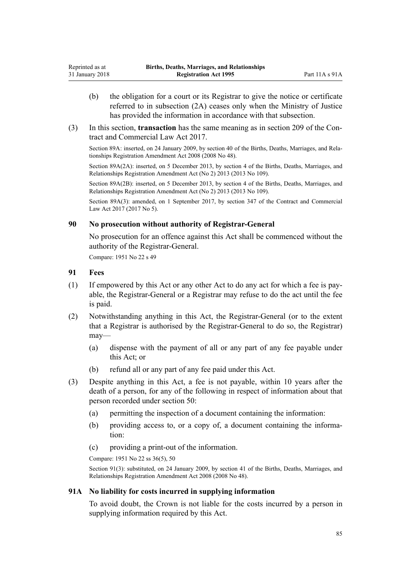- (b) the obligation for a court or its Registrar to give the notice or certificate referred to in subsection (2A) ceases only when the Ministry of Justice has provided the information in accordance with that subsection.
- (3) In this section, **transaction** has the same meaning as in [section 209](http://prd-lgnz-nlb.prd.pco.net.nz/pdflink.aspx?id=DLM6844433) of the Contract and Commercial Law Act 2017.

Section 89A: inserted, on 24 January 2009, by [section 40](http://prd-lgnz-nlb.prd.pco.net.nz/pdflink.aspx?id=DLM1048933) of the Births, Deaths, Marriages, and Relationships Registration Amendment Act 2008 (2008 No 48).

Section 89A(2A): inserted, on 5 December 2013, by [section 4](http://prd-lgnz-nlb.prd.pco.net.nz/pdflink.aspx?id=DLM5620007) of the Births, Deaths, Marriages, and Relationships Registration Amendment Act (No 2) 2013 (2013 No 109).

Section 89A(2B): inserted, on 5 December 2013, by [section 4](http://prd-lgnz-nlb.prd.pco.net.nz/pdflink.aspx?id=DLM5620007) of the Births, Deaths, Marriages, and Relationships Registration Amendment Act (No 2) 2013 (2013 No 109).

Section 89A(3): amended, on 1 September 2017, by [section 347](http://prd-lgnz-nlb.prd.pco.net.nz/pdflink.aspx?id=DLM6844761) of the Contract and Commercial Law Act 2017 (2017 No 5).

#### **90 No prosecution without authority of Registrar-General**

No prosecution for an offence against this Act shall be commenced without the authority of the Registrar-General.

Compare: 1951 No 22 s 49

#### **91 Fees**

- (1) If empowered by this Act or any other Act to do any act for which a fee is payable, the Registrar-General or a Registrar may refuse to do the act until the fee is paid.
- (2) Notwithstanding anything in this Act, the Registrar-General (or to the extent that a Registrar is authorised by the Registrar-General to do so, the Registrar) may—
	- (a) dispense with the payment of all or any part of any fee payable under this Act; or
	- (b) refund all or any part of any fee paid under this Act.
- (3) Despite anything in this Act, a fee is not payable, within 10 years after the death of a person, for any of the following in respect of information about that person recorded under [section 50:](#page-37-0)
	- (a) permitting the inspection of a document containing the information:
	- (b) providing access to, or a copy of, a document containing the information:
	- (c) providing a print-out of the information.

Compare: 1951 No 22 ss 36(5), 50

Section 91(3): substituted, on 24 January 2009, by [section 41](http://prd-lgnz-nlb.prd.pco.net.nz/pdflink.aspx?id=DLM1048936) of the Births, Deaths, Marriages, and Relationships Registration Amendment Act 2008 (2008 No 48).

#### **91A No liability for costs incurred in supplying information**

To avoid doubt, the Crown is not liable for the costs incurred by a person in supplying information required by this Act.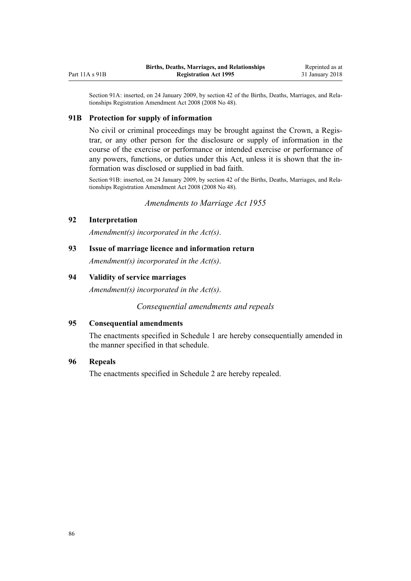Section 91A: inserted, on 24 January 2009, by [section 42](http://prd-lgnz-nlb.prd.pco.net.nz/pdflink.aspx?id=DLM1250746) of the Births, Deaths, Marriages, and Relationships Registration Amendment Act 2008 (2008 No 48).

#### **91B Protection for supply of information**

No civil or criminal proceedings may be brought against the Crown, a Registrar, or any other person for the disclosure or supply of information in the course of the exercise or performance or intended exercise or performance of any powers, functions, or duties under this Act, unless it is shown that the information was disclosed or supplied in bad faith.

Section 91B: inserted, on 24 January 2009, by [section 42](http://prd-lgnz-nlb.prd.pco.net.nz/pdflink.aspx?id=DLM1250746) of the Births, Deaths, Marriages, and Relationships Registration Amendment Act 2008 (2008 No 48).

*Amendments to Marriage Act 1955*

#### **92 Interpretation**

<span id="page-85-0"></span>Part 11A s 91B

*Amendment(s) incorporated in the [Act\(s\)](http://prd-lgnz-nlb.prd.pco.net.nz/pdflink.aspx?id=DLM292034)*.

**93 Issue of marriage licence and information return**

*Amendment(s) incorporated in the [Act\(s\)](http://prd-lgnz-nlb.prd.pco.net.nz/pdflink.aspx?id=DLM292310)*.

#### **94 Validity of service marriages**

*Amendment(s) incorporated in the [Act\(s\)](http://prd-lgnz-nlb.prd.pco.net.nz/pdflink.aspx?id=DLM292377)*.

*Consequential amendments and repeals*

#### **95 Consequential amendments**

The enactments specified in [Schedule 1](#page-89-0) are hereby consequentially amended in the manner specified in that schedule.

#### **96 Repeals**

The enactments specified in [Schedule 2](#page-90-0) are hereby repealed.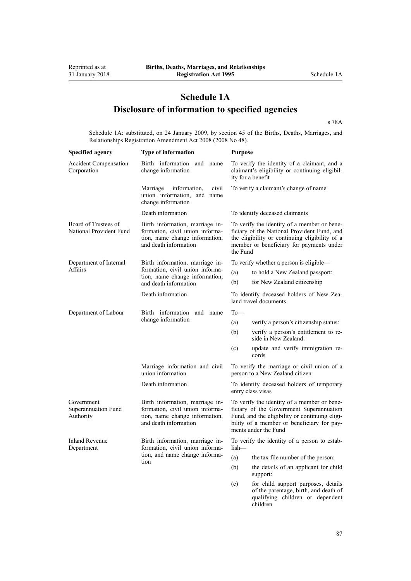# **Schedule 1A Disclosure of information to specified agencies**

[s 78A](#page-65-0)

Schedule 1A: substituted, on 24 January 2009, by [section 45](http://prd-lgnz-nlb.prd.pco.net.nz/pdflink.aspx?id=DLM1048940) of the Births, Deaths, Marriages, and Relationships Registration Amendment Act 2008 (2008 No 48).

| <b>Specified agency</b>                         | Type of information                                                                                                           | <b>Purpose</b>                                                                                                                                                                                                  |  |  |
|-------------------------------------------------|-------------------------------------------------------------------------------------------------------------------------------|-----------------------------------------------------------------------------------------------------------------------------------------------------------------------------------------------------------------|--|--|
| <b>Accident Compensation</b><br>Corporation     | Birth information and name<br>change information                                                                              | To verify the identity of a claimant, and a<br>claimant's eligibility or continuing eligibil-<br>ity for a benefit                                                                                              |  |  |
|                                                 | Marriage<br>information,<br>civil<br>union information, and name<br>change information                                        | To verify a claimant's change of name.                                                                                                                                                                          |  |  |
|                                                 | Death information                                                                                                             | To identify deceased claimants                                                                                                                                                                                  |  |  |
| Board of Trustees of<br>National Provident Fund | Birth information, marriage in-<br>formation, civil union informa-<br>tion, name change information,<br>and death information | To verify the identity of a member or bene-<br>ficiary of the National Provident Fund, and<br>the eligibility or continuing eligibility of a<br>member or beneficiary for payments under<br>the Fund            |  |  |
| Department of Internal<br>Affairs               | Birth information, marriage in-                                                                                               | To verify whether a person is eligible—                                                                                                                                                                         |  |  |
|                                                 | formation, civil union informa-<br>tion, name change information,                                                             | to hold a New Zealand passport:<br>(a)                                                                                                                                                                          |  |  |
|                                                 | and death information                                                                                                         | (b)<br>for New Zealand citizenship                                                                                                                                                                              |  |  |
|                                                 | Death information                                                                                                             | To identify deceased holders of New Zea-<br>land travel documents                                                                                                                                               |  |  |
| Department of Labour                            | Birth information<br>and name                                                                                                 | $To$ —                                                                                                                                                                                                          |  |  |
|                                                 | change information                                                                                                            | (a)<br>verify a person's citizenship status:                                                                                                                                                                    |  |  |
|                                                 |                                                                                                                               | (b)<br>verify a person's entitlement to re-<br>side in New Zealand:                                                                                                                                             |  |  |
|                                                 |                                                                                                                               | (c)<br>update and verify immigration re-<br>cords                                                                                                                                                               |  |  |
|                                                 | Marriage information and civil<br>union information                                                                           | To verify the marriage or civil union of a<br>person to a New Zealand citizen                                                                                                                                   |  |  |
|                                                 | Death information                                                                                                             | To identify deceased holders of temporary<br>entry class visas                                                                                                                                                  |  |  |
| Government<br>Superannuation Fund<br>Authority  | Birth information, marriage in-<br>formation, civil union informa-<br>tion, name change information,<br>and death information | To verify the identity of a member or bene-<br>ficiary of the Government Superannuation<br>Fund, and the eligibility or continuing eligi-<br>bility of a member or beneficiary for pay-<br>ments under the Fund |  |  |
| <b>Inland Revenue</b><br>Department             | Birth information, marriage in-<br>formation, civil union informa-<br>tion, and name change informa-<br>tion                  | To verify the identity of a person to estab-<br>$lish-$                                                                                                                                                         |  |  |
|                                                 |                                                                                                                               | the tax file number of the person:<br>(a)                                                                                                                                                                       |  |  |
|                                                 |                                                                                                                               | the details of an applicant for child<br>(b)<br>support:                                                                                                                                                        |  |  |
|                                                 |                                                                                                                               | for child support purposes, details<br>(c)<br>of the parentage, birth, and death of<br>qualifying children or dependent<br>children                                                                             |  |  |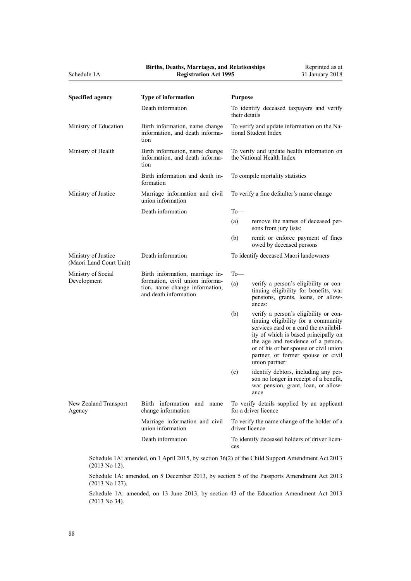|                              |  |  |  | <b>Births, Deaths, Marriages, and Relationships</b> |
|------------------------------|--|--|--|-----------------------------------------------------|
| <b>Registration Act 1995</b> |  |  |  |                                                     |

| <b>Specified agency</b>                        | <b>Type of information</b>                                                                                                    | <b>Purpose</b>                                                          |                                                                                                                                                                                                                                                                                                        |  |
|------------------------------------------------|-------------------------------------------------------------------------------------------------------------------------------|-------------------------------------------------------------------------|--------------------------------------------------------------------------------------------------------------------------------------------------------------------------------------------------------------------------------------------------------------------------------------------------------|--|
|                                                | Death information                                                                                                             | To identify deceased taxpayers and verify<br>their details              |                                                                                                                                                                                                                                                                                                        |  |
| Ministry of Education                          | Birth information, name change<br>information, and death informa-<br>tion                                                     | To verify and update information on the Na-<br>tional Student Index     |                                                                                                                                                                                                                                                                                                        |  |
| Ministry of Health                             | Birth information, name change<br>information, and death informa-<br>tion                                                     | To verify and update health information on<br>the National Health Index |                                                                                                                                                                                                                                                                                                        |  |
|                                                | Birth information and death in-<br>formation                                                                                  | To compile mortality statistics                                         |                                                                                                                                                                                                                                                                                                        |  |
| Ministry of Justice                            | Marriage information and civil<br>union information                                                                           | To verify a fine defaulter's name change                                |                                                                                                                                                                                                                                                                                                        |  |
|                                                | Death information                                                                                                             | $To$ —                                                                  |                                                                                                                                                                                                                                                                                                        |  |
|                                                |                                                                                                                               | (a)                                                                     | remove the names of deceased per-<br>sons from jury lists:                                                                                                                                                                                                                                             |  |
|                                                |                                                                                                                               | (b)                                                                     | remit or enforce payment of fines<br>owed by deceased persons                                                                                                                                                                                                                                          |  |
| Ministry of Justice<br>(Maori Land Court Unit) | Death information                                                                                                             | To identify deceased Maori landowners                                   |                                                                                                                                                                                                                                                                                                        |  |
| Ministry of Social<br>Development              | Birth information, marriage in-<br>formation, civil union informa-<br>tion, name change information,<br>and death information | $To$ —                                                                  |                                                                                                                                                                                                                                                                                                        |  |
|                                                |                                                                                                                               | (a)                                                                     | verify a person's eligibility or con-<br>tinuing eligibility for benefits, war<br>pensions, grants, loans, or allow-<br>ances:                                                                                                                                                                         |  |
|                                                |                                                                                                                               | (b)                                                                     | verify a person's eligibility or con-<br>tinuing eligibility for a community<br>services card or a card the availabil-<br>ity of which is based principally on<br>the age and residence of a person,<br>or of his or her spouse or civil union<br>partner, or former spouse or civil<br>union partner: |  |
|                                                |                                                                                                                               | (c)                                                                     | identify debtors, including any per-<br>son no longer in receipt of a benefit,<br>war pension, grant, loan, or allow-<br>ance                                                                                                                                                                          |  |
| New Zealand Transport<br>Agency                | Birth information and name<br>change information                                                                              | To verify details supplied by an applicant<br>for a driver licence      |                                                                                                                                                                                                                                                                                                        |  |
|                                                | Marriage information and civil<br>union information                                                                           | To verify the name change of the holder of a<br>driver licence          |                                                                                                                                                                                                                                                                                                        |  |
|                                                | Death information                                                                                                             | To identify deceased holders of driver licen-<br>ces                    |                                                                                                                                                                                                                                                                                                        |  |
|                                                |                                                                                                                               |                                                                         |                                                                                                                                                                                                                                                                                                        |  |

Schedule 1A: amended, on 1 April 2015, by [section 36\(2\)](http://prd-lgnz-nlb.prd.pco.net.nz/pdflink.aspx?id=DLM4837656) of the Child Support Amendment Act 2013 (2013 No 12).

Schedule 1A: amended, on 5 December 2013, by [section 5](http://prd-lgnz-nlb.prd.pco.net.nz/pdflink.aspx?id=DLM5623912) of the Passports Amendment Act 2013 (2013 No 127).

Schedule 1A: amended, on 13 June 2013, by [section 43](http://prd-lgnz-nlb.prd.pco.net.nz/pdflink.aspx?id=DLM5138522) of the Education Amendment Act 2013 (2013 No 34).

Schedule 1A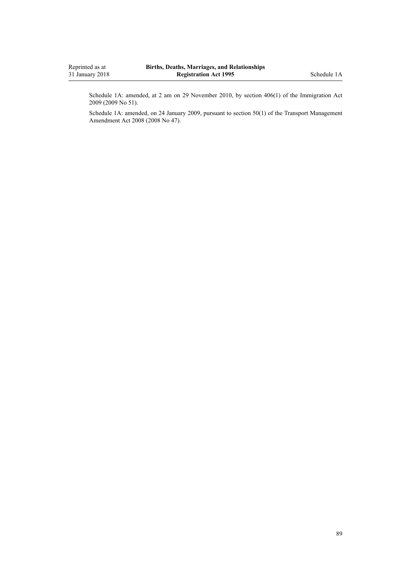Schedule 1A: amended, at 2 am on 29 November 2010, by [section 406\(1\)](http://prd-lgnz-nlb.prd.pco.net.nz/pdflink.aspx?id=DLM1441347) of the Immigration Act 2009 (2009 No 51).

Schedule 1A: amended, on 24 January 2009, pursuant to [section 50\(1\)](http://prd-lgnz-nlb.prd.pco.net.nz/pdflink.aspx?id=DLM1313622) of the Transport Management Amendment Act 2008 (2008 No 47).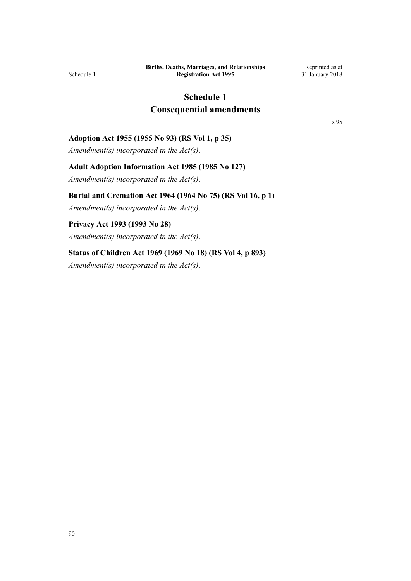# **Schedule 1 Consequential amendments**

[s 95](#page-85-0)

#### <span id="page-89-0"></span>**Adoption Act 1955 (1955 No 93) (RS Vol 1, p 35)**

*Amendment(s) incorporated in the [Act\(s\)](http://prd-lgnz-nlb.prd.pco.net.nz/pdflink.aspx?id=DLM293189)*.

#### **Adult Adoption Information Act 1985 (1985 No 127)**

*Amendment(s) incorporated in the [Act\(s\)](http://prd-lgnz-nlb.prd.pco.net.nz/pdflink.aspx?id=DLM80518)*.

#### **Burial and Cremation Act 1964 (1964 No 75) (RS Vol 16, p 1)**

*Amendment(s) incorporated in the [Act\(s\)](http://prd-lgnz-nlb.prd.pco.net.nz/pdflink.aspx?id=DLM355842)*.

#### **Privacy Act 1993 (1993 No 28)**

*Amendment(s) incorporated in the [Act\(s\)](http://prd-lgnz-nlb.prd.pco.net.nz/pdflink.aspx?id=DLM298477)*.

#### **Status of Children Act 1969 (1969 No 18) (RS Vol 4, p 893)**

*Amendment(s) incorporated in the [Act\(s\)](http://prd-lgnz-nlb.prd.pco.net.nz/pdflink.aspx?id=DLM391005)*.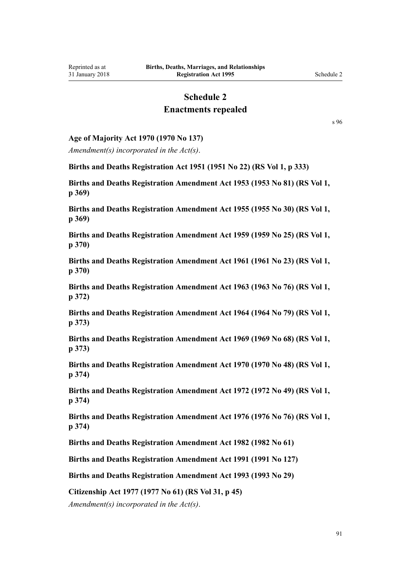# **Schedule 2**

# **Enactments repealed**

[s 96](#page-85-0)

#### <span id="page-90-0"></span>**Age of Majority Act 1970 (1970 No 137)**

*Amendment(s) incorporated in the [Act\(s\)](http://prd-lgnz-nlb.prd.pco.net.nz/pdflink.aspx?id=DLM396810)*.

**Births and Deaths Registration Act 1951 (1951 No 22) (RS Vol 1, p 333)**

**Births and Deaths Registration Amendment Act 1953 (1953 No 81) (RS Vol 1, p 369)**

**Births and Deaths Registration Amendment Act 1955 (1955 No 30) (RS Vol 1, p 369)**

**Births and Deaths Registration Amendment Act 1959 (1959 No 25) (RS Vol 1, p 370)**

**Births and Deaths Registration Amendment Act 1961 (1961 No 23) (RS Vol 1, p 370)**

**Births and Deaths Registration Amendment Act 1963 (1963 No 76) (RS Vol 1, p 372)**

**Births and Deaths Registration Amendment Act 1964 (1964 No 79) (RS Vol 1, p 373)**

**Births and Deaths Registration Amendment Act 1969 (1969 No 68) (RS Vol 1, p 373)**

**Births and Deaths Registration Amendment Act 1970 (1970 No 48) (RS Vol 1, p 374)**

**Births and Deaths Registration Amendment Act 1972 (1972 No 49) (RS Vol 1, p 374)**

**Births and Deaths Registration Amendment Act 1976 (1976 No 76) (RS Vol 1, p 374)**

**Births and Deaths Registration Amendment Act 1982 (1982 No 61)**

**Births and Deaths Registration Amendment Act 1991 (1991 No 127)**

**Births and Deaths Registration Amendment Act 1993 (1993 No 29)**

**Citizenship Act 1977 (1977 No 61) (RS Vol 31, p 45)**

*Amendment(s) incorporated in the [Act\(s\)](http://prd-lgnz-nlb.prd.pco.net.nz/pdflink.aspx?id=DLM444029)*.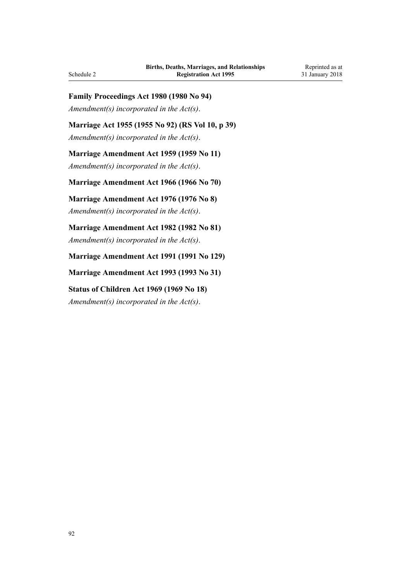#### **Family Proceedings Act 1980 (1980 No 94)**

*Amendment(s) incorporated in the [Act\(s\)](http://prd-lgnz-nlb.prd.pco.net.nz/pdflink.aspx?id=DLM42220)*.

## **Marriage Act 1955 (1955 No 92) (RS Vol 10, p 39)**

*Amendment(s) incorporated in the [Act\(s\)](http://prd-lgnz-nlb.prd.pco.net.nz/pdflink.aspx?id=DLM292059)*.

# **Marriage Amendment Act 1959 (1959 No 11)**

*Amendment(s) incorporated in the Act(s)*.

#### **Marriage Amendment Act 1966 (1966 No 70)**

#### **Marriage Amendment Act 1976 (1976 No 8)**

*Amendment(s) incorporated in the [Act\(s\)](http://prd-lgnz-nlb.prd.pco.net.nz/pdflink.aspx?id=DLM437925)*.

# **Marriage Amendment Act 1982 (1982 No 81)**

*Amendment(s) incorporated in the [Act\(s\)](http://prd-lgnz-nlb.prd.pco.net.nz/pdflink.aspx?id=DLM59717)*.

#### **Marriage Amendment Act 1991 (1991 No 129)**

**Marriage Amendment Act 1993 (1993 No 31)**

# **Status of Children Act 1969 (1969 No 18)** *Amendment(s) incorporated in the [Act\(s\)](http://prd-lgnz-nlb.prd.pco.net.nz/pdflink.aspx?id=DLM390653)*.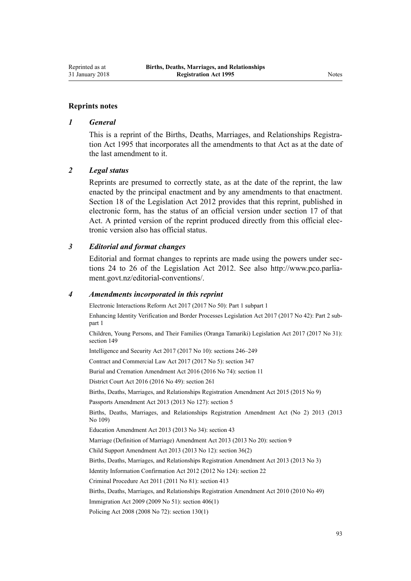#### **Reprints notes**

#### *1 General*

This is a reprint of the Births, Deaths, Marriages, and Relationships Registration Act 1995 that incorporates all the amendments to that Act as at the date of the last amendment to it.

#### *2 Legal status*

Reprints are presumed to correctly state, as at the date of the reprint, the law enacted by the principal enactment and by any amendments to that enactment. [Section 18](http://prd-lgnz-nlb.prd.pco.net.nz/pdflink.aspx?id=DLM2998516) of the Legislation Act 2012 provides that this reprint, published in electronic form, has the status of an official version under [section 17](http://prd-lgnz-nlb.prd.pco.net.nz/pdflink.aspx?id=DLM2998515) of that Act. A printed version of the reprint produced directly from this official electronic version also has official status.

#### *3 Editorial and format changes*

Editorial and format changes to reprints are made using the powers under [sec](http://prd-lgnz-nlb.prd.pco.net.nz/pdflink.aspx?id=DLM2998532)[tions 24 to 26](http://prd-lgnz-nlb.prd.pco.net.nz/pdflink.aspx?id=DLM2998532) of the Legislation Act 2012. See also [http://www.pco.parlia](http://www.pco.parliament.govt.nz/editorial-conventions/)[ment.govt.nz/editorial-conventions/](http://www.pco.parliament.govt.nz/editorial-conventions/).

#### *4 Amendments incorporated in this reprint*

Electronic Interactions Reform Act 2017 (2017 No 50): Part 1 [subpart 1](http://prd-lgnz-nlb.prd.pco.net.nz/pdflink.aspx?id=DLM6962118)

Enhancing Identity Verification and Border Processes Legislation Act 2017 (2017 No 42): Part 2 [sub](http://prd-lgnz-nlb.prd.pco.net.nz/pdflink.aspx?id=DLM6887858)[part 1](http://prd-lgnz-nlb.prd.pco.net.nz/pdflink.aspx?id=DLM6887858)

Children, Young Persons, and Their Families (Oranga Tamariki) Legislation Act 2017 (2017 No 31): [section 149](http://prd-lgnz-nlb.prd.pco.net.nz/pdflink.aspx?id=DLM7287401)

Intelligence and Security Act 2017 (2017 No 10): [sections 246–249](http://prd-lgnz-nlb.prd.pco.net.nz/pdflink.aspx?id=DLM6921295)

Contract and Commercial Law Act 2017 (2017 No 5): [section 347](http://prd-lgnz-nlb.prd.pco.net.nz/pdflink.aspx?id=DLM6844761)

Burial and Cremation Amendment Act 2016 (2016 No 74): [section 11](http://prd-lgnz-nlb.prd.pco.net.nz/pdflink.aspx?id=DLM6983832)

District Court Act 2016 (2016 No 49): [section 261](http://prd-lgnz-nlb.prd.pco.net.nz/pdflink.aspx?id=DLM6942680)

[Births, Deaths, Marriages, and Relationships Registration Amendment Act 2015](http://prd-lgnz-nlb.prd.pco.net.nz/pdflink.aspx?id=DLM6403402) (2015 No 9)

Passports Amendment Act 2013 (2013 No 127): [section 5](http://prd-lgnz-nlb.prd.pco.net.nz/pdflink.aspx?id=DLM5623912)

[Births, Deaths, Marriages, and Relationships Registration Amendment Act \(No 2\) 2013](http://prd-lgnz-nlb.prd.pco.net.nz/pdflink.aspx?id=DLM5620000) (2013 No 109)

Education Amendment Act 2013 (2013 No 34): [section 43](http://prd-lgnz-nlb.prd.pco.net.nz/pdflink.aspx?id=DLM5138522)

Marriage (Definition of Marriage) Amendment Act 2013 (2013 No 20): [section 9](http://prd-lgnz-nlb.prd.pco.net.nz/pdflink.aspx?id=DLM5045103)

Child Support Amendment Act 2013 (2013 No 12): [section 36\(2\)](http://prd-lgnz-nlb.prd.pco.net.nz/pdflink.aspx?id=DLM4837656)

[Births, Deaths, Marriages, and Relationships Registration Amendment Act 2013](http://prd-lgnz-nlb.prd.pco.net.nz/pdflink.aspx?id=DLM5020520) (2013 No 3)

Identity Information Confirmation Act 2012 (2012 No 124): [section 22](http://prd-lgnz-nlb.prd.pco.net.nz/pdflink.aspx?id=DLM3136868)

Criminal Procedure Act 2011 (2011 No 81): [section 413](http://prd-lgnz-nlb.prd.pco.net.nz/pdflink.aspx?id=DLM3360714)

[Births, Deaths, Marriages, and Relationships Registration Amendment Act 2010](http://prd-lgnz-nlb.prd.pco.net.nz/pdflink.aspx?id=DLM3040100) (2010 No 49)

Immigration Act 2009 (2009 No 51): [section 406\(1\)](http://prd-lgnz-nlb.prd.pco.net.nz/pdflink.aspx?id=DLM1441347)

Policing Act 2008 (2008 No 72): [section 130\(1\)](http://prd-lgnz-nlb.prd.pco.net.nz/pdflink.aspx?id=DLM1102383)